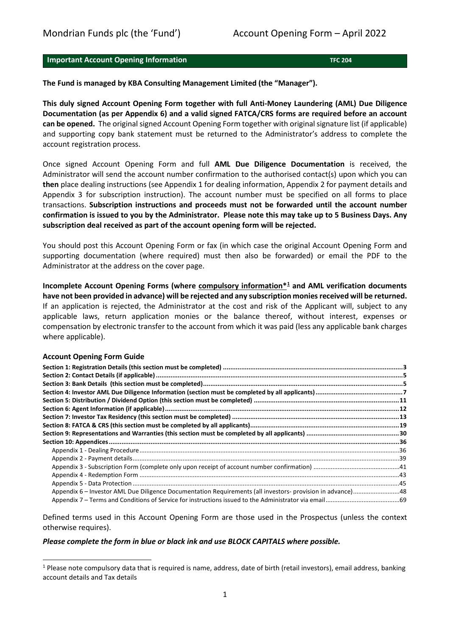# **Important Account Opening Information TEC 204 THE 204**

**The Fund is managed by KBA Consulting Management Limited (the "Manager").**

**This duly signed Account Opening Form together with full Anti-Money Laundering (AML) Due Diligence Documentation (as per Appendix 6) and a valid signed FATCA/CRS forms are required before an account can be opened.** The original signed Account Opening Form together with original signature list (if applicable) and supporting copy bank statement must be returned to the Administrator's address to complete the account registration process.

Once signed Account Opening Form and full **AML Due Diligence Documentation** is received, the Administrator will send the account number confirmation to the authorised contact(s) upon which you can **then** place dealing instructions (see Appendix 1 for dealing information, Appendix 2 for payment details and Appendix 3 for subscription instruction). The account number must be specified on all forms to place transactions. **Subscription instructions and proceeds must not be forwarded until the account number confirmation is issued to you by the Administrator. Please note this may take up to 5 Business Days. Any subscription deal received as part of the account opening form will be rejected.** 

You should post this Account Opening Form or fax (in which case the original Account Opening Form and supporting documentation (where required) must then also be forwarded) or email the PDF to the Administrator at the address on the cover page.

**Incomplete Account Opening Forms (where compulsory information\*[1](#page-0-0) and AML verification documents have not been provided in advance) will be rejected and any subscription monies received will be returned.** If an application is rejected, the Administrator at the cost and risk of the Applicant will, subject to any applicable laws, return application monies or the balance thereof, without interest, expenses or compensation by electronic transfer to the account from which it was paid (less any applicable bank charges where applicable).

#### **Account Opening Form Guide**

| Appendix 6 - Investor AML Due Diligence Documentation Requirements (all investors- provision in advance)48 |  |
|------------------------------------------------------------------------------------------------------------|--|
|                                                                                                            |  |
|                                                                                                            |  |

Defined terms used in this Account Opening Form are those used in the Prospectus (unless the context otherwise requires).

#### *Please complete the form in blue or black ink and use BLOCK CAPITALS where possible.*

<span id="page-0-0"></span> $1$  Please note compulsory data that is required is name, address, date of birth (retail investors), email address, banking account details and Tax details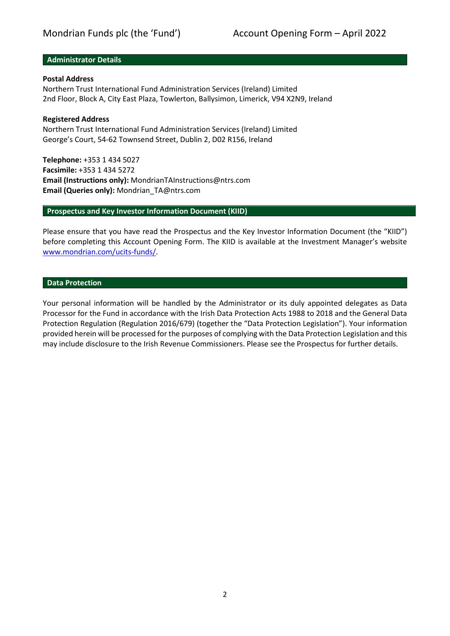### **Administrator Details**

# **Postal Address**

Northern Trust International Fund Administration Services (Ireland) Limited 2nd Floor, Block A, City East Plaza, Towlerton, Ballysimon, Limerick, V94 X2N9, Ireland

### **Registered Address**

Northern Trust International Fund Administration Services (Ireland) Limited George's Court, 54-62 Townsend Street, Dublin 2, D02 R156, Ireland

**Telephone:** +353 1 434 5027 **Facsimile:** +353 1 434 5272 **Email (Instructions only):** MondrianTAInstructions@ntrs.com **Email (Queries only):** Mondrian\_TA@ntrs.com

### **Prospectus and Key Investor Information Document (KIID)**

Please ensure that you have read the Prospectus and the Key Investor Information Document (the "KIID") before completing this Account Opening Form. The KIID is available at the Investment Manager's website [www.mondrian.com/ucits-funds/.](http://www.mondrian.com/ucits-funds/)

### **Data Protection**

Your personal information will be handled by the Administrator or its duly appointed delegates as Data Processor for the Fund in accordance with the Irish Data Protection Acts 1988 to 2018 and the General Data Protection Regulation (Regulation 2016/679) (together the "Data Protection Legislation"). Your information provided herein will be processed for the purposes of complying with the Data Protection Legislation and this may include disclosure to the Irish Revenue Commissioners. Please see the Prospectus for further details.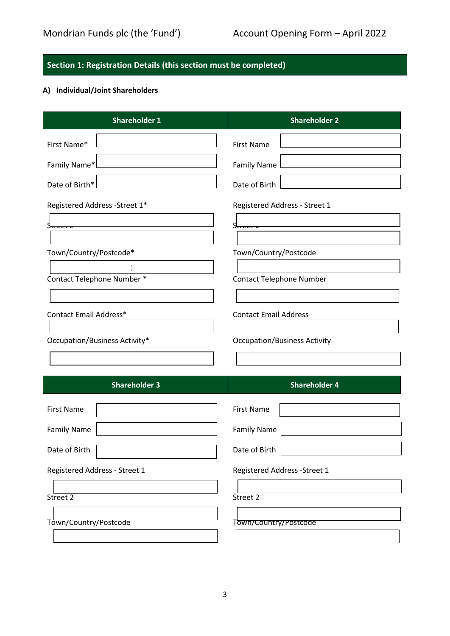# <span id="page-2-0"></span>**Section 1: Registration Details (this section must be completed)**

# **A) Individual/Joint Shareholders**

| <b>Shareholder 1</b>           | <b>Shareholder 2</b>                |
|--------------------------------|-------------------------------------|
| First Name*                    | <b>First Name</b>                   |
| Family Name*                   | <b>Family Name</b>                  |
| Date of Birth*                 | Date of Birth                       |
| Registered Address - Street 1* | Registered Address - Street 1       |
| y <del>u cerz</del>            | <u> Street z</u>                    |
|                                |                                     |
| Town/Country/Postcode*         | Town/Country/Postcode               |
| Contact Telephone Number *     | <b>Contact Telephone Number</b>     |
|                                |                                     |
| Contact Email Address*         | <b>Contact Email Address</b>        |
| Occupation/Business Activity*  | <b>Occupation/Business Activity</b> |
|                                |                                     |
|                                |                                     |
| <b>Shareholder 3</b>           | <b>Shareholder 4</b>                |
| <b>First Name</b>              | <b>First Name</b>                   |
| <b>Family Name</b>             | <b>Family Name</b>                  |
| Date of Birth                  | Date of Birth                       |
| Registered Address - Street 1  | Registered Address - Street 1       |
| Street 2                       | Street 2                            |
|                                |                                     |
| Town/Country/Postcode          | Town/Country/Postcode               |
|                                |                                     |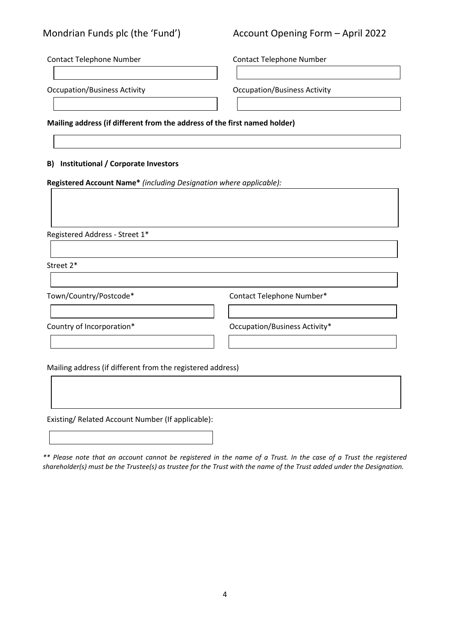# Mondrian Funds plc (the 'Fund') Account Opening Form – April 2022

Contact Telephone Number Contact Telephone Number

Occupation/Business Activity Occupation/Business Activity

**Mailing address (if different from the address of the first named holder)**

# **B) Institutional / Corporate Investors**

**Registered Account Name\*** *(including Designation where applicable):* 

Registered Address - Street 1\*

Street 2\*

Town/Country/Postcode\* Contact Telephone Number\*

Country of Incorporation\* Country of Incorporation\* Country Country Country Country of Incorporation\*

Mailing address (if different from the registered address)

Existing/ Related Account Number (If applicable):

*\*\* Please note that an account cannot be registered in the name of a Trust. In the case of a Trust the registered shareholder(s) must be the Trustee(s) as trustee for the Trust with the name of the Trust added under the Designation.*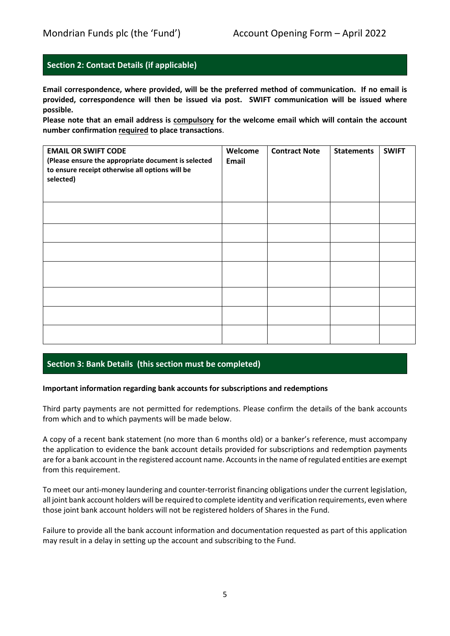# <span id="page-4-0"></span>**Section 2: Contact Details (if applicable)**

**Email correspondence, where provided, will be the preferred method of communication. If no email is provided, correspondence will then be issued via post. SWIFT communication will be issued where possible.**

**Please note that an email address is compulsory for the welcome email which will contain the account number confirmation required to place transactions**.

| <b>EMAIL OR SWIFT CODE</b><br>(Please ensure the appropriate document is selected<br>to ensure receipt otherwise all options will be<br>selected) | Welcome<br><b>Email</b> | <b>Contract Note</b> | <b>Statements</b> | <b>SWIFT</b> |
|---------------------------------------------------------------------------------------------------------------------------------------------------|-------------------------|----------------------|-------------------|--------------|
|                                                                                                                                                   |                         |                      |                   |              |
|                                                                                                                                                   |                         |                      |                   |              |
|                                                                                                                                                   |                         |                      |                   |              |
|                                                                                                                                                   |                         |                      |                   |              |
|                                                                                                                                                   |                         |                      |                   |              |
|                                                                                                                                                   |                         |                      |                   |              |
|                                                                                                                                                   |                         |                      |                   |              |

# <span id="page-4-1"></span>**Section 3: Bank Details (this section must be completed)**

# **Important information regarding bank accounts for subscriptions and redemptions**

Third party payments are not permitted for redemptions. Please confirm the details of the bank accounts from which and to which payments will be made below.

A copy of a recent bank statement (no more than 6 months old) or a banker's reference, must accompany the application to evidence the bank account details provided for subscriptions and redemption payments are for a bank account in the registered account name. Accounts in the name of regulated entities are exempt from this requirement.

To meet our anti-money laundering and counter-terrorist financing obligations under the current legislation, all joint bank account holders will be required to complete identity and verification requirements, even where those joint bank account holders will not be registered holders of Shares in the Fund.

Failure to provide all the bank account information and documentation requested as part of this application may result in a delay in setting up the account and subscribing to the Fund.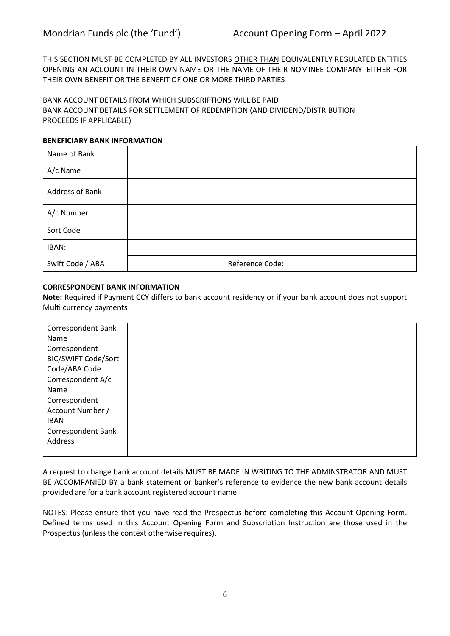THIS SECTION MUST BE COMPLETED BY ALL INVESTORS OTHER THAN EQUIVALENTLY REGULATED ENTITIES OPENING AN ACCOUNT IN THEIR OWN NAME OR THE NAME OF THEIR NOMINEE COMPANY, EITHER FOR THEIR OWN BENEFIT OR THE BENEFIT OF ONE OR MORE THIRD PARTIES

BANK ACCOUNT DETAILS FROM WHICH SUBSCRIPTIONS WILL BE PAID BANK ACCOUNT DETAILS FOR SETTLEMENT OF REDEMPTION (AND DIVIDEND/DISTRIBUTION PROCEEDS IF APPLICABLE)

### **BENEFICIARY BANK INFORMATION**

| Name of Bank     |                 |
|------------------|-----------------|
| A/c Name         |                 |
| Address of Bank  |                 |
| A/c Number       |                 |
| Sort Code        |                 |
| IBAN:            |                 |
| Swift Code / ABA | Reference Code: |

# **CORRESPONDENT BANK INFORMATION**

**Note:** Required if Payment CCY differs to bank account residency or if your bank account does not support Multi currency payments

| Correspondent Bank         |  |
|----------------------------|--|
| Name                       |  |
| Correspondent              |  |
| <b>BIC/SWIFT Code/Sort</b> |  |
| Code/ABA Code              |  |
| Correspondent A/c          |  |
| Name                       |  |
| Correspondent              |  |
| Account Number /           |  |
| <b>IBAN</b>                |  |
| Correspondent Bank         |  |
| Address                    |  |
|                            |  |

A request to change bank account details MUST BE MADE IN WRITING TO THE ADMINSTRATOR AND MUST BE ACCOMPANIED BY a bank statement or banker's reference to evidence the new bank account details provided are for a bank account registered account name

NOTES: Please ensure that you have read the Prospectus before completing this Account Opening Form. Defined terms used in this Account Opening Form and Subscription Instruction are those used in the Prospectus (unless the context otherwise requires).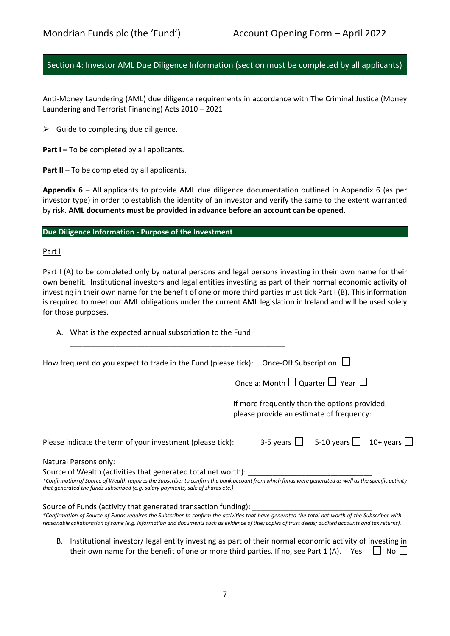# <span id="page-6-0"></span>Section 4: Investor AML Due Diligence Information (section must be completed by all applicants)

Anti-Money Laundering (AML) due diligence requirements in accordance with The Criminal Justice (Money Laundering and Terrorist Financing) Acts 2010 – 2021

 $\triangleright$  Guide to completing due diligence.

**Part I-To be completed by all applicants.** 

**Part II –** To be completed by all applicants.

**Appendix 6 –** All applicants to provide AML due diligence documentation outlined in Appendix 6 (as per investor type) in order to establish the identity of an investor and verify the same to the extent warranted by risk. **AML documents must be provided in advance before an account can be opened.**

# **Due Diligence Information - Purpose of the Investment**

Part I

Part I (A) to be completed only by natural persons and legal persons investing in their own name for their own benefit. Institutional investors and legal entities investing as part of their normal economic activity of investing in their own name for the benefit of one or more third parties must tick Part I (B). This information is required to meet our AML obligations under the current AML legislation in Ireland and will be used solely for those purposes.

| A. What is the expected annual subscription to the Fund                                                                                                                                                                                                                                                    |  |
|------------------------------------------------------------------------------------------------------------------------------------------------------------------------------------------------------------------------------------------------------------------------------------------------------------|--|
| How frequent do you expect to trade in the Fund (please tick): Once-Off Subscription $\Box$                                                                                                                                                                                                                |  |
| Once a: Month $\Box$ Quarter $\Box$ Year $\Box$                                                                                                                                                                                                                                                            |  |
| If more frequently than the options provided,<br>please provide an estimate of frequency:                                                                                                                                                                                                                  |  |
| 3-5 years $\Box$ 5-10 years $\Box$ 10+ years $\Box$<br>Please indicate the term of your investment (please tick):                                                                                                                                                                                          |  |
| Natural Persons only:                                                                                                                                                                                                                                                                                      |  |
| Source of Wealth (activities that generated total net worth):<br>*Confirmation of Source of Wealth requires the Subscriber to confirm the bank account from which funds were generated as well as the specific activity<br>that generated the funds subscribed (e.g. salary payments, sale of shares etc.) |  |
| Source of Funds (activity that generated transaction funding):                                                                                                                                                                                                                                             |  |
| *Confirmation of Source of Funds requires the Subscriber to confirm the activities that have generated the total net worth of the Subscriber with<br>reasonable collaboration of same (e.g. information and documents such as evidence of title; copies of trust deeds; audited accounts and tax returns). |  |

B. Institutional investor/ legal entity investing as part of their normal economic activity of investing in their own name for the benefit of one or more third parties. If no, see Part 1 (A). Yes  $\Box$  No  $\Box$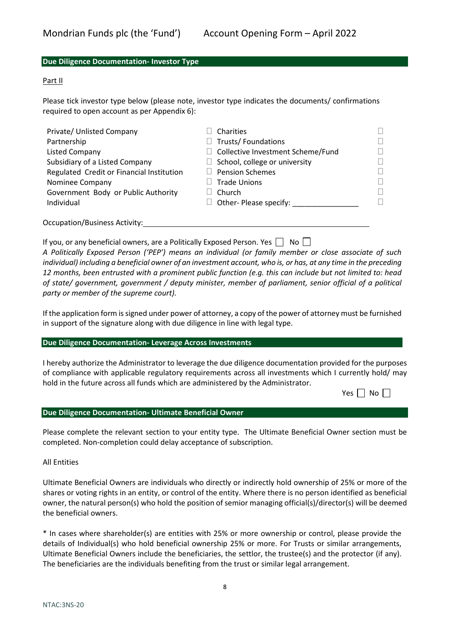### **Due Diligence Documentation- Investor Type**

#### Part II

Please tick investor type below (please note, investor type indicates the documents/ confirmations required to open account as per Appendix 6):

| Private/ Unlisted Company                 | Charities                                |        |
|-------------------------------------------|------------------------------------------|--------|
| Partnership                               | <b>Trusts/Foundations</b><br>$\Box$      | $\Box$ |
| <b>Listed Company</b>                     | $\Box$ Collective Investment Scheme/Fund | П      |
| Subsidiary of a Listed Company            | $\Box$ School, college or university     | П      |
| Regulated Credit or Financial Institution | <b>Pension Schemes</b>                   | П      |
| Nominee Company                           | <b>Trade Unions</b>                      | П      |
| Government Body or Public Authority       | Church                                   | $\Box$ |
| Individual                                | Other- Please specify:                   | H      |
| <b>Occupation/Business Activity:</b>      |                                          |        |

If you, or any beneficial owners, are a Politically Exposed Person. Yes  $\Box$  No  $\Box$ 

*A Politically Exposed Person ('PEP') means an individual (or family member or close associate of such individual) including a beneficial owner of an investment account, who is, or has, at any time in the preceding 12 months, been entrusted with a prominent public function (e.g. this can include but not limited to: head of state/ government, government / deputy minister, member of parliament, senior official of a political party or member of the supreme court).*

If the application form is signed under power of attorney, a copy of the power of attorney must be furnished in support of the signature along with due diligence in line with legal type.

#### **Due Diligence Documentation- Leverage Across Investments**

I hereby authorize the Administrator to leverage the due diligence documentation provided for the purposes of compliance with applicable regulatory requirements across all investments which I currently hold/ may hold in the future across all funds which are administered by the Administrator.

|  | Nο |  |
|--|----|--|
|--|----|--|

#### **Due Diligence Documentation- Ultimate Beneficial Owner**

Please complete the relevant section to your entity type. The Ultimate Beneficial Owner section must be completed. Non-completion could delay acceptance of subscription.

All Entities

Ultimate Beneficial Owners are individuals who directly or indirectly hold ownership of 25% or more of the shares or voting rights in an entity, or control of the entity. Where there is no person identified as beneficial owner, the natural person(s) who hold the position of semior managing official(s)/director(s) will be deemed the beneficial owners.

\* In cases where shareholder(s) are entities with 25% or more ownership or control, please provide the details of Individual(s) who hold beneficial ownership 25% or more. For Trusts or similar arrangements, Ultimate Beneficial Owners include the beneficiaries, the settlor, the trustee(s) and the protector (if any). The beneficiaries are the individuals benefiting from the trust or similar legal arrangement.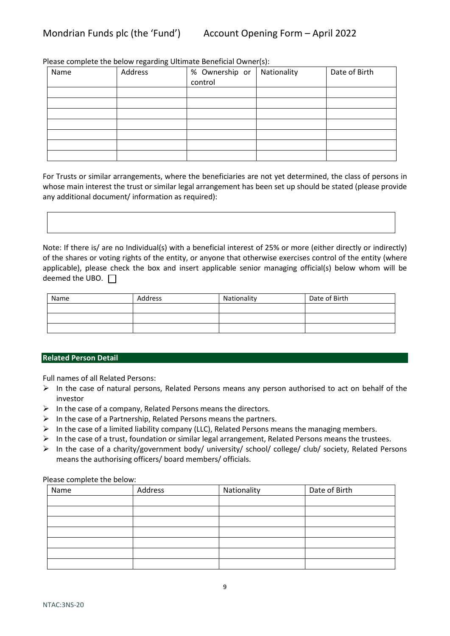Please complete the below regarding Ultimate Beneficial Owner(s):

| Name | Address | % Ownership or | Nationality | Date of Birth |
|------|---------|----------------|-------------|---------------|
|      |         | control        |             |               |
|      |         |                |             |               |
|      |         |                |             |               |
|      |         |                |             |               |
|      |         |                |             |               |
|      |         |                |             |               |
|      |         |                |             |               |
|      |         |                |             |               |

For Trusts or similar arrangements, where the beneficiaries are not yet determined, the class of persons in whose main interest the trust or similar legal arrangement has been set up should be stated (please provide any additional document/ information as required):

Note: If there is/ are no Individual(s) with a beneficial interest of 25% or more (either directly or indirectly) of the shares or voting rights of the entity, or anyone that otherwise exercises control of the entity (where applicable), please check the box and insert applicable senior managing official(s) below whom will be deemed the UBO.  $\Box$ 

| Name | Address | Nationality | Date of Birth |
|------|---------|-------------|---------------|
|      |         |             |               |
|      |         |             |               |
|      |         |             |               |

# **Related Person Detail**

Full names of all Related Persons:

- $\triangleright$  In the case of natural persons, Related Persons means any person authorised to act on behalf of the investor
- $\triangleright$  In the case of a company, Related Persons means the directors.
- $\triangleright$  In the case of a Partnership, Related Persons means the partners.
- $\triangleright$  In the case of a limited liability company (LLC), Related Persons means the managing members.
- $\triangleright$  In the case of a trust, foundation or similar legal arrangement, Related Persons means the trustees.
- In the case of a charity/government body/ university/ school/ college/ club/ society, Related Persons means the authorising officers/ board members/ officials.

Please complete the below:

| Name | Address | Nationality | Date of Birth |
|------|---------|-------------|---------------|
|      |         |             |               |
|      |         |             |               |
|      |         |             |               |
|      |         |             |               |
|      |         |             |               |
|      |         |             |               |
|      |         |             |               |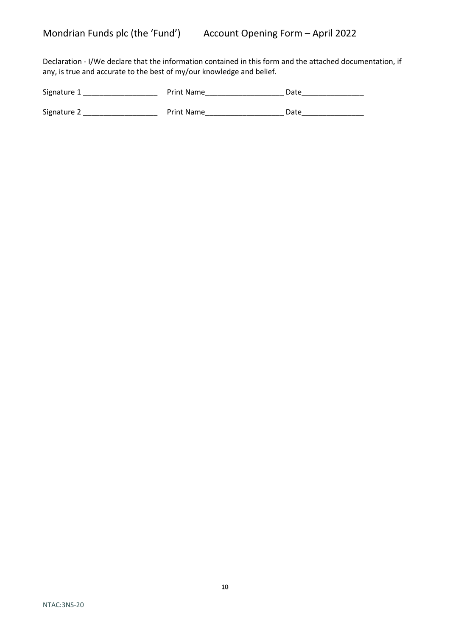Declaration - I/We declare that the information contained in this form and the attached documentation, if any, is true and accurate to the best of my/our knowledge and belief.

| Signature 1 | <b>Print Name</b> | Date |
|-------------|-------------------|------|
| Signature 2 | <b>Print Name</b> | Date |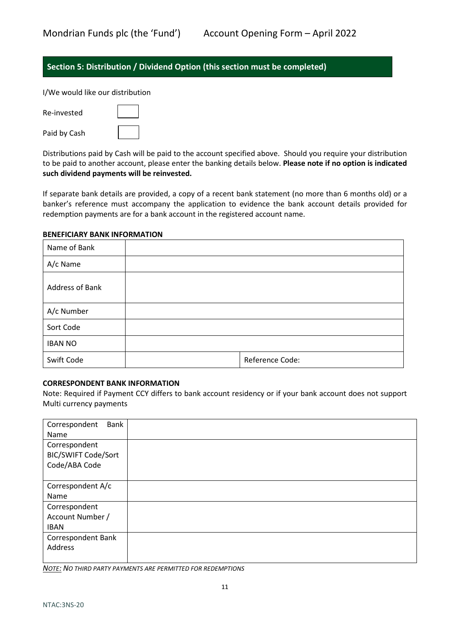# <span id="page-10-0"></span>**Section 5: Distribution / Dividend Option (this section must be completed)**

I/We would like our distribution

| Re-invested  |  |
|--------------|--|
| Paid by Cash |  |

Distributions paid by Cash will be paid to the account specified above. Should you require your distribution to be paid to another account, please enter the banking details below. **Please note if no option is indicated such dividend payments will be reinvested.**

If separate bank details are provided, a copy of a recent bank statement (no more than 6 months old) or a banker's reference must accompany the application to evidence the bank account details provided for redemption payments are for a bank account in the registered account name.

### **BENEFICIARY BANK INFORMATION**

| Name of Bank    |                 |
|-----------------|-----------------|
| A/c Name        |                 |
| Address of Bank |                 |
| A/c Number      |                 |
| Sort Code       |                 |
| <b>IBAN NO</b>  |                 |
| Swift Code      | Reference Code: |

# **CORRESPONDENT BANK INFORMATION**

Note: Required if Payment CCY differs to bank account residency or if your bank account does not support Multi currency payments

| Bank<br>Correspondent      |  |
|----------------------------|--|
| Name                       |  |
| Correspondent              |  |
| <b>BIC/SWIFT Code/Sort</b> |  |
| Code/ABA Code              |  |
|                            |  |
| Correspondent A/c          |  |
| Name                       |  |
| Correspondent              |  |
| Account Number /           |  |
| <b>IBAN</b>                |  |
| <b>Correspondent Bank</b>  |  |
| Address                    |  |
|                            |  |

*NOTE: NO THIRD PARTY PAYMENTS ARE PERMITTED FOR REDEMPTIONS*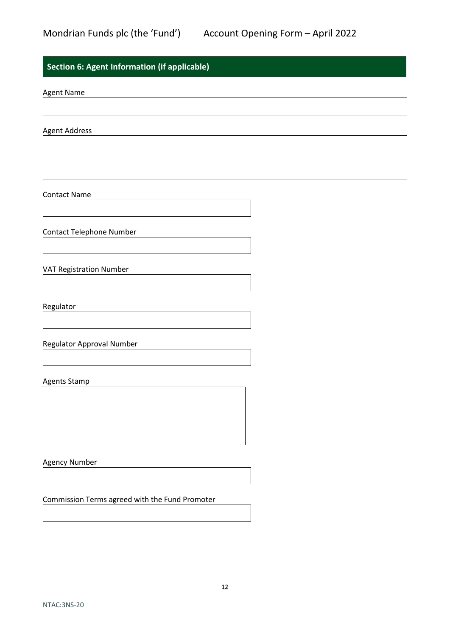# <span id="page-11-0"></span>**Section 6: Agent Information (if applicable)**

Agent Name

Agent Address

Contact Name

Contact Telephone Number

VAT Registration Number

Regulator

Regulator Approval Number

Agents Stamp

Agency Number

Commission Terms agreed with the Fund Promoter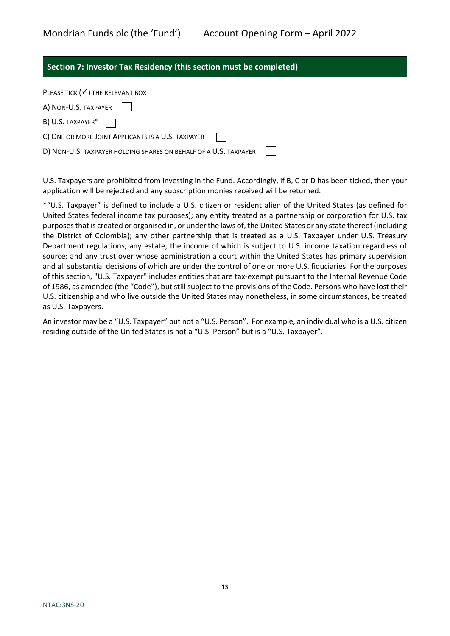# <span id="page-12-0"></span>**Section 7: Investor Tax Residency (this section must be completed)**

| PLEASE TICK $(\checkmark)$ The RELEVANT BOX                      |
|------------------------------------------------------------------|
| A) NON-U.S. TAXPAYER                                             |
| B) U.S. TAXPAYER* $\Box$                                         |
| C) ONE OR MORE JOINT APPLICANTS IS A U.S. TAXPAYER               |
| D) NON-U.S. TAXPAYER HOLDING SHARES ON BEHALF OF A U.S. TAXPAYER |

U.S. Taxpayers are prohibited from investing in the Fund. Accordingly, if B, C or D has been ticked, then your application will be rejected and any subscription monies received will be returned.

\*"U.S. Taxpayer" is defined to include a U.S. citizen or resident alien of the United States (as defined for United States federal income tax purposes); any entity treated as a partnership or corporation for U.S. tax purposes that is created or organised in, or under the laws of, the United States or any state thereof (including the District of Colombia); any other partnership that is treated as a U.S. Taxpayer under U.S. Treasury Department regulations; any estate, the income of which is subject to U.S. income taxation regardless of source; and any trust over whose administration a court within the United States has primary supervision and all substantial decisions of which are under the control of one or more U.S. fiduciaries. For the purposes of this section, "U.S. Taxpayer" includes entities that are tax-exempt pursuant to the Internal Revenue Code of 1986, as amended (the "Code"), but still subject to the provisions of the Code. Persons who have lost their U.S. citizenship and who live outside the United States may nonetheless, in some circumstances, be treated as U.S. Taxpayers.

An investor may be a "U.S. Taxpayer" but not a "U.S. Person". For example, an individual who is a U.S. citizen residing outside of the United States is not a "U.S. Person" but is a "U.S. Taxpayer".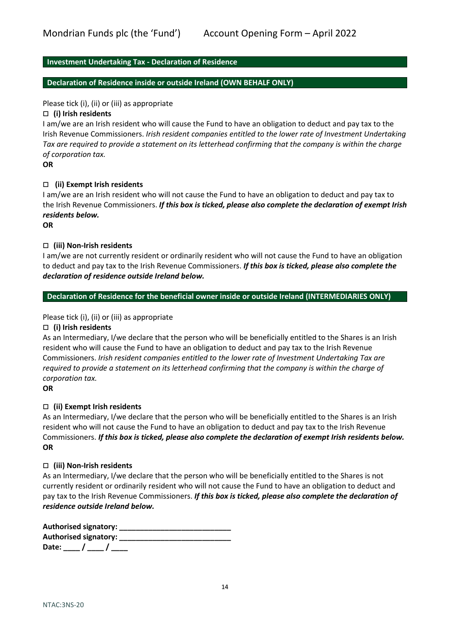# **Investment Undertaking Tax - Declaration of Residence**

### **Declaration of Residence inside or outside Ireland (OWN BEHALF ONLY)**

### Please tick (i), (ii) or (iii) as appropriate

#### **(i) Irish residents**

I am/we are an Irish resident who will cause the Fund to have an obligation to deduct and pay tax to the Irish Revenue Commissioners. *Irish resident companies entitled to the lower rate of Investment Undertaking Tax are required to provide a statement on its letterhead confirming that the company is within the charge of corporation tax.*

**OR**

### **(ii) Exempt Irish residents**

I am/we are an Irish resident who will not cause the Fund to have an obligation to deduct and pay tax to the Irish Revenue Commissioners. *If this box is ticked, please also complete the declaration of exempt Irish residents below.*

**OR**

# **(iii) Non-Irish residents**

I am/we are not currently resident or ordinarily resident who will not cause the Fund to have an obligation to deduct and pay tax to the Irish Revenue Commissioners. *If this box is ticked, please also complete the declaration of residence outside Ireland below.*

# **Declaration of Residence for the beneficial owner inside or outside Ireland (INTERMEDIARIES ONLY)**

### Please tick (i), (ii) or (iii) as appropriate

#### **(i) Irish residents**

As an Intermediary, I/we declare that the person who will be beneficially entitled to the Shares is an Irish resident who will cause the Fund to have an obligation to deduct and pay tax to the Irish Revenue Commissioners. *Irish resident companies entitled to the lower rate of Investment Undertaking Tax are required to provide a statement on its letterhead confirming that the company is within the charge of corporation tax.*

### **OR**

# **(ii) Exempt Irish residents**

As an Intermediary, I/we declare that the person who will be beneficially entitled to the Shares is an Irish resident who will not cause the Fund to have an obligation to deduct and pay tax to the Irish Revenue Commissioners. *If this box is ticked, please also complete the declaration of exempt Irish residents below.* **OR**

#### **(iii) Non-Irish residents**

As an Intermediary, I/we declare that the person who will be beneficially entitled to the Shares is not currently resident or ordinarily resident who will not cause the Fund to have an obligation to deduct and pay tax to the Irish Revenue Commissioners. *If this box is ticked, please also complete the declaration of residence outside Ireland below.*

| Authorised signatory: __ |  |
|--------------------------|--|
| Authorised signatory: __ |  |
| Date: $/$ /              |  |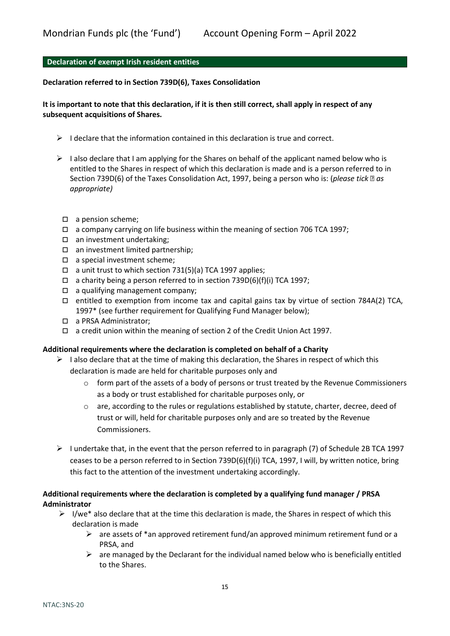# **Declaration of exempt Irish resident entities**

#### **Declaration referred to in Section 739D(6), Taxes Consolidation**

# **It is important to note that this declaration, if it is then still correct, shall apply in respect of any subsequent acquisitions of Shares.**

- I declare that the information contained in this declaration is true and correct.
- $\triangleright$  I also declare that I am applying for the Shares on behalf of the applicant named below who is entitled to the Shares in respect of which this declaration is made and is a person referred to in Section 739D(6) of the Taxes Consolidation Act, 1997, being a person who is: (*please tick as appropriate)* 
	- $\square$  a pension scheme;
	- $\Box$  a company carrying on life business within the meaning of section 706 TCA 1997;
	- $\square$  an investment undertaking;
	- $\Box$  an investment limited partnership;
	- □ a special investment scheme;
	- $\Box$  a unit trust to which section 731(5)(a) TCA 1997 applies;
	- $\Box$  a charity being a person referred to in section 739D(6)(f)(i) TCA 1997;
	- $\Box$  a qualifying management company;
	- $\Box$  entitled to exemption from income tax and capital gains tax by virtue of section 784A(2) TCA, 1997\* (see further requirement for Qualifying Fund Manager below);
	- a PRSA Administrator;
	- $\Box$  a credit union within the meaning of section 2 of the Credit Union Act 1997.

#### **Additional requirements where the declaration is completed on behalf of a Charity**

- $\triangleright$  I also declare that at the time of making this declaration, the Shares in respect of which this declaration is made are held for charitable purposes only and
	- $\circ$  form part of the assets of a body of persons or trust treated by the Revenue Commissioners as a body or trust established for charitable purposes only, or
	- o are, according to the rules or regulations established by statute, charter, decree, deed of trust or will, held for charitable purposes only and are so treated by the Revenue Commissioners.
- $\triangleright$  I undertake that, in the event that the person referred to in paragraph (7) of Schedule 2B TCA 1997 ceases to be a person referred to in Section 739D(6)(f)(i) TCA, 1997, I will, by written notice, bring this fact to the attention of the investment undertaking accordingly.

# **Additional requirements where the declaration is completed by a qualifying fund manager / PRSA Administrator**

- $\triangleright$  I/we\* also declare that at the time this declaration is made, the Shares in respect of which this declaration is made
	- $\triangleright$  are assets of \*an approved retirement fund/an approved minimum retirement fund or a PRSA, and
	- $\triangleright$  are managed by the Declarant for the individual named below who is beneficially entitled to the Shares.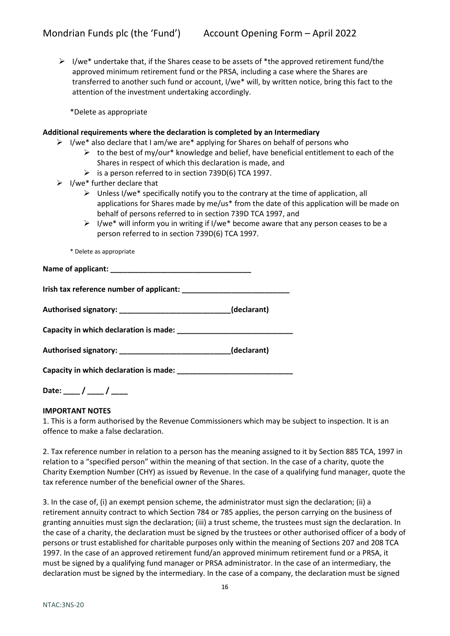$\triangleright$  I/we\* undertake that, if the Shares cease to be assets of \*the approved retirement fund/the approved minimum retirement fund or the PRSA, including a case where the Shares are transferred to another such fund or account, I/we\* will, by written notice, bring this fact to the attention of the investment undertaking accordingly.

\*Delete as appropriate

# **Additional requirements where the declaration is completed by an Intermediary**

- $\triangleright$  I/we\* also declare that I am/we are\* applying for Shares on behalf of persons who
	- $\triangleright$  to the best of my/our\* knowledge and belief, have beneficial entitlement to each of the Shares in respect of which this declaration is made, and
	- $\triangleright$  is a person referred to in section 739D(6) TCA 1997.
- $\triangleright$  I/we\* further declare that
	- $\triangleright$  Unless I/we\* specifically notify you to the contrary at the time of application, all applications for Shares made by me/us\* from the date of this application will be made on behalf of persons referred to in section 739D TCA 1997, and
	- $\triangleright$  I/we\* will inform you in writing if I/we\* become aware that any person ceases to be a person referred to in section 739D(6) TCA 1997.

\* Delete as appropriate

| Authorised signatory: _______________________________(declarant) |  |
|------------------------------------------------------------------|--|
|                                                                  |  |
| Authorised signatory: _______________________________(declarant) |  |
|                                                                  |  |

**Date: \_\_\_\_ / \_\_\_\_ / \_\_\_\_**

# **IMPORTANT NOTES**

1. This is a form authorised by the Revenue Commissioners which may be subject to inspection. It is an offence to make a false declaration.

2. Tax reference number in relation to a person has the meaning assigned to it by Section 885 TCA, 1997 in relation to a "specified person" within the meaning of that section. In the case of a charity, quote the Charity Exemption Number (CHY) as issued by Revenue. In the case of a qualifying fund manager, quote the tax reference number of the beneficial owner of the Shares.

3. In the case of, (i) an exempt pension scheme, the administrator must sign the declaration; (ii) a retirement annuity contract to which Section 784 or 785 applies, the person carrying on the business of granting annuities must sign the declaration; (iii) a trust scheme, the trustees must sign the declaration. In the case of a charity, the declaration must be signed by the trustees or other authorised officer of a body of persons or trust established for charitable purposes only within the meaning of Sections 207 and 208 TCA 1997. In the case of an approved retirement fund/an approved minimum retirement fund or a PRSA, it must be signed by a qualifying fund manager or PRSA administrator. In the case of an intermediary, the declaration must be signed by the intermediary. In the case of a company, the declaration must be signed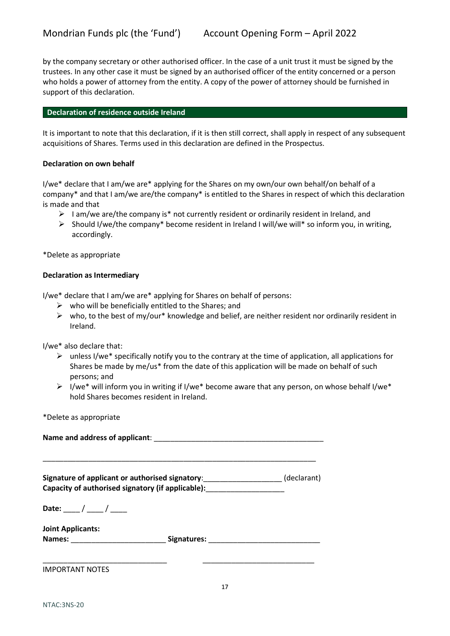by the company secretary or other authorised officer. In the case of a unit trust it must be signed by the trustees. In any other case it must be signed by an authorised officer of the entity concerned or a person who holds a power of attorney from the entity. A copy of the power of attorney should be furnished in support of this declaration.

### **Declaration of residence outside Ireland**

It is important to note that this declaration, if it is then still correct, shall apply in respect of any subsequent acquisitions of Shares. Terms used in this declaration are defined in the Prospectus.

### **Declaration on own behalf**

I/we\* declare that I am/we are\* applying for the Shares on my own/our own behalf/on behalf of a company\* and that I am/we are/the company\* is entitled to the Shares in respect of which this declaration is made and that

- $\triangleright$  I am/we are/the company is\* not currently resident or ordinarily resident in Ireland, and
- $\triangleright$  Should I/we/the company\* become resident in Ireland I will/we will\* so inform you, in writing, accordingly.

\*Delete as appropriate

### **Declaration as Intermediary**

I/we\* declare that I am/we are\* applying for Shares on behalf of persons:

- $\triangleright$  who will be beneficially entitled to the Shares; and
- $\triangleright$  who, to the best of my/our\* knowledge and belief, are neither resident nor ordinarily resident in Ireland.

I/we\* also declare that:

- $\triangleright$  unless I/we\* specifically notify you to the contrary at the time of application, all applications for Shares be made by me/us\* from the date of this application will be made on behalf of such persons; and
- $\triangleright$  I/we\* will inform you in writing if I/we\* become aware that any person, on whose behalf I/we\* hold Shares becomes resident in Ireland.

\*Delete as appropriate

| Name and address of applicant: |  |
|--------------------------------|--|
|                                |  |

\_\_\_\_\_\_\_\_\_\_\_\_\_\_\_\_\_\_\_\_\_\_\_\_\_\_\_\_\_\_\_\_\_\_\_\_\_\_\_\_\_\_\_\_\_\_\_\_\_\_\_\_\_\_\_\_\_\_\_\_\_\_\_\_\_\_

**Signature of applicant or authorised signatory**:\_\_\_\_\_\_\_\_\_\_\_\_\_\_\_\_\_\_\_ (declarant) **Capacity of authorised signatory (if applicable):**\_\_\_\_\_\_\_\_\_\_\_\_\_\_\_\_\_\_\_

**Date:** \_\_\_\_ / \_\_\_\_ / \_\_\_\_

| Joint Applicants: |             |
|-------------------|-------------|
| Names:            | Signatures: |

\_\_\_\_\_\_\_\_\_\_\_\_\_\_\_\_\_\_\_\_\_\_\_\_\_\_\_\_\_\_ \_\_\_\_\_\_\_\_\_\_\_\_\_\_\_\_\_\_\_\_\_\_\_\_\_\_\_

IMPORTANT NOTES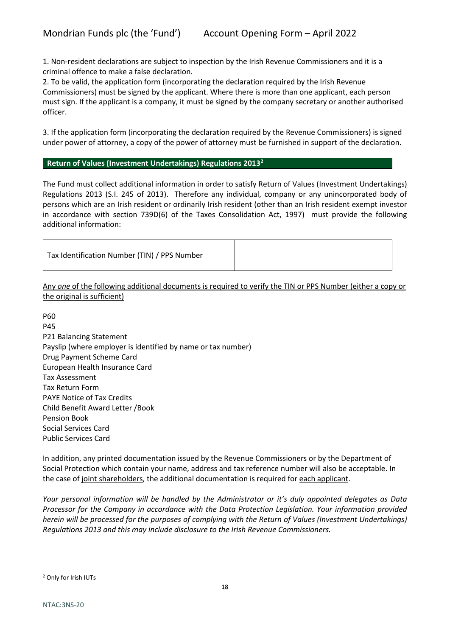1. Non-resident declarations are subject to inspection by the Irish Revenue Commissioners and it is a criminal offence to make a false declaration.

2. To be valid, the application form (incorporating the declaration required by the Irish Revenue Commissioners) must be signed by the applicant. Where there is more than one applicant, each person must sign. If the applicant is a company, it must be signed by the company secretary or another authorised officer.

3. If the application form (incorporating the declaration required by the Revenue Commissioners) is signed under power of attorney, a copy of the power of attorney must be furnished in support of the declaration.

# **Return of Values (Investment Undertakings) Regulations 2013[2](#page-17-0)**

The Fund must collect additional information in order to satisfy Return of Values (Investment Undertakings) Regulations 2013 (S.I. 245 of 2013). Therefore any individual, company or any unincorporated body of persons which are an Irish resident or ordinarily Irish resident (other than an Irish resident exempt investor in accordance with section 739D(6) of the Taxes Consolidation Act, 1997) must provide the following additional information:

| Tax Identification Number (TIN) / PPS Number |  |
|----------------------------------------------|--|
|----------------------------------------------|--|

Any *one* of the following additional documents is required to verify the TIN or PPS Number (either a copy or the original is sufficient)

P60 P45 P21 Balancing Statement Payslip (where employer is identified by name or tax number) Drug Payment Scheme Card European Health Insurance Card Tax Assessment Tax Return Form PAYE Notice of Tax Credits Child Benefit Award Letter /Book Pension Book Social Services Card Public Services Card

In addition, any printed documentation issued by the Revenue Commissioners or by the Department of Social Protection which contain your name, address and tax reference number will also be acceptable. In the case of joint shareholders, the additional documentation is required for each applicant.

*Your personal information will be handled by the Administrator or it's duly appointed delegates as Data Processor for the Company in accordance with the Data Protection Legislation. Your information provided herein will be processed for the purposes of complying with the Return of Values (Investment Undertakings) Regulations 2013 and this may include disclosure to the Irish Revenue Commissioners.*

<span id="page-17-0"></span><sup>2</sup> Only for Irish IUTs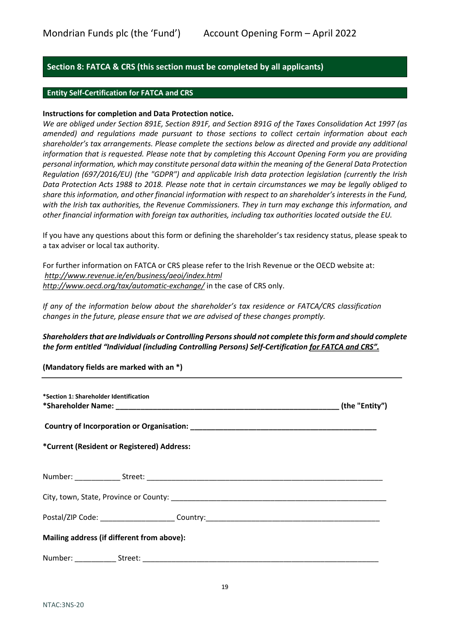# <span id="page-18-0"></span>**Section 8: FATCA & CRS (this section must be completed by all applicants)**

# **Entity Self-Certification for FATCA and CRS**

# **Instructions for completion and Data Protection notice.**

*We are obliged under Section 891E, Section 891F, and Section 891G of the Taxes Consolidation Act 1997 (as amended) and regulations made pursuant to those sections to collect certain information about each shareholder's tax arrangements. Please complete the sections below as directed and provide any additional information that is requested. Please note that by completing this Account Opening Form you are providing personal information, which may constitute personal data within the meaning of the General Data Protection Regulation (697/2016/EU) (the "GDPR") and applicable Irish data protection legislation (currently the Irish Data Protection Acts 1988 to 2018. Please note that in certain circumstances we may be legally obliged to share this information, and other financial information with respect to an shareholder's interests in the Fund, with the Irish tax authorities, the Revenue Commissioners. They in turn may exchange this information, and other financial information with foreign tax authorities, including tax authorities located outside the EU.* 

If you have any questions about this form or defining the shareholder's tax residency status, please speak to a tax adviser or local tax authority.

For further information on FATCA or CRS please refer to the Irish Revenue or the OECD website at: *<http://www.revenue.ie/en/business/aeoi/index.html> <http://www.oecd.org/tax/automatic-exchange/>* in the case of CRS only.

*If any of the information below about the shareholder's tax residence or FATCA/CRS classification changes in the future, please ensure that we are advised of these changes promptly.*

# *Shareholdersthat are Individuals or Controlling Persons should not complete this form and should complete the form entitled "Individual (including Controlling Persons) Self-Certification for FATCA and CRS".*

**(Mandatory fields are marked with an \*)**

| *Section 1: Shareholder Identification     |  |  |  |
|--------------------------------------------|--|--|--|
|                                            |  |  |  |
| *Current (Resident or Registered) Address: |  |  |  |
|                                            |  |  |  |
|                                            |  |  |  |
|                                            |  |  |  |
| Mailing address (if different from above): |  |  |  |
|                                            |  |  |  |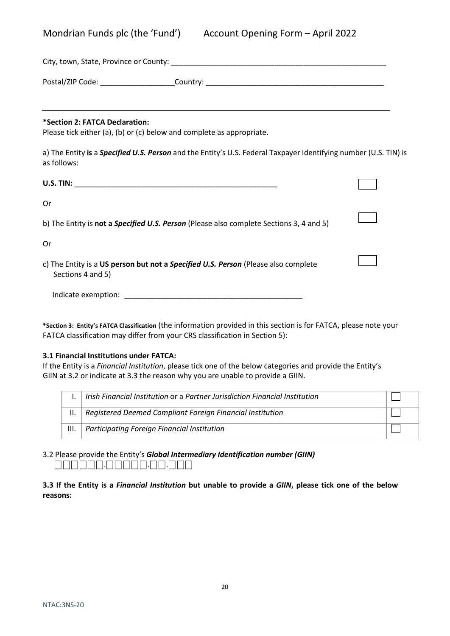|  | Mondrian Funds plc (the 'Fund') |  |  |  |
|--|---------------------------------|--|--|--|
|--|---------------------------------|--|--|--|

|                                                                                                         | City, town, State, Province or County: New York City, town, New York City, New York City, New York City, New York City, New York City, New York City, New York City, New York City, New York City, New York City, New York Cit |  |
|---------------------------------------------------------------------------------------------------------|--------------------------------------------------------------------------------------------------------------------------------------------------------------------------------------------------------------------------------|--|
|                                                                                                         | Postal/ZIP Code: ______________________Country: ________________________________                                                                                                                                               |  |
| *Section 2: FATCA Declaration:<br>Please tick either (a), (b) or (c) below and complete as appropriate. |                                                                                                                                                                                                                                |  |
| as follows:                                                                                             | a) The Entity is a Specified U.S. Person and the Entity's U.S. Federal Taxpayer Identifying number (U.S. TIN) is                                                                                                               |  |
|                                                                                                         |                                                                                                                                                                                                                                |  |
| 0r                                                                                                      |                                                                                                                                                                                                                                |  |
|                                                                                                         | b) The Entity is not a Specified U.S. Person (Please also complete Sections 3, 4 and 5)                                                                                                                                        |  |
| 0r                                                                                                      |                                                                                                                                                                                                                                |  |
| Sections 4 and 5)                                                                                       | c) The Entity is a US person but not a Specified U.S. Person (Please also complete                                                                                                                                             |  |
| Indicate exemption:                                                                                     |                                                                                                                                                                                                                                |  |

**\*Section 3: Entity's FATCA Classification** (the information provided in this section is for FATCA, please note your FATCA classification may differ from your CRS classification in Section 5):

# **3.1 Financial Institutions under FATCA:**

If the Entity is a *Financial Institution*, please tick one of the below categories and provide the Entity's GIIN at 3.2 or indicate at 3.3 the reason why you are unable to provide a GIIN.

|      | Irish Financial Institution or a Partner Jurisdiction Financial Institution |  |
|------|-----------------------------------------------------------------------------|--|
|      | Registered Deemed Compliant Foreign Financial Institution                   |  |
| III. | Participating Foreign Financial Institution                                 |  |

3.2 Please provide the Entity's *Global Intermediary Identification number (GIIN)* ⎕⎕⎕⎕⎕⎕.⎕⎕⎕⎕⎕.⎕⎕.⎕⎕⎕

**3.3 If the Entity is a** *Financial Institution* **but unable to provide a** *GIIN***, please tick one of the below reasons:**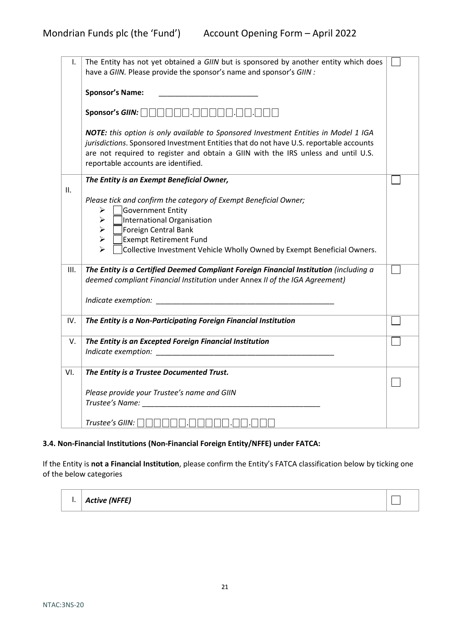| I.   | The Entity has not yet obtained a GIIN but is sponsored by another entity which does<br>have a GIIN. Please provide the sponsor's name and sponsor's GIIN :                                                                                                                                               |  |
|------|-----------------------------------------------------------------------------------------------------------------------------------------------------------------------------------------------------------------------------------------------------------------------------------------------------------|--|
|      | <b>Sponsor's Name:</b>                                                                                                                                                                                                                                                                                    |  |
|      | Sponsor's GIIN: $\Box$                                                                                                                                                                                                                                                                                    |  |
|      | NOTE: this option is only available to Sponsored Investment Entities in Model 1 IGA<br>jurisdictions. Sponsored Investment Entities that do not have U.S. reportable accounts<br>are not required to register and obtain a GIIN with the IRS unless and until U.S.<br>reportable accounts are identified. |  |
| ΙΙ.  | The Entity is an Exempt Beneficial Owner,                                                                                                                                                                                                                                                                 |  |
|      | Please tick and confirm the category of Exempt Beneficial Owner;<br>Government Entity<br>$\blacktriangleright$<br>International Organisation<br>➤<br>Foreign Central Bank<br>➤<br><b>Exempt Retirement Fund</b><br>$\blacktriangleright$<br>↘                                                             |  |
|      | Collective Investment Vehicle Wholly Owned by Exempt Beneficial Owners.                                                                                                                                                                                                                                   |  |
| III. | The Entity is a Certified Deemed Compliant Foreign Financial Institution (including a<br>deemed compliant Financial Institution under Annex II of the IGA Agreement)                                                                                                                                      |  |
|      | Indicate exemption:                                                                                                                                                                                                                                                                                       |  |
| IV.  | The Entity is a Non-Participating Foreign Financial Institution                                                                                                                                                                                                                                           |  |
| V.   | The Entity is an Excepted Foreign Financial Institution                                                                                                                                                                                                                                                   |  |
| VI.  | The Entity is a Trustee Documented Trust.                                                                                                                                                                                                                                                                 |  |
|      | Please provide your Trustee's name and GIIN<br>Trustee's Name: Trustee's Name:                                                                                                                                                                                                                            |  |
|      | Trustee's GIIN:                                                                                                                                                                                                                                                                                           |  |

# **3.4. Non-Financial Institutions (Non-Financial Foreign Entity/NFFE) under FATCA:**

If the Entity is **not a Financial Institution**, please confirm the Entity's FATCA classification below by ticking one of the below categories

| $\vert$ .   Active (NFFE) |  |
|---------------------------|--|
|                           |  |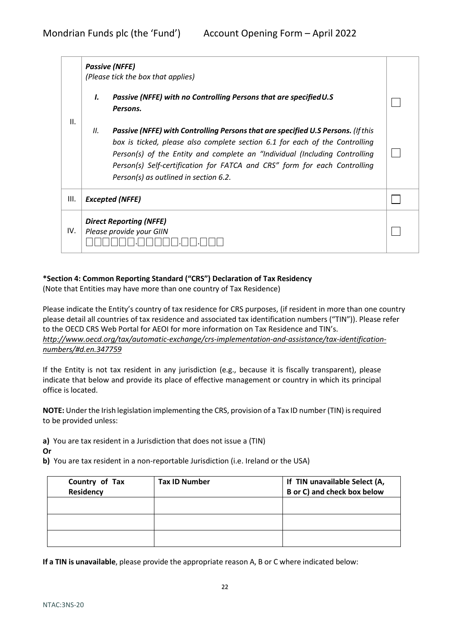|      |     | <b>Passive (NFFE)</b><br>(Please tick the box that applies)                                                                                                                                                                                                                                                                                                         |  |
|------|-----|---------------------------------------------------------------------------------------------------------------------------------------------------------------------------------------------------------------------------------------------------------------------------------------------------------------------------------------------------------------------|--|
|      | Ι.  | Passive (NFFE) with no Controlling Persons that are specified U.S<br>Persons.                                                                                                                                                                                                                                                                                       |  |
| II.  | II. | Passive (NFFE) with Controlling Persons that are specified U.S Persons. (If this<br>box is ticked, please also complete section 6.1 for each of the Controlling<br>Person(s) of the Entity and complete an "Individual (Including Controlling<br>Person(s) Self-certification for FATCA and CRS" form for each Controlling<br>Person(s) as outlined in section 6.2. |  |
| III. |     | <b>Excepted (NFFE)</b>                                                                                                                                                                                                                                                                                                                                              |  |
| IV.  |     | <b>Direct Reporting (NFFE)</b><br>Please provide your GIIN                                                                                                                                                                                                                                                                                                          |  |

# **\*Section 4: Common Reporting Standard ("CRS") Declaration of Tax Residency**

(Note that Entities may have more than one country of Tax Residence)

Please indicate the Entity's country of tax residence for CRS purposes, (if resident in more than one country please detail all countries of tax residence and associated tax identification numbers ("TIN")). Please refer to the OECD CRS Web Portal for AEOI for more information on Tax Residence and TIN's. *[http://www.oecd.org/tax/automatic-exchange/crs-implementation-and-assistance/tax-identification](http://www.oecd.org/tax/automatic-exchange/crs-implementation-and-assistance/tax-identification-numbers/#d.en.347759)[numbers/#d.en.347759](http://www.oecd.org/tax/automatic-exchange/crs-implementation-and-assistance/tax-identification-numbers/#d.en.347759)*

If the Entity is not tax resident in any jurisdiction (e.g., because it is fiscally transparent), please indicate that below and provide its place of effective management or country in which its principal office is located.

**NOTE:** Under the Irish legislation implementing the CRS, provision of a Tax ID number (TIN) is required to be provided unless:

**a)** You are tax resident in a Jurisdiction that does not issue a (TIN) **Or**

**b)** You are tax resident in a non-reportable Jurisdiction (i.e. Ireland or the USA)

| Country of Tax<br>Residency | <b>Tax ID Number</b> | If TIN unavailable Select (A,<br><b>B</b> or C) and check box below |
|-----------------------------|----------------------|---------------------------------------------------------------------|
|                             |                      |                                                                     |
|                             |                      |                                                                     |
|                             |                      |                                                                     |

**If a TIN is unavailable**, please provide the appropriate reason A, B or C where indicated below: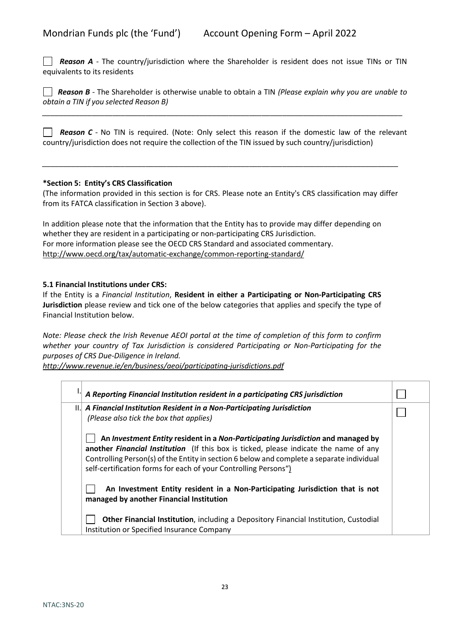*Reason A -* The country/jurisdiction where the Shareholder is resident does not issue TINs or TIN equivalents to its residents

 *Reason B -* The Shareholder is otherwise unable to obtain a TIN *(Please explain why you are unable to obtain a TIN if you selected Reason B)*

*\_\_\_\_\_\_\_\_\_\_\_\_\_\_\_\_\_\_\_\_\_\_\_\_\_\_\_\_\_\_\_\_\_\_\_\_\_\_\_\_\_\_\_\_\_\_\_\_\_\_\_\_\_\_\_\_\_\_\_\_\_\_\_\_\_\_\_\_\_\_\_\_\_\_\_\_\_\_\_\_\_\_\_\_\_\_\_* 

**Reason C** - No TIN is required. (Note: Only select this reason if the domestic law of the relevant country/jurisdiction does not require the collection of the TIN issued by such country/jurisdiction)

### **\*Section 5: Entity's CRS Classification**

(The information provided in this section is for CRS. Please note an Entity's CRS classification may differ from its FATCA classification in Section 3 above).

*\_\_\_\_\_\_\_\_\_\_\_\_\_\_\_\_\_\_\_\_\_\_\_\_\_\_\_\_\_\_\_\_\_\_\_\_\_\_\_\_\_\_\_\_\_\_\_\_\_\_\_\_\_\_\_\_\_\_\_\_\_\_\_\_\_\_\_\_\_\_\_\_\_\_\_\_\_\_\_\_\_\_\_\_\_\_*

In addition please note that the information that the Entity has to provide may differ depending on whether they are resident in a participating or non-participating CRS Jurisdiction. For more information please see the OECD CRS Standard and associated commentary. <http://www.oecd.org/tax/automatic-exchange/common-reporting-standard/>

# **5.1 Financial Institutions under CRS:**

If the Entity is a *Financial Institution*, **Resident in either a Participating or Non-Participating CRS Jurisdiction** please review and tick one of the below categories that applies and specify the type of Financial Institution below.

*Note: Please check the Irish Revenue AEOI portal at the time of completion of this form to confirm whether your country of Tax Jurisdiction is considered Participating or Non-Participating for the purposes of CRS Due-Diligence in Ireland.* 

*<http://www.revenue.ie/en/business/aeoi/participating-jurisdictions.pdf>*

| A Reporting Financial Institution resident in a participating CRS jurisdiction                                                                                                                                                                                                                                                            |  |
|-------------------------------------------------------------------------------------------------------------------------------------------------------------------------------------------------------------------------------------------------------------------------------------------------------------------------------------------|--|
| II. A Financial Institution Resident in a Non-Participating Jurisdiction<br>(Please also tick the box that applies)                                                                                                                                                                                                                       |  |
| An Investment Entity resident in a Non-Participating Jurisdiction and managed by<br>another Financial Institution (If this box is ticked, please indicate the name of any<br>Controlling Person(s) of the Entity in section 6 below and complete a separate individual<br>self-certification forms for each of your Controlling Persons") |  |
| An Investment Entity resident in a Non-Participating Jurisdiction that is not<br>managed by another Financial Institution                                                                                                                                                                                                                 |  |
| Other Financial Institution, including a Depository Financial Institution, Custodial<br>Institution or Specified Insurance Company                                                                                                                                                                                                        |  |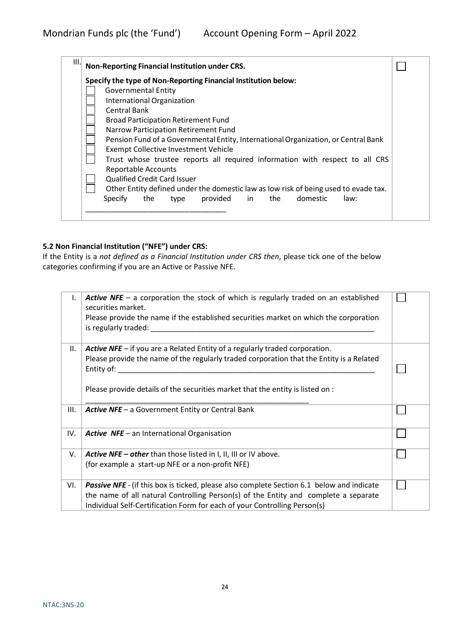| Specify the type of Non-Reporting Financial Institution below:                                                                                                                                                                                                                                                                                                                                                                                                                                                                                                                                                                       |  |
|--------------------------------------------------------------------------------------------------------------------------------------------------------------------------------------------------------------------------------------------------------------------------------------------------------------------------------------------------------------------------------------------------------------------------------------------------------------------------------------------------------------------------------------------------------------------------------------------------------------------------------------|--|
| <b>Governmental Entity</b><br>International Organization<br><b>Central Bank</b><br><b>Broad Participation Retirement Fund</b><br>Narrow Participation Retirement Fund<br>Pension Fund of a Governmental Entity, International Organization, or Central Bank<br><b>Exempt Collective Investment Vehicle</b><br>Trust whose trustee reports all required information with respect to all CRS<br><b>Reportable Accounts</b><br><b>Qualified Credit Card Issuer</b><br>Other Entity defined under the domestic law as low risk of being used to evade tax.<br>provided<br>in<br>domestic<br><b>Specify</b><br>the<br>the<br>law:<br>type |  |

# **5.2 Non Financial Institution ("NFE") under CRS:**

If the Entity is a *not defined as a Financial Institution under CRS then*, please tick one of the below categories confirming if you are an Active or Passive NFE.

| Ι.  | <b>Active NFE</b> – a corporation the stock of which is regularly traded on an established<br>securities market.<br>Please provide the name if the established securities market on which the corporation<br>is regularly traded: |  |
|-----|-----------------------------------------------------------------------------------------------------------------------------------------------------------------------------------------------------------------------------------|--|
| Ш.  | <b>Active NFE</b> $-$ if you are a Related Entity of a regularly traded corporation.<br>Please provide the name of the regularly traded corporation that the Entity is a Related<br>Entity of:                                    |  |
|     | Please provide details of the securities market that the entity is listed on :                                                                                                                                                    |  |
| Ш.  | <b>Active NFE</b> - a Government Entity or Central Bank                                                                                                                                                                           |  |
| IV. | <b>Active NFE</b> – an International Organisation                                                                                                                                                                                 |  |
| V.  | Active NFE - other than those listed in I, II, III or IV above.                                                                                                                                                                   |  |
|     | (for example a start-up NFE or a non-profit NFE)                                                                                                                                                                                  |  |
| VI. | <b>Passive NFE</b> - (if this box is ticked, please also complete Section 6.1 below and indicate                                                                                                                                  |  |
|     | the name of all natural Controlling Person(s) of the Entity and complete a separate                                                                                                                                               |  |
|     | Individual Self-Certification Form for each of your Controlling Person(s)                                                                                                                                                         |  |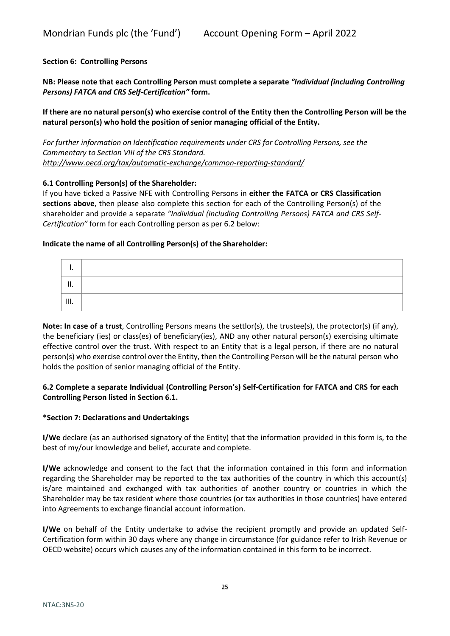# **Section 6: Controlling Persons**

**NB: Please note that each Controlling Person must complete a separate** *"Individual (including Controlling Persons) FATCA and CRS Self-Certification"* **form.** 

**If there are no natural person(s) who exercise control of the Entity then the Controlling Person will be the natural person(s) who hold the position of senior managing official of the Entity.** 

*For further information on Identification requirements under CRS for Controlling Persons, see the Commentary to Section VIII of the CRS Standard. <http://www.oecd.org/tax/automatic-exchange/common-reporting-standard/>*

# **6.1 Controlling Person(s) of the Shareholder:**

If you have ticked a Passive NFE with Controlling Persons in **either the FATCA or CRS Classification sections above**, then please also complete this section for each of the Controlling Person(s) of the shareholder and provide a separate *"Individual (including Controlling Persons) FATCA and CRS Self-Certification"* form for each Controlling person as per 6.2 below:

### **Indicate the name of all Controlling Person(s) of the Shareholder:**

| Ш. |  |
|----|--|

**Note: In case of a trust**, Controlling Persons means the settlor(s), the trustee(s), the protector(s) (if any), the beneficiary (ies) or class(es) of beneficiary(ies), AND any other natural person(s) exercising ultimate effective control over the trust. With respect to an Entity that is a legal person, if there are no natural person(s) who exercise control over the Entity, then the Controlling Person will be the natural person who holds the position of senior managing official of the Entity.

# **6.2 Complete a separate Individual (Controlling Person's) Self-Certification for FATCA and CRS for each Controlling Person listed in Section 6.1.**

#### **\*Section 7: Declarations and Undertakings**

**I/We** declare (as an authorised signatory of the Entity) that the information provided in this form is, to the best of my/our knowledge and belief, accurate and complete.

**I/We** acknowledge and consent to the fact that the information contained in this form and information regarding the Shareholder may be reported to the tax authorities of the country in which this account(s) is/are maintained and exchanged with tax authorities of another country or countries in which the Shareholder may be tax resident where those countries (or tax authorities in those countries) have entered into Agreements to exchange financial account information.

**I/We** on behalf of the Entity undertake to advise the recipient promptly and provide an updated Self-Certification form within 30 days where any change in circumstance (for guidance refer to Irish Revenue or OECD website) occurs which causes any of the information contained in this form to be incorrect.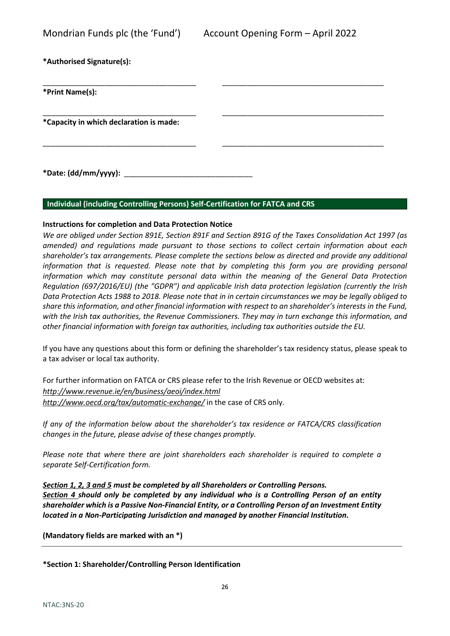**\*Authorised Signature(s):** 

| *Authorised Signature(s):               |  |
|-----------------------------------------|--|
| *Print Name(s):                         |  |
| *Capacity in which declaration is made: |  |

**\*Date: (dd/mm/yyyy):** \_\_\_\_\_\_\_\_\_\_\_\_\_\_\_\_\_\_\_\_\_\_\_\_\_\_\_\_\_\_\_

# **Individual (including Controlling Persons) Self-Certification for FATCA and CRS**

# **Instructions for completion and Data Protection Notice**

*We are obliged under Section 891E, Section 891F and Section 891G of the Taxes Consolidation Act 1997 (as amended) and regulations made pursuant to those sections to collect certain information about each shareholder's tax arrangements. Please complete the sections below as directed and provide any additional*  information that is requested. Please note that by completing this form you are providing personal *information which may constitute personal data within the meaning of the General Data Protection Regulation (697/2016/EU) (the "GDPR") and applicable Irish data protection legislation (currently the Irish Data Protection Acts 1988 to 2018. Please note that in in certain circumstances we may be legally obliged to share this information, and other financial information with respect to an shareholder's interests in the Fund, with the Irish tax authorities, the Revenue Commissioners. They may in turn exchange this information, and other financial information with foreign tax authorities, including tax authorities outside the EU.* 

\_\_\_\_\_\_\_\_\_\_\_\_\_\_\_\_\_\_\_\_\_\_\_\_\_\_\_\_\_\_\_\_\_\_\_\_\_ \_\_\_\_\_\_\_\_\_\_\_\_\_\_\_\_\_\_\_\_\_\_\_\_\_\_\_\_\_\_\_\_\_\_\_\_\_\_\_

If you have any questions about this form or defining the shareholder's tax residency status, please speak to a tax adviser or local tax authority.

For further information on FATCA or CRS please refer to the Irish Revenue or OECD websites at: *<http://www.revenue.ie/en/business/aeoi/index.html> <http://www.oecd.org/tax/automatic-exchange/>* in the case of CRS only.

*If any of the information below about the shareholder's tax residence or FATCA/CRS classification changes in the future, please advise of these changes promptly.* 

*Please note that where there are joint shareholders each shareholder is required to complete a separate Self-Certification form.*

*Section 1, 2, 3 and 5 must be completed by all Shareholders or Controlling Persons. Section 4 should only be completed by any individual who is a Controlling Person of an entity shareholder which is a Passive Non-Financial Entity, or a Controlling Person of an Investment Entity located in a Non-Participating Jurisdiction and managed by another Financial Institution.*

**(Mandatory fields are marked with an \*)**

**\*Section 1: Shareholder/Controlling Person Identification**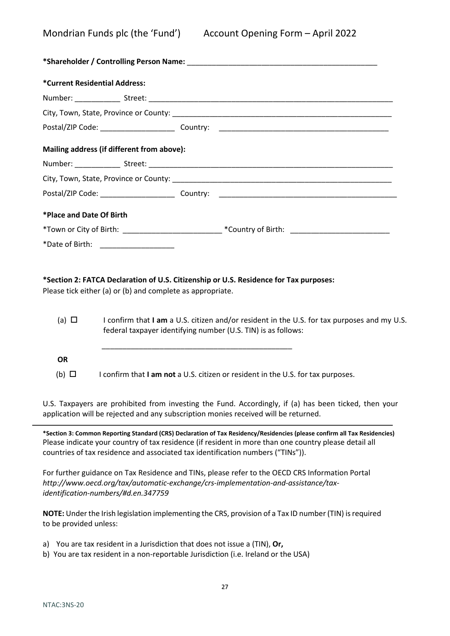| *Current Residential Address:              |                                                                                                      |
|--------------------------------------------|------------------------------------------------------------------------------------------------------|
|                                            |                                                                                                      |
|                                            |                                                                                                      |
|                                            |                                                                                                      |
| Mailing address (if different from above): |                                                                                                      |
|                                            |                                                                                                      |
|                                            |                                                                                                      |
|                                            |                                                                                                      |
| *Place and Date Of Birth                   |                                                                                                      |
|                                            | *Town or City of Birth: ________________________________*Country of Birth: _________________________ |
| *Date of Birth: _____________________      |                                                                                                      |

# **\*Section 2: FATCA Declaration of U.S. Citizenship or U.S. Residence for Tax purposes:**

Please tick either (a) or (b) and complete as appropriate.

- (a) I confirm that **I am** a U.S. citizen and/or resident in the U.S. for tax purposes and my U.S. federal taxpayer identifying number (U.S. TIN) is as follows: \_\_\_\_\_\_\_\_\_\_\_\_\_\_\_\_\_\_\_\_\_\_\_\_\_\_\_\_\_\_\_\_\_\_\_\_\_\_\_\_\_\_\_\_\_\_ **OR**
- (b) I confirm that **I am not** a U.S. citizen or resident in the U.S. for tax purposes.

U.S. Taxpayers are prohibited from investing the Fund. Accordingly, if (a) has been ticked, then your application will be rejected and any subscription monies received will be returned.

**\*Section 3: Common Reporting Standard (CRS) Declaration of Tax Residency/Residencies (please confirm all Tax Residencies)** Please indicate your country of tax residence (if resident in more than one country please detail all countries of tax residence and associated tax identification numbers ("TINs")).

For further guidance on Tax Residence and TINs, please refer to the OECD CRS Information Portal *http://www.oecd.org/tax/automatic-exchange/crs-implementation-and-assistance/taxidentification-numbers/#d.en.347759*

**NOTE:** Under the Irish legislation implementing the CRS, provision of a Tax ID number (TIN) is required to be provided unless:

- a) You are tax resident in a Jurisdiction that does not issue a (TIN), **Or,**
- b) You are tax resident in a non-reportable Jurisdiction (i.e. Ireland or the USA)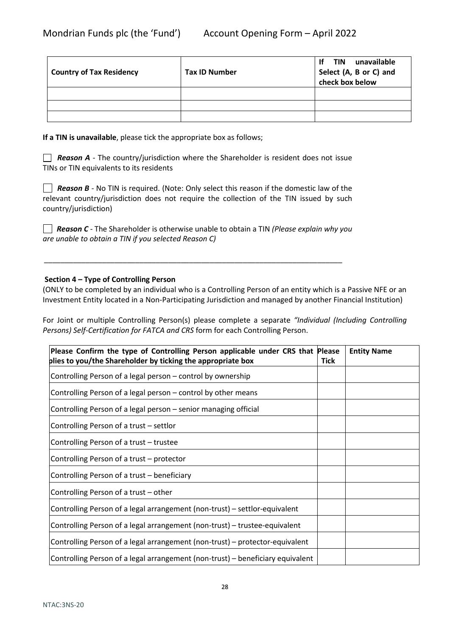| <b>Country of Tax Residency</b> | <b>Tax ID Number</b> | unavailable<br>-lf<br>TIN<br>Select (A, B or C) and<br>check box below |  |
|---------------------------------|----------------------|------------------------------------------------------------------------|--|
|                                 |                      |                                                                        |  |
|                                 |                      |                                                                        |  |
|                                 |                      |                                                                        |  |

**If a TIN is unavailable**, please tick the appropriate box as follows;

*Reason A* - The country/jurisdiction where the Shareholder is resident does not issue TINs or TIN equivalents to its residents

**Reason B** - No TIN is required. (Note: Only select this reason if the domestic law of the relevant country/jurisdiction does not require the collection of the TIN issued by such country/jurisdiction)

 *Reason C -* The Shareholder is otherwise unable to obtain a TIN *(Please explain why you are unable to obtain a TIN if you selected Reason C)*

*\_\_\_\_\_\_\_\_\_\_\_\_\_\_\_\_\_\_\_\_\_\_\_\_\_\_\_\_\_\_\_\_\_\_\_\_\_\_\_\_\_\_\_\_\_\_\_\_\_\_\_\_\_\_\_\_\_\_\_\_\_\_\_\_\_\_\_\_\_\_\_\_*

# **Section 4 – Type of Controlling Person**

(ONLY to be completed by an individual who is a Controlling Person of an entity which is a Passive NFE or an Investment Entity located in a Non-Participating Jurisdiction and managed by another Financial Institution)

For Joint or multiple Controlling Person(s) please complete a separate *"Individual (Including Controlling Persons) Self-Certification for FATCA and CRS* form for each Controlling Person.

| Please Confirm the type of Controlling Person applicable under CRS that Please<br>plies to you/the Shareholder by ticking the appropriate box | <b>Tick</b> | <b>Entity Name</b> |
|-----------------------------------------------------------------------------------------------------------------------------------------------|-------------|--------------------|
|                                                                                                                                               |             |                    |
| Controlling Person of a legal person - control by ownership                                                                                   |             |                    |
| Controlling Person of a legal person - control by other means                                                                                 |             |                    |
| Controlling Person of a legal person - senior managing official                                                                               |             |                    |
| Controlling Person of a trust – settlor                                                                                                       |             |                    |
| Controlling Person of a trust - trustee                                                                                                       |             |                    |
| Controlling Person of a trust - protector                                                                                                     |             |                    |
| Controlling Person of a trust – beneficiary                                                                                                   |             |                    |
| Controlling Person of a trust - other                                                                                                         |             |                    |
| Controlling Person of a legal arrangement (non-trust) – settlor-equivalent                                                                    |             |                    |
| Controlling Person of a legal arrangement (non-trust) – trustee-equivalent                                                                    |             |                    |
| Controlling Person of a legal arrangement (non-trust) – protector-equivalent                                                                  |             |                    |
| Controlling Person of a legal arrangement (non-trust) – beneficiary equivalent                                                                |             |                    |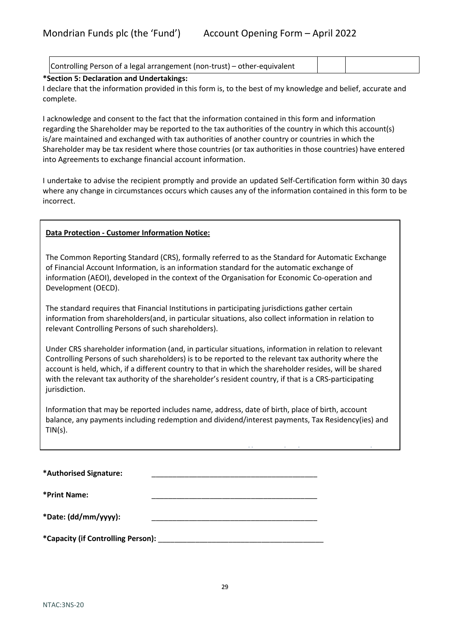| Controlling Person of a legal arrangement (non-trust) – other-equivalent |  |  |
|--------------------------------------------------------------------------|--|--|
|--------------------------------------------------------------------------|--|--|

# **\*Section 5: Declaration and Undertakings:**

I declare that the information provided in this form is, to the best of my knowledge and belief, accurate and complete.

I acknowledge and consent to the fact that the information contained in this form and information regarding the Shareholder may be reported to the tax authorities of the country in which this account(s) is/are maintained and exchanged with tax authorities of another country or countries in which the Shareholder may be tax resident where those countries (or tax authorities in those countries) have entered into Agreements to exchange financial account information.

I undertake to advise the recipient promptly and provide an updated Self-Certification form within 30 days where any change in circumstances occurs which causes any of the information contained in this form to be incorrect.

# **Data Protection - Customer Information Notice:**

The Common Reporting Standard (CRS), formally referred to as the Standard for Automatic Exchange of Financial Account Information, is an information standard for the automatic exchange of information (AEOI), developed in the context of the Organisation for Economic Co-operation and Development (OECD).

The standard requires that Financial Institutions in participating jurisdictions gather certain information from shareholders(and, in particular situations, also collect information in relation to relevant Controlling Persons of such shareholders).

Under CRS shareholder information (and, in particular situations, information in relation to relevant Controlling Persons of such shareholders) is to be reported to the relevant tax authority where the account is held, which, if a different country to that in which the shareholder resides, will be shared with the relevant tax authority of the shareholder's resident country, if that is a CRS-participating jurisdiction.

Information that may be reported includes name, address, date of birth, place of birth, account balance, any payments including redemption and dividend/interest payments, Tax Residency(ies) and TIN(s).

*// / / /* 

| *Authorised Signature:             |  |
|------------------------------------|--|
| *Print Name:                       |  |
| *Date: (dd/mm/yyyy):               |  |
| *Capacity (if Controlling Person): |  |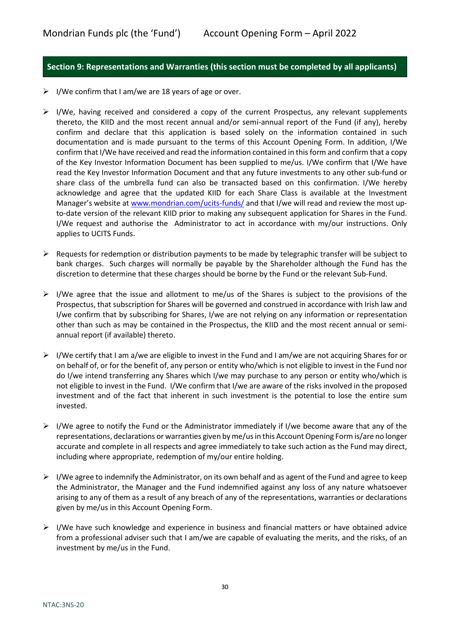# <span id="page-29-0"></span>**Section 9: Representations and Warranties (this section must be completed by all applicants)**

- $\triangleright$  I/We confirm that I am/we are 18 years of age or over.
- $\triangleright$  I/We, having received and considered a copy of the current Prospectus, any relevant supplements thereto, the KIID and the most recent annual and/or semi-annual report of the Fund (if any), hereby confirm and declare that this application is based solely on the information contained in such documentation and is made pursuant to the terms of this Account Opening Form. In addition, I/We confirm that I/We have received and read the information contained in this form and confirm that a copy of the Key Investor Information Document has been supplied to me/us. I/We confirm that I/We have read the Key Investor Information Document and that any future investments to any other sub-fund or share class of the umbrella fund can also be transacted based on this confirmation. I/We hereby acknowledge and agree that the updated KIID for each Share Class is available at the Investment Manager's website at [www.mondrian.com/ucits-funds/](http://www.mondrian.com/ucits-funds/) and that I/we will read and review the most upto-date version of the relevant KIID prior to making any subsequent application for Shares in the Fund. I/We request and authorise the Administrator to act in accordance with my/our instructions. Only applies to UCITS Funds.
- $\triangleright$  Requests for redemption or distribution payments to be made by telegraphic transfer will be subject to bank charges. Such charges will normally be payable by the Shareholder although the Fund has the discretion to determine that these charges should be borne by the Fund or the relevant Sub-Fund.
- $\triangleright$  I/We agree that the issue and allotment to me/us of the Shares is subject to the provisions of the Prospectus, that subscription for Shares will be governed and construed in accordance with Irish law and I/we confirm that by subscribing for Shares, I/we are not relying on any information or representation other than such as may be contained in the Prospectus, the KIID and the most recent annual or semiannual report (if available) thereto.
- $\triangleright$  I/We certify that I am a/we are eligible to invest in the Fund and I am/we are not acquiring Shares for or on behalf of, or for the benefit of, any person or entity who/which is not eligible to invest in the Fund nor do I/we intend transferring any Shares which I/we may purchase to any person or entity who/which is not eligible to invest in the Fund. I/We confirm that I/we are aware of the risks involved in the proposed investment and of the fact that inherent in such investment is the potential to lose the entire sum invested.
- $\triangleright$  I/We agree to notify the Fund or the Administrator immediately if I/we become aware that any of the representations, declarations or warranties given by me/usin this Account Opening Form is/are no longer accurate and complete in all respects and agree immediately to take such action as the Fund may direct, including where appropriate, redemption of my/our entire holding.
- $\triangleright$  I/We agree to indemnify the Administrator, on its own behalf and as agent of the Fund and agree to keep the Administrator, the Manager and the Fund indemnified against any loss of any nature whatsoever arising to any of them as a result of any breach of any of the representations, warranties or declarations given by me/us in this Account Opening Form.
- $\triangleright$  I/We have such knowledge and experience in business and financial matters or have obtained advice from a professional adviser such that I am/we are capable of evaluating the merits, and the risks, of an investment by me/us in the Fund.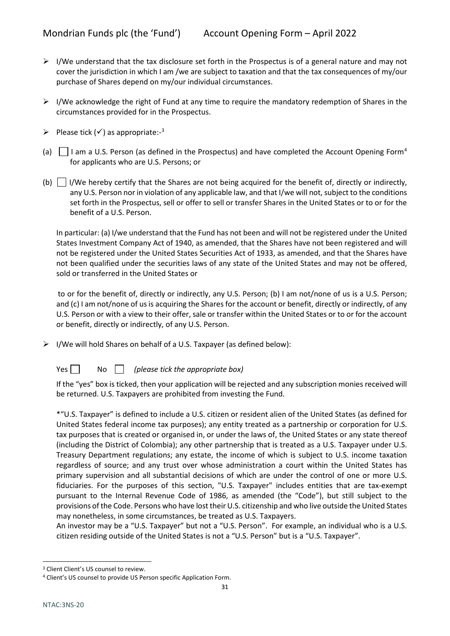- $\triangleright$  I/We understand that the tax disclosure set forth in the Prospectus is of a general nature and may not cover the jurisdiction in which I am /we are subject to taxation and that the tax consequences of my/our purchase of Shares depend on my/our individual circumstances.
- $\triangleright$  I/We acknowledge the right of Fund at any time to require the mandatory redemption of Shares in the circumstances provided for in the Prospectus.
- Please tick  $(\checkmark)$  as appropriate:-[3](#page-30-0)
- (a)  $\vert$  I am a U.S. Person (as defined in the Prospectus) and have completed the Account Opening Form<sup>[4](#page-30-1)</sup> for applicants who are U.S. Persons; or
- (b) I/We hereby certify that the Shares are not being acquired for the benefit of, directly or indirectly, any U.S. Person nor in violation of any applicable law, and that I/we will not, subject to the conditions set forth in the Prospectus, sell or offer to sell or transfer Shares in the United States or to or for the benefit of a U.S. Person.

In particular: (a) I/we understand that the Fund has not been and will not be registered under the United States Investment Company Act of 1940, as amended, that the Shares have not been registered and will not be registered under the United States Securities Act of 1933, as amended, and that the Shares have not been qualified under the securities laws of any state of the United States and may not be offered, sold or transferred in the United States or

 to or for the benefit of, directly or indirectly, any U.S. Person; (b) I am not/none of us is a U.S. Person; and (c) I am not/none of us is acquiring the Shares for the account or benefit, directly or indirectly, of any U.S. Person or with a view to their offer, sale or transfer within the United States or to or for the account or benefit, directly or indirectly, of any U.S. Person.

 $\triangleright$  I/We will hold Shares on behalf of a U.S. Taxpayer (as defined below):

Yes  $\Box$  No  $\Box$  (please tick the appropriate box)

If the "yes" box is ticked, then your application will be rejected and any subscription monies received will be returned. U.S. Taxpayers are prohibited from investing the Fund.

\*"U.S. Taxpayer" is defined to include a U.S. citizen or resident alien of the United States (as defined for United States federal income tax purposes); any entity treated as a partnership or corporation for U.S. tax purposes that is created or organised in, or under the laws of, the United States or any state thereof (including the District of Colombia); any other partnership that is treated as a U.S. Taxpayer under U.S. Treasury Department regulations; any estate, the income of which is subject to U.S. income taxation regardless of source; and any trust over whose administration a court within the United States has primary supervision and all substantial decisions of which are under the control of one or more U.S. fiduciaries. For the purposes of this section, "U.S. Taxpayer" includes entities that are tax-exempt pursuant to the Internal Revenue Code of 1986, as amended (the "Code"), but still subject to the provisions of the Code. Persons who have lost their U.S. citizenship and who live outside the United States may nonetheless, in some circumstances, be treated as U.S. Taxpayers.

An investor may be a "U.S. Taxpayer" but not a "U.S. Person". For example, an individual who is a U.S. citizen residing outside of the United States is not a "U.S. Person" but is a "U.S. Taxpayer".

<span id="page-30-0"></span><sup>&</sup>lt;sup>3</sup> Client Client's US counsel to review.

<span id="page-30-1"></span><sup>4</sup> Client's US counsel to provide US Person specific Application Form.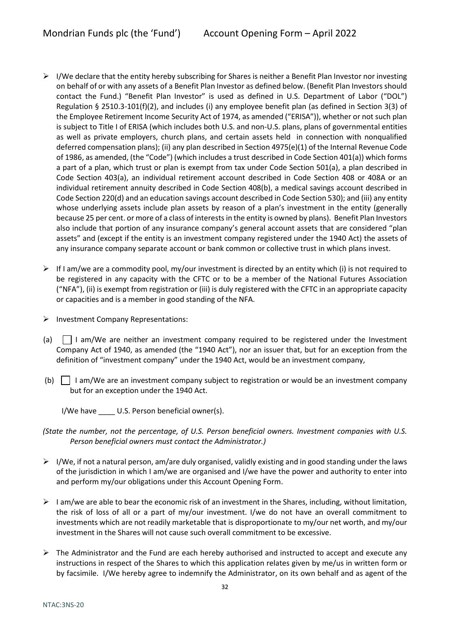- $\triangleright$  I/We declare that the entity hereby subscribing for Shares is neither a Benefit Plan Investor nor investing on behalf of or with any assets of a Benefit Plan Investor as defined below. (Benefit Plan Investors should contact the Fund.) "Benefit Plan Investor" is used as defined in U.S. Department of Labor ("DOL") Regulation § 2510.3-101(f)(2), and includes (i) any employee benefit plan (as defined in Section 3(3) of the Employee Retirement Income Security Act of 1974, as amended ("ERISA")), whether or not such plan is subject to Title I of ERISA (which includes both U.S. and non-U.S. plans, plans of governmental entities as well as private employers, church plans, and certain assets held in connection with nonqualified deferred compensation plans); (ii) any plan described in Section 4975(e)(1) of the Internal Revenue Code of 1986, as amended, (the "Code") (which includes a trust described in Code Section 401(a)) which forms a part of a plan, which trust or plan is exempt from tax under Code Section 501(a), a plan described in Code Section 403(a), an individual retirement account described in Code Section 408 or 408A or an individual retirement annuity described in Code Section 408(b), a medical savings account described in Code Section 220(d) and an education savings account described in Code Section 530); and (iii) any entity whose underlying assets include plan assets by reason of a plan's investment in the entity (generally because 25 per cent. or more of a class of interests in the entity is owned by plans). Benefit Plan Investors also include that portion of any insurance company's general account assets that are considered "plan assets" and (except if the entity is an investment company registered under the 1940 Act) the assets of any insurance company separate account or bank common or collective trust in which plans invest.
- $\triangleright$  If I am/we are a commodity pool, my/our investment is directed by an entity which (i) is not required to be registered in any capacity with the CFTC or to be a member of the National Futures Association ("NFA"), (ii) is exempt from registration or (iii) is duly registered with the CFTC in an appropriate capacity or capacities and is a member in good standing of the NFA.
- $\triangleright$  Investment Company Representations:
- (a)  $\vert$  I am/We are neither an investment company required to be registered under the Investment Company Act of 1940, as amended (the "1940 Act"), nor an issuer that, but for an exception from the definition of "investment company" under the 1940 Act, would be an investment company,
- (b)  $\Box$  I am/We are an investment company subject to registration or would be an investment company but for an exception under the 1940 Act.
	- I/We have \_\_\_\_\_ U.S. Person beneficial owner(s).
- *(State the number, not the percentage, of U.S. Person beneficial owners. Investment companies with U.S. Person beneficial owners must contact the Administrator.)*
- $\triangleright$  I/We, if not a natural person, am/are duly organised, validly existing and in good standing under the laws of the jurisdiction in which I am/we are organised and I/we have the power and authority to enter into and perform my/our obligations under this Account Opening Form.
- $\triangleright$  I am/we are able to bear the economic risk of an investment in the Shares, including, without limitation, the risk of loss of all or a part of my/our investment. I/we do not have an overall commitment to investments which are not readily marketable that is disproportionate to my/our net worth, and my/our investment in the Shares will not cause such overall commitment to be excessive.
- $\triangleright$  The Administrator and the Fund are each hereby authorised and instructed to accept and execute any instructions in respect of the Shares to which this application relates given by me/us in written form or by facsimile. I/We hereby agree to indemnify the Administrator, on its own behalf and as agent of the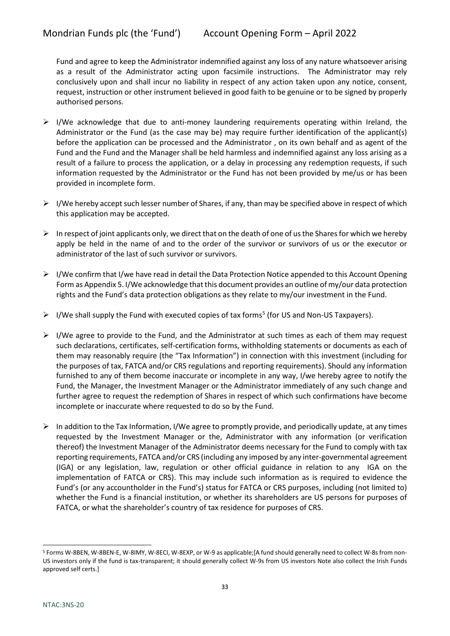Fund and agree to keep the Administrator indemnified against any loss of any nature whatsoever arising as a result of the Administrator acting upon facsimile instructions. The Administrator may rely conclusively upon and shall incur no liability in respect of any action taken upon any notice, consent, request, instruction or other instrument believed in good faith to be genuine or to be signed by properly authorised persons.

- $\triangleright$  I/We acknowledge that due to anti-money laundering requirements operating within Ireland, the Administrator or the Fund (as the case may be) may require further identification of the applicant(s) before the application can be processed and the Administrator , on its own behalf and as agent of the Fund and the Fund and the Manager shall be held harmless and indemnified against any loss arising as a result of a failure to process the application, or a delay in processing any redemption requests, if such information requested by the Administrator or the Fund has not been provided by me/us or has been provided in incomplete form.
- $\triangleright$  I/We hereby accept such lesser number of Shares, if any, than may be specified above in respect of which this application may be accepted.
- $\triangleright$  In respect of joint applicants only, we direct that on the death of one of us the Shares for which we hereby apply be held in the name of and to the order of the survivor or survivors of us or the executor or administrator of the last of such survivor or survivors.
- $\triangleright$  I/We confirm that I/we have read in detail the Data Protection Notice appended to this Account Opening Form as Appendix 5. I/We acknowledge that this document provides an outline of my/our data protection rights and the Fund's data protection obligations as they relate to my/our investment in the Fund.
- $\triangleright$  I/We shall supply the Fund with executed copies of tax forms<sup>[5](#page-32-0)</sup> (for US and Non-US Taxpayers).
- $\triangleright$  I/We agree to provide to the Fund, and the Administrator at such times as each of them may request such declarations, certificates, self-certification forms, withholding statements or documents as each of them may reasonably require (the "Tax Information") in connection with this investment (including for the purposes of tax, FATCA and/or CRS regulations and reporting requirements). Should any information furnished to any of them become inaccurate or incomplete in any way, I/we hereby agree to notify the Fund, the Manager, the Investment Manager or the Administrator immediately of any such change and further agree to request the redemption of Shares in respect of which such confirmations have become incomplete or inaccurate where requested to do so by the Fund.
- $\triangleright$  In addition to the Tax Information, I/We agree to promptly provide, and periodically update, at any times requested by the Investment Manager or the, Administrator with any information (or verification thereof) the Investment Manager of the Administrator deems necessary for the Fund to comply with tax reporting requirements, FATCA and/or CRS (including any imposed by any inter-governmental agreement (IGA) or any legislation, law, regulation or other official guidance in relation to any IGA on the implementation of FATCA or CRS). This may include such information as is required to evidence the Fund's (or any accountholder in the Fund's) status for FATCA or CRS purposes, including (not limited to) whether the Fund is a financial institution, or whether its shareholders are US persons for purposes of FATCA, or what the shareholder's country of tax residence for purposes of CRS.

<span id="page-32-0"></span><sup>5</sup> Forms W-8BEN, W-8BEN-E, W-8IMY, W-8ECI, W-8EXP, or W-9 as applicable;[A fund should generally need to collect W-8s from non-US investors only if the fund is tax-transparent; it should generally collect W-9s from US investors Note also collect the Irish Funds approved self certs.]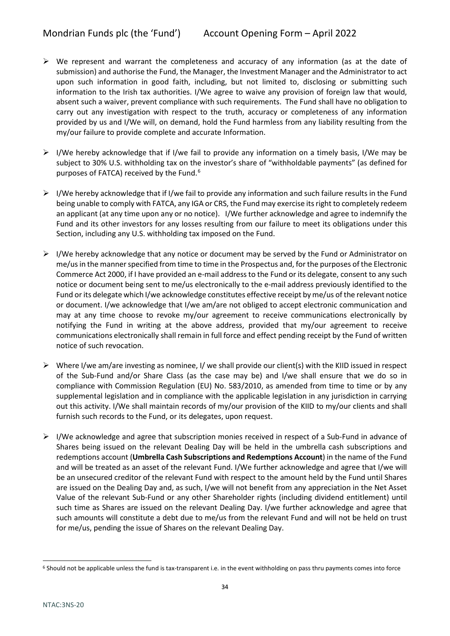- $\triangleright$  We represent and warrant the completeness and accuracy of any information (as at the date of submission) and authorise the Fund, the Manager, the Investment Manager and the Administrator to act upon such information in good faith, including, but not limited to, disclosing or submitting such information to the Irish tax authorities. I/We agree to waive any provision of foreign law that would, absent such a waiver, prevent compliance with such requirements. The Fund shall have no obligation to carry out any investigation with respect to the truth, accuracy or completeness of any information provided by us and I/We will, on demand, hold the Fund harmless from any liability resulting from the my/our failure to provide complete and accurate Information.
- $\triangleright$  I/We hereby acknowledge that if I/we fail to provide any information on a timely basis, I/We may be subject to 30% U.S. withholding tax on the investor's share of "withholdable payments" (as defined for purposes of FATCA) received by the Fund.<sup>[6](#page-33-0)</sup>
- $\triangleright$  I/We hereby acknowledge that if I/we fail to provide any information and such failure results in the Fund being unable to comply with FATCA, any IGA or CRS, the Fund may exercise its right to completely redeem an applicant (at any time upon any or no notice). I/We further acknowledge and agree to indemnify the Fund and its other investors for any losses resulting from our failure to meet its obligations under this Section, including any U.S. withholding tax imposed on the Fund.
- $\triangleright$  I/We hereby acknowledge that any notice or document may be served by the Fund or Administrator on me/us in the manner specified from time to time in the Prospectus and, for the purposes of the Electronic Commerce Act 2000, if I have provided an e-mail address to the Fund or its delegate, consent to any such notice or document being sent to me/us electronically to the e-mail address previously identified to the Fund or its delegate which I/we acknowledge constitutes effective receipt by me/us of the relevant notice or document. I/we acknowledge that I/we am/are not obliged to accept electronic communication and may at any time choose to revoke my/our agreement to receive communications electronically by notifying the Fund in writing at the above address, provided that my/our agreement to receive communications electronically shall remain in full force and effect pending receipt by the Fund of written notice of such revocation.
- $\triangleright$  Where I/we am/are investing as nominee, I/ we shall provide our client(s) with the KIID issued in respect of the Sub-Fund and/or Share Class (as the case may be) and I/we shall ensure that we do so in compliance with Commission Regulation (EU) No. 583/2010, as amended from time to time or by any supplemental legislation and in compliance with the applicable legislation in any jurisdiction in carrying out this activity. I/We shall maintain records of my/our provision of the KIID to my/our clients and shall furnish such records to the Fund, or its delegates, upon request.
- $\triangleright$  I/We acknowledge and agree that subscription monies received in respect of a Sub-Fund in advance of Shares being issued on the relevant Dealing Day will be held in the umbrella cash subscriptions and redemptions account (**Umbrella Cash Subscriptions and Redemptions Account**) in the name of the Fund and will be treated as an asset of the relevant Fund. I/We further acknowledge and agree that I/we will be an unsecured creditor of the relevant Fund with respect to the amount held by the Fund until Shares are issued on the Dealing Day and, as such, I/we will not benefit from any appreciation in the Net Asset Value of the relevant Sub-Fund or any other Shareholder rights (including dividend entitlement) until such time as Shares are issued on the relevant Dealing Day. I/we further acknowledge and agree that such amounts will constitute a debt due to me/us from the relevant Fund and will not be held on trust for me/us, pending the issue of Shares on the relevant Dealing Day.

<span id="page-33-0"></span><sup>&</sup>lt;sup>6</sup> Should not be applicable unless the fund is tax-transparent i.e. in the event withholding on pass thru payments comes into force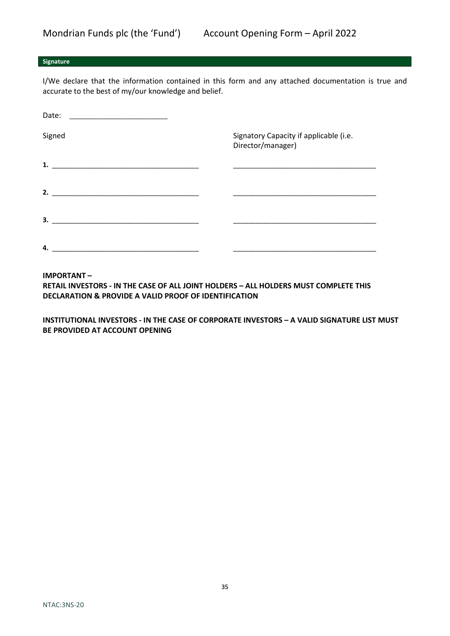# **Signature**

I/We declare that the information contained in this form and any attached documentation is true and accurate to the best of my/our knowledge and belief.

| Date:<br>the control of the control of the control of the control of the control of the control of |                                                             |
|----------------------------------------------------------------------------------------------------|-------------------------------------------------------------|
| Signed                                                                                             | Signatory Capacity if applicable (i.e.<br>Director/manager) |
| 1.                                                                                                 |                                                             |
| 2.                                                                                                 |                                                             |
| 3.                                                                                                 |                                                             |
| 4.                                                                                                 |                                                             |

### **IMPORTANT –**

**RETAIL INVESTORS - IN THE CASE OF ALL JOINT HOLDERS – ALL HOLDERS MUST COMPLETE THIS DECLARATION & PROVIDE A VALID PROOF OF IDENTIFICATION**

**INSTITUTIONAL INVESTORS - IN THE CASE OF CORPORATE INVESTORS – A VALID SIGNATURE LIST MUST BE PROVIDED AT ACCOUNT OPENING**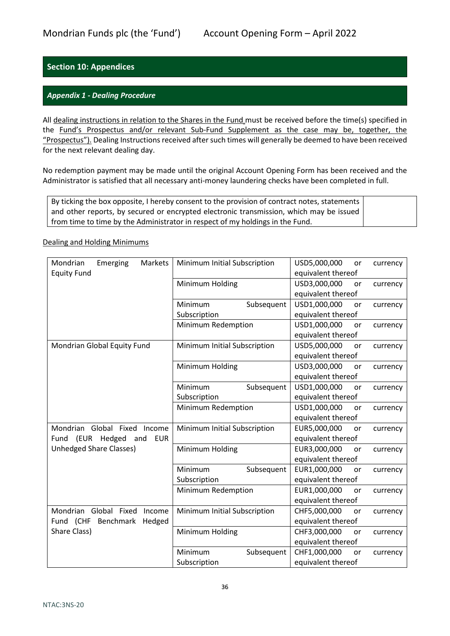# <span id="page-35-0"></span>**Section 10: Appendices**

# <span id="page-35-1"></span>*Appendix 1 - Dealing Procedure*

All dealing instructions in relation to the Shares in the Fund must be received before the time(s) specified in the Fund's Prospectus and/or relevant Sub-Fund Supplement as the case may be, together, the "Prospectus"). Dealing Instructions received after such times will generally be deemed to have been received for the next relevant dealing day.

No redemption payment may be made until the original Account Opening Form has been received and the Administrator is satisfied that all necessary anti-money laundering checks have been completed in full.

By ticking the box opposite, I hereby consent to the provision of contract notes, statements and other reports, by secured or encrypted electronic transmission, which may be issued from time to time by the Administrator in respect of my holdings in the Fund.

### Dealing and Holding Minimums

| Mondrian<br>Emerging<br>Markets       | Minimum Initial Subscription | USD5,000,000<br>currency<br>or |
|---------------------------------------|------------------------------|--------------------------------|
| <b>Equity Fund</b>                    |                              | equivalent thereof             |
|                                       | Minimum Holding              | USD3,000,000<br>or<br>currency |
|                                       |                              | equivalent thereof             |
|                                       | Minimum<br>Subsequent        | USD1,000,000<br>or<br>currency |
|                                       | Subscription                 | equivalent thereof             |
|                                       | Minimum Redemption           | USD1,000,000<br>or<br>currency |
|                                       |                              | equivalent thereof             |
| Mondrian Global Equity Fund           | Minimum Initial Subscription | USD5,000,000<br>or<br>currency |
|                                       |                              | equivalent thereof             |
|                                       | Minimum Holding              | USD3,000,000<br>or<br>currency |
|                                       |                              | equivalent thereof             |
|                                       | Minimum<br>Subsequent        | USD1,000,000<br>or<br>currency |
|                                       | Subscription                 | equivalent thereof             |
|                                       | Minimum Redemption           | USD1,000,000<br>or<br>currency |
|                                       |                              | equivalent thereof             |
| Mondrian Global Fixed<br>Income       | Minimum Initial Subscription | EUR5,000,000<br>or<br>currency |
| Fund (EUR Hedged<br><b>EUR</b><br>and |                              | equivalent thereof             |
| <b>Unhedged Share Classes)</b>        | Minimum Holding              | EUR3,000,000<br>or<br>currency |
|                                       |                              | equivalent thereof             |
|                                       | Minimum<br>Subsequent        | EUR1,000,000<br>or<br>currency |
|                                       | Subscription                 | equivalent thereof             |
|                                       | Minimum Redemption           | EUR1,000,000<br>currency<br>or |
|                                       |                              | equivalent thereof             |
| Mondrian Global Fixed<br>Income       | Minimum Initial Subscription | CHF5,000,000<br>currency<br>or |
| Fund (CHF<br>Benchmark<br>Hedged      |                              | equivalent thereof             |
| Share Class)                          | Minimum Holding              | CHF3,000,000<br>currency<br>or |
|                                       |                              | equivalent thereof             |
|                                       | Minimum<br>Subsequent        | CHF1,000,000<br>currency<br>or |
|                                       | Subscription                 | equivalent thereof             |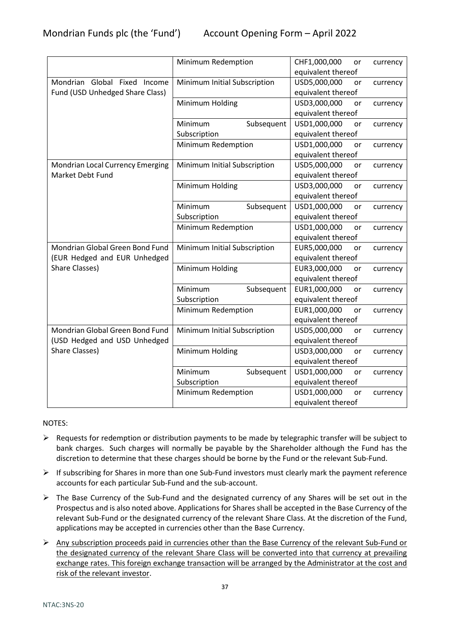|                                  | Minimum Redemption           | CHF1,000,000<br>or<br>currency |
|----------------------------------|------------------------------|--------------------------------|
|                                  |                              | equivalent thereof             |
| Mondrian Global Fixed Income     | Minimum Initial Subscription | USD5,000,000<br>currency<br>or |
| Fund (USD Unhedged Share Class)  |                              | equivalent thereof             |
|                                  | Minimum Holding              | USD3,000,000<br>currency<br>or |
|                                  |                              | equivalent thereof             |
|                                  | Subsequent<br>Minimum        | USD1,000,000<br>or<br>currency |
|                                  | Subscription                 | equivalent thereof             |
|                                  | Minimum Redemption           | USD1,000,000<br>or<br>currency |
|                                  |                              | equivalent thereof             |
| Mondrian Local Currency Emerging | Minimum Initial Subscription | USD5,000,000<br>or<br>currency |
| Market Debt Fund                 |                              | equivalent thereof             |
|                                  | Minimum Holding              | USD3,000,000<br>currency<br>or |
|                                  |                              | equivalent thereof             |
|                                  | Minimum<br>Subsequent        | USD1,000,000<br>currency<br>or |
|                                  | Subscription                 | equivalent thereof             |
|                                  | Minimum Redemption           | USD1,000,000<br>or<br>currency |
|                                  |                              | equivalent thereof             |
| Mondrian Global Green Bond Fund  | Minimum Initial Subscription | EUR5,000,000<br>currency<br>or |
| (EUR Hedged and EUR Unhedged     |                              | equivalent thereof             |
| <b>Share Classes)</b>            | Minimum Holding              | EUR3,000,000<br>or<br>currency |
|                                  |                              | equivalent thereof             |
|                                  | Minimum<br>Subsequent        | EUR1,000,000<br>currency<br>or |
|                                  | Subscription                 | equivalent thereof             |
|                                  | Minimum Redemption           | EUR1,000,000<br>currency<br>or |
|                                  |                              | equivalent thereof             |
| Mondrian Global Green Bond Fund  | Minimum Initial Subscription | USD5,000,000<br>or<br>currency |
| (USD Hedged and USD Unhedged     |                              | equivalent thereof             |
| Share Classes)                   | Minimum Holding              | USD3,000,000<br>or<br>currency |
|                                  |                              | equivalent thereof             |
|                                  | Minimum<br>Subsequent        | USD1,000,000<br>or<br>currency |
|                                  | Subscription                 | equivalent thereof             |
|                                  | Minimum Redemption           | USD1,000,000<br>currency<br>or |
|                                  |                              | equivalent thereof             |

# NOTES:

- $\triangleright$  Requests for redemption or distribution payments to be made by telegraphic transfer will be subject to bank charges. Such charges will normally be payable by the Shareholder although the Fund has the discretion to determine that these charges should be borne by the Fund or the relevant Sub-Fund.
- $\triangleright$  If subscribing for Shares in more than one Sub-Fund investors must clearly mark the payment reference accounts for each particular Sub-Fund and the sub-account.
- $\triangleright$  The Base Currency of the Sub-Fund and the designated currency of any Shares will be set out in the Prospectus and is also noted above. Applications for Shares shall be accepted in the Base Currency of the relevant Sub-Fund or the designated currency of the relevant Share Class. At the discretion of the Fund, applications may be accepted in currencies other than the Base Currency.
- $\triangleright$  Any subscription proceeds paid in currencies other than the Base Currency of the relevant Sub-Fund or the designated currency of the relevant Share Class will be converted into that currency at prevailing exchange rates. This foreign exchange transaction will be arranged by the Administrator at the cost and risk of the relevant investor.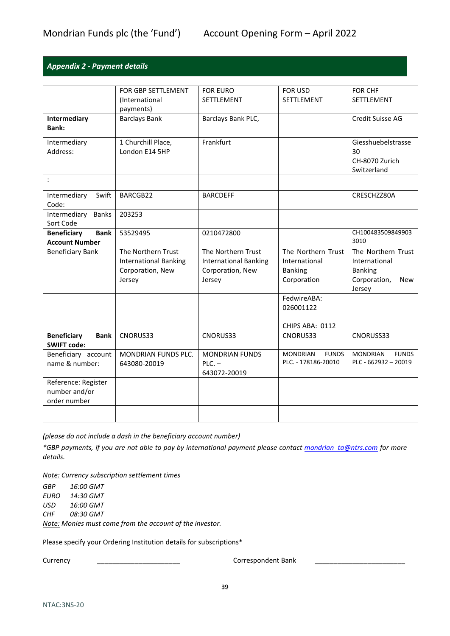# <span id="page-38-0"></span>*Appendix 2 - Payment details*

|                                   | FOR GBP SETTLEMENT           | <b>FOR EURO</b>              | <b>FOR USD</b>                  | <b>FOR CHF</b>                  |
|-----------------------------------|------------------------------|------------------------------|---------------------------------|---------------------------------|
|                                   | (International               | SETTLEMENT                   | SETTLEMENT                      | SETTLEMENT                      |
|                                   | payments)                    |                              |                                 |                                 |
| Intermediary                      | <b>Barclays Bank</b>         | Barclays Bank PLC,           |                                 | Credit Suisse AG                |
| Bank:                             |                              |                              |                                 |                                 |
|                                   |                              |                              |                                 |                                 |
| Intermediary                      | 1 Churchill Place,           | Frankfurt                    |                                 | Giesshuebelstrasse              |
| Address:                          | London E14 5HP               |                              |                                 | 30                              |
|                                   |                              |                              |                                 | CH-8070 Zurich                  |
|                                   |                              |                              |                                 | Switzerland                     |
| $\ddot{\cdot}$                    |                              |                              |                                 |                                 |
|                                   |                              |                              |                                 |                                 |
| Intermediary<br>Swift             | BARCGB22                     | <b>BARCDEFF</b>              |                                 | CRESCHZZ80A                     |
| Code:                             |                              |                              |                                 |                                 |
| Intermediary<br><b>Banks</b>      | 203253                       |                              |                                 |                                 |
| Sort Code                         |                              |                              |                                 |                                 |
| <b>Bank</b><br><b>Beneficiary</b> | 53529495                     | 0210472800                   |                                 | CH100483509849903               |
| <b>Account Number</b>             |                              |                              |                                 | 3010                            |
| <b>Beneficiary Bank</b>           | The Northern Trust           | The Northern Trust           | The Northern Trust              | The Northern Trust              |
|                                   | <b>International Banking</b> | <b>International Banking</b> | International                   | International                   |
|                                   | Corporation, New             | Corporation, New             | <b>Banking</b>                  | <b>Banking</b>                  |
|                                   | Jersey                       | Jersey                       | Corporation                     | Corporation,<br>New             |
|                                   |                              |                              |                                 | Jersey                          |
|                                   |                              |                              | FedwireABA:                     |                                 |
|                                   |                              |                              | 026001122                       |                                 |
|                                   |                              |                              |                                 |                                 |
|                                   |                              |                              | CHIPS ABA: 0112                 |                                 |
| <b>Beneficiary</b><br><b>Bank</b> | CNORUS33                     | CNORUS33                     | CNORUS33                        | CNORUSS33                       |
| <b>SWIFT code:</b>                |                              |                              |                                 |                                 |
| Beneficiary account               | <b>MONDRIAN FUNDS PLC.</b>   | <b>MONDRIAN FUNDS</b>        | <b>FUNDS</b><br><b>MONDRIAN</b> | <b>MONDRIAN</b><br><b>FUNDS</b> |
| name & number:                    | 643080-20019                 | $PLC. -$                     | PLC. - 178186-20010             | PLC - $662932 - 20019$          |
|                                   |                              | 643072-20019                 |                                 |                                 |
| Reference: Register               |                              |                              |                                 |                                 |
| number and/or                     |                              |                              |                                 |                                 |
| order number                      |                              |                              |                                 |                                 |
|                                   |                              |                              |                                 |                                 |
|                                   |                              |                              |                                 |                                 |

*(please do not include a dash in the beneficiary account number)*

*\*GBP payments, if you are not able to pay by international payment please contact [mondrian\\_ta@ntrs.com](mailto:mondrian_ta@ntrs.com) for more details.*

*Note: Currency subscription settlement times*

*GBP 16:00 GMT EURO 14:30 GMT USD 16:00 GMT CHF 08:30 GMT*

*Note: Monies must come from the account of the investor.*

Please specify your Ordering Institution details for subscriptions\*

Currency \_\_\_\_\_\_\_\_\_\_\_\_\_\_\_\_\_\_\_\_\_\_ Correspondent Bank \_\_\_\_\_\_\_\_\_\_\_\_\_\_\_\_\_\_\_\_\_\_\_\_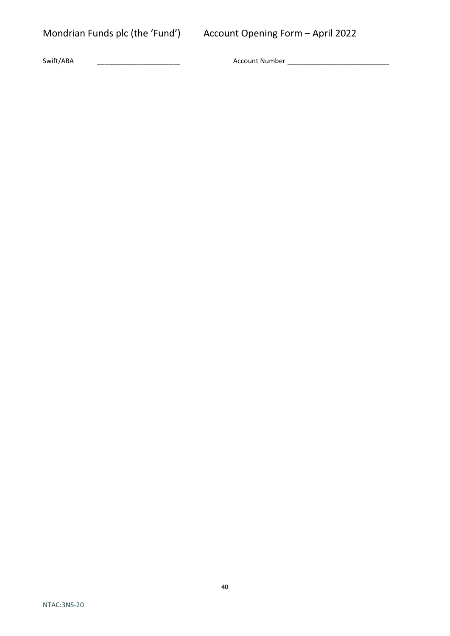Swift/ABA \_\_\_\_\_\_\_\_\_\_\_\_\_\_\_\_\_\_\_\_\_\_ Account Number \_\_\_\_\_\_\_\_\_\_\_\_\_\_\_\_\_\_\_\_\_\_\_\_\_\_\_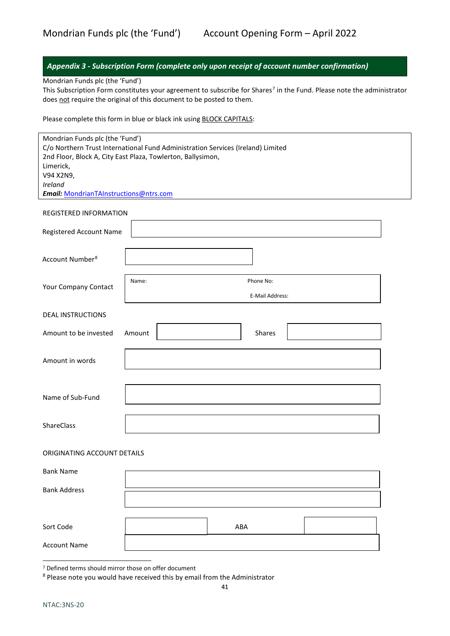<span id="page-40-0"></span>

|                                                                                 |        |     |                 | Appendix 3 - Subscription Form (complete only upon receipt of account number confirmation)                                        |  |
|---------------------------------------------------------------------------------|--------|-----|-----------------|-----------------------------------------------------------------------------------------------------------------------------------|--|
| Mondrian Funds plc (the 'Fund')                                                 |        |     |                 |                                                                                                                                   |  |
| does not require the original of this document to be posted to them.            |        |     |                 | This Subscription Form constitutes your agreement to subscribe for Shares <sup>7</sup> in the Fund. Please note the administrator |  |
|                                                                                 |        |     |                 |                                                                                                                                   |  |
| Please complete this form in blue or black ink using BLOCK CAPITALS:            |        |     |                 |                                                                                                                                   |  |
| Mondrian Funds plc (the 'Fund')                                                 |        |     |                 |                                                                                                                                   |  |
| C/o Northern Trust International Fund Administration Services (Ireland) Limited |        |     |                 |                                                                                                                                   |  |
| 2nd Floor, Block A, City East Plaza, Towlerton, Ballysimon,                     |        |     |                 |                                                                                                                                   |  |
| Limerick,<br>V94 X2N9,                                                          |        |     |                 |                                                                                                                                   |  |
| Ireland                                                                         |        |     |                 |                                                                                                                                   |  |
| Email: MondrianTAInstructions@ntrs.com                                          |        |     |                 |                                                                                                                                   |  |
| REGISTERED INFORMATION                                                          |        |     |                 |                                                                                                                                   |  |
|                                                                                 |        |     |                 |                                                                                                                                   |  |
| Registered Account Name                                                         |        |     |                 |                                                                                                                                   |  |
|                                                                                 |        |     |                 |                                                                                                                                   |  |
| Account Number <sup>8</sup>                                                     |        |     |                 |                                                                                                                                   |  |
|                                                                                 | Name:  |     | Phone No:       |                                                                                                                                   |  |
| Your Company Contact                                                            |        |     | E-Mail Address: |                                                                                                                                   |  |
|                                                                                 |        |     |                 |                                                                                                                                   |  |
| <b>DEAL INSTRUCTIONS</b>                                                        |        |     |                 |                                                                                                                                   |  |
| Amount to be invested                                                           | Amount |     | Shares          |                                                                                                                                   |  |
|                                                                                 |        |     |                 |                                                                                                                                   |  |
| Amount in words                                                                 |        |     |                 |                                                                                                                                   |  |
|                                                                                 |        |     |                 |                                                                                                                                   |  |
|                                                                                 |        |     |                 |                                                                                                                                   |  |
| Name of Sub-Fund                                                                |        |     |                 |                                                                                                                                   |  |
|                                                                                 |        |     |                 |                                                                                                                                   |  |
| ShareClass                                                                      |        |     |                 |                                                                                                                                   |  |
| ORIGINATING ACCOUNT DETAILS                                                     |        |     |                 |                                                                                                                                   |  |
|                                                                                 |        |     |                 |                                                                                                                                   |  |
| <b>Bank Name</b>                                                                |        |     |                 |                                                                                                                                   |  |
| <b>Bank Address</b>                                                             |        |     |                 |                                                                                                                                   |  |
|                                                                                 |        |     |                 |                                                                                                                                   |  |
|                                                                                 |        |     |                 |                                                                                                                                   |  |
| Sort Code                                                                       |        | ABA |                 |                                                                                                                                   |  |
| <b>Account Name</b>                                                             |        |     |                 |                                                                                                                                   |  |

<span id="page-40-1"></span><sup>7</sup> Defined terms should mirror those on offer document

<span id="page-40-2"></span><sup>8</sup> Please note you would have received this by email from the Administrator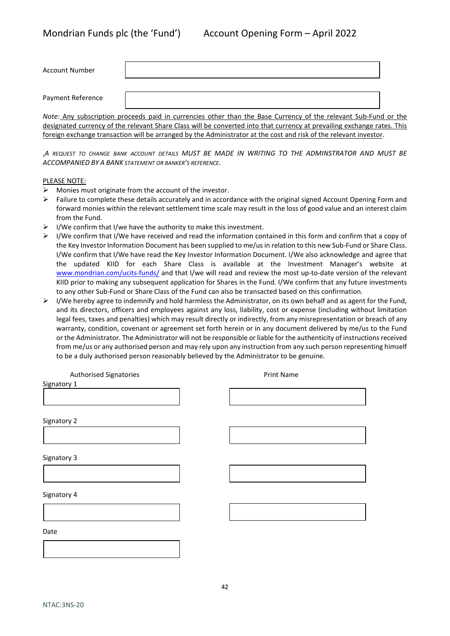| Payment Reference | <b>Account Number</b> |  |
|-------------------|-----------------------|--|
|                   |                       |  |

*Note:* Any subscription proceeds paid in currencies other than the Base Currency of the relevant Sub-Fund or the designated currency of the relevant Share Class will be converted into that currency at prevailing exchange rates. This foreign exchange transaction will be arranged by the Administrator at the cost and risk of the relevant investor.

.*A REQUEST TO CHANGE BANK ACCOUNT DETAILS MUST BE MADE IN WRITING TO THE ADMINSTRATOR AND MUST BE ACCOMPANIED BY A BANK STATEMENT OR BANKER'S REFERENCE.*

#### PLEASE NOTE:

- $\triangleright$  Monies must originate from the account of the investor.
- $\triangleright$  Failure to complete these details accurately and in accordance with the original signed Account Opening Form and forward monies within the relevant settlement time scale may result in the loss of good value and an interest claim from the Fund.
- $\triangleright$  I/We confirm that I/we have the authority to make this investment.
- > I/We confirm that I/We have received and read the information contained in this form and confirm that a copy of the Key Investor Information Document has been supplied to me/us in relation to this new Sub-Fund or Share Class. I/We confirm that I/We have read the Key Investor Information Document. I/We also acknowledge and agree that the updated KIID for each Share Class is available at the Investment Manager's website at [www.mondrian.com/ucits-funds/](http://www.mondrian.com/ucits-funds/) and that I/we will read and review the most up-to-date version of the relevant KIID prior to making any subsequent application for Shares in the Fund. I/We confirm that any future investments to any other Sub-Fund or Share Class of the Fund can also be transacted based on this confirmation.
- $\triangleright$  I/We hereby agree to indemnify and hold harmless the Administrator, on its own behalf and as agent for the Fund, and its directors, officers and employees against any loss, liability, cost or expense (including without limitation legal fees, taxes and penalties) which may result directly or indirectly, from any misrepresentation or breach of any warranty, condition, covenant or agreement set forth herein or in any document delivered by me/us to the Fund or the Administrator. The Administrator will not be responsible or liable for the authenticity of instructions received from me/us or any authorised person and may rely upon any instruction from any such person representing himself to be a duly authorised person reasonably believed by the Administrator to be genuine.

| <b>Print Name</b> |
|-------------------|
|                   |
|                   |
|                   |
|                   |
|                   |
|                   |
|                   |
|                   |
|                   |
|                   |
|                   |
|                   |
|                   |
|                   |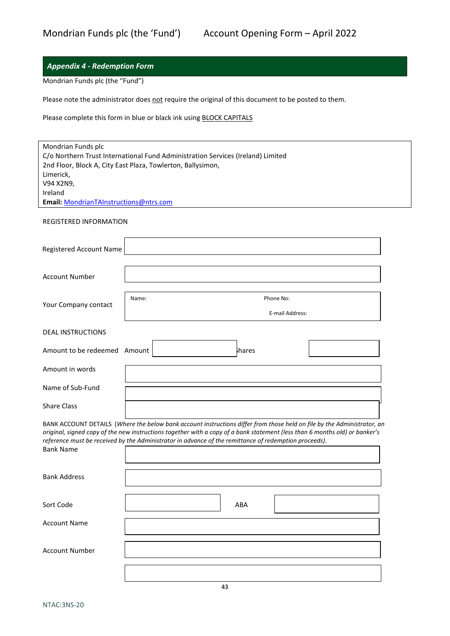# <span id="page-42-0"></span>*Appendix 4 - Redemption Form*

Mondrian Funds plc (the "Fund")

Please note the administrator does not require the original of this document to be posted to them.

Please complete this form in blue or black ink using **BLOCK CAPITALS** 

| Mondrian Funds plc<br>Limerick,<br>V94 X2N9,<br>Ireland<br>Email: MondrianTAInstructions@ntrs.com | C/o Northern Trust International Fund Administration Services (Ireland) Limited<br>2nd Floor, Block A, City East Plaza, Towlerton, Ballysimon,                                                                                                                                                                                                                  |
|---------------------------------------------------------------------------------------------------|-----------------------------------------------------------------------------------------------------------------------------------------------------------------------------------------------------------------------------------------------------------------------------------------------------------------------------------------------------------------|
| <b>REGISTERED INFORMATION</b>                                                                     |                                                                                                                                                                                                                                                                                                                                                                 |
| Registered Account Name                                                                           |                                                                                                                                                                                                                                                                                                                                                                 |
| <b>Account Number</b>                                                                             |                                                                                                                                                                                                                                                                                                                                                                 |
| Your Company contact                                                                              | Name:<br>Phone No:<br>E-mail Address:                                                                                                                                                                                                                                                                                                                           |
| <b>DEAL INSTRUCTIONS</b>                                                                          |                                                                                                                                                                                                                                                                                                                                                                 |
| Amount to be redeemed Amount                                                                      | <b>i</b> hares                                                                                                                                                                                                                                                                                                                                                  |
| Amount in words                                                                                   |                                                                                                                                                                                                                                                                                                                                                                 |
| Name of Sub-Fund                                                                                  |                                                                                                                                                                                                                                                                                                                                                                 |
| <b>Share Class</b>                                                                                |                                                                                                                                                                                                                                                                                                                                                                 |
| <b>Bank Name</b>                                                                                  | BANK ACCOUNT DETAILS (Where the below bank account instructions differ from those held on file by the Administrator, an<br>original, signed copy of the new instructions together with a copy of a bank statement (less than 6 months old) or banker's<br>reference must be received by the Administrator in advance of the remittance of redemption proceeds). |
| <b>Bank Address</b>                                                                               |                                                                                                                                                                                                                                                                                                                                                                 |
| Sort Code                                                                                         | ABA                                                                                                                                                                                                                                                                                                                                                             |
| <b>Account Name</b>                                                                               |                                                                                                                                                                                                                                                                                                                                                                 |
| <b>Account Number</b>                                                                             |                                                                                                                                                                                                                                                                                                                                                                 |
|                                                                                                   | 43                                                                                                                                                                                                                                                                                                                                                              |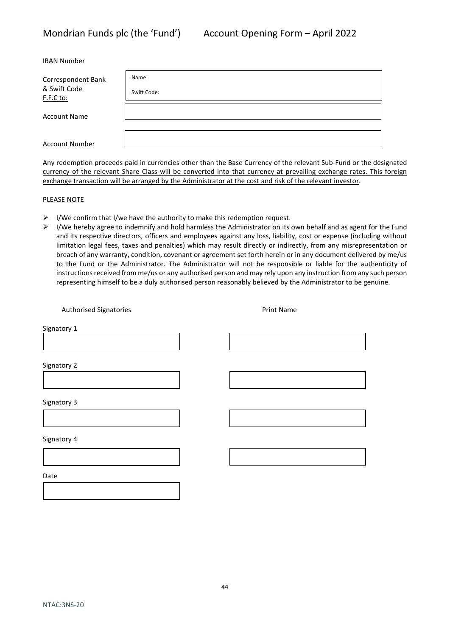| <b>IBAN Number</b> |  |
|--------------------|--|
|--------------------|--|

| Correspondent Bank        | Name:       |
|---------------------------|-------------|
| & Swift Code<br>F.F.C to: | Swift Code: |
| <b>Account Name</b>       |             |
| <b>Account Number</b>     |             |

Any redemption proceeds paid in currencies other than the Base Currency of the relevant Sub-Fund or the designated currency of the relevant Share Class will be converted into that currency at prevailing exchange rates. This foreign exchange transaction will be arranged by the Administrator at the cost and risk of the relevant investor.

#### PLEASE NOTE

- $\triangleright$  I/We confirm that I/we have the authority to make this redemption request.
- $\triangleright$  I/We hereby agree to indemnify and hold harmless the Administrator on its own behalf and as agent for the Fund and its respective directors, officers and employees against any loss, liability, cost or expense (including without limitation legal fees, taxes and penalties) which may result directly or indirectly, from any misrepresentation or breach of any warranty, condition, covenant or agreement set forth herein or in any document delivered by me/us to the Fund or the Administrator. The Administrator will not be responsible or liable for the authenticity of instructions received from me/us or any authorised person and may rely upon any instruction from any such person representing himself to be a duly authorised person reasonably believed by the Administrator to be genuine.

Authorised Signatories **Authorised Signatories Print Name** 

Signatory 3

Signatory 2

Signatory 1

Signatory 4

Date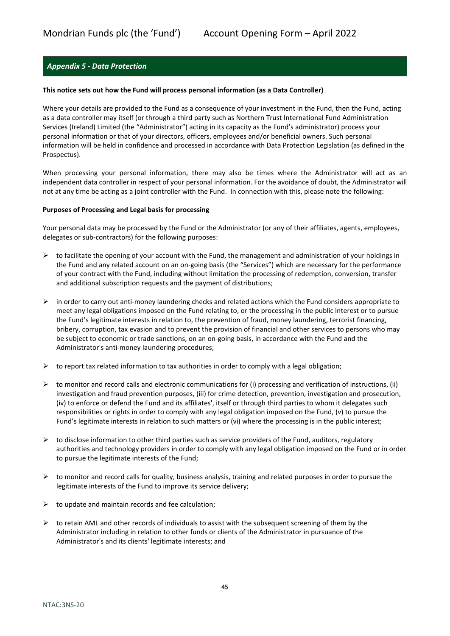# <span id="page-44-0"></span>*Appendix 5 - Data Protection*

#### **This notice sets out how the Fund will process personal information (as a Data Controller)**

Where your details are provided to the Fund as a consequence of your investment in the Fund, then the Fund, acting as a data controller may itself (or through a third party such as Northern Trust International Fund Administration Services (Ireland) Limited (the "Administrator") acting in its capacity as the Fund's administrator) process your personal information or that of your directors, officers, employees and/or beneficial owners. Such personal information will be held in confidence and processed in accordance with Data Protection Legislation (as defined in the Prospectus).

When processing your personal information, there may also be times where the Administrator will act as an independent data controller in respect of your personal information. For the avoidance of doubt, the Administrator will not at any time be acting as a joint controller with the Fund. In connection with this, please note the following:

#### **Purposes of Processing and Legal basis for processing**

Your personal data may be processed by the Fund or the Administrator (or any of their affiliates, agents, employees, delegates or sub-contractors) for the following purposes:

- $\triangleright$  to facilitate the opening of your account with the Fund, the management and administration of your holdings in the Fund and any related account on an on-going basis (the "Services") which are necessary for the performance of your contract with the Fund, including without limitation the processing of redemption, conversion, transfer and additional subscription requests and the payment of distributions;
- $\triangleright$  in order to carry out anti-money laundering checks and related actions which the Fund considers appropriate to meet any legal obligations imposed on the Fund relating to, or the processing in the public interest or to pursue the Fund's legitimate interests in relation to, the prevention of fraud, money laundering, terrorist financing, bribery, corruption, tax evasion and to prevent the provision of financial and other services to persons who may be subject to economic or trade sanctions, on an on-going basis, in accordance with the Fund and the Administrator's anti-money laundering procedures;
- $\triangleright$  to report tax related information to tax authorities in order to comply with a legal obligation;
- $\triangleright$  to monitor and record calls and electronic communications for (i) processing and verification of instructions, (ii) investigation and fraud prevention purposes, (iii) for crime detection, prevention, investigation and prosecution, (iv) to enforce or defend the Fund and its affiliates', itself or through third parties to whom it delegates such responsibilities or rights in order to comply with any legal obligation imposed on the Fund, (v) to pursue the Fund's legitimate interests in relation to such matters or (vi) where the processing is in the public interest;
- $\triangleright$  to disclose information to other third parties such as service providers of the Fund, auditors, regulatory authorities and technology providers in order to comply with any legal obligation imposed on the Fund or in order to pursue the legitimate interests of the Fund;
- $\triangleright$  to monitor and record calls for quality, business analysis, training and related purposes in order to pursue the legitimate interests of the Fund to improve its service delivery;
- $\triangleright$  to update and maintain records and fee calculation;
- $\triangleright$  to retain AML and other records of individuals to assist with the subsequent screening of them by the Administrator including in relation to other funds or clients of the Administrator in pursuance of the Administrator's and its clients' legitimate interests; and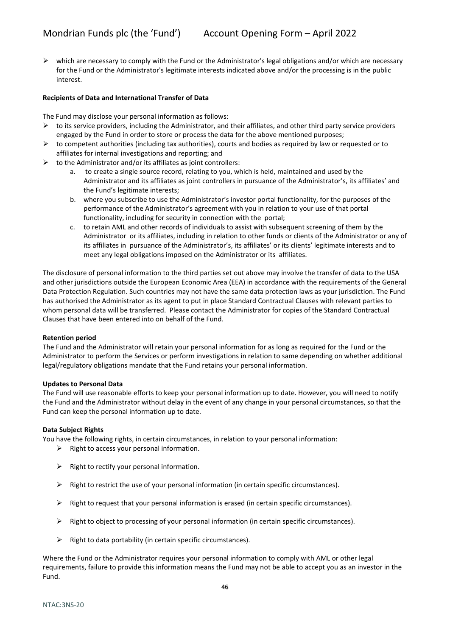$\triangleright$  which are necessary to comply with the Fund or the Administrator's legal obligations and/or which are necessary for the Fund or the Administrator's legitimate interests indicated above and/or the processing is in the public interest.

#### **Recipients of Data and International Transfer of Data**

The Fund may disclose your personal information as follows:

- $\triangleright$  to its service providers, including the Administrator, and their affiliates, and other third party service providers engaged by the Fund in order to store or process the data for the above mentioned purposes;
- $\triangleright$  to competent authorities (including tax authorities), courts and bodies as required by law or requested or to affiliates for internal investigations and reporting; and
- $\triangleright$  to the Administrator and/or its affiliates as joint controllers:
	- a. to create a single source record, relating to you, which is held, maintained and used by the Administrator and its affiliates as joint controllers in pursuance of the Administrator's, its affiliates' and the Fund's legitimate interests;
	- b. where you subscribe to use the Administrator's investor portal functionality, for the purposes of the performance of the Administrator's agreement with you in relation to your use of that portal functionality, including for security in connection with the portal;
	- c. to retain AML and other records of individuals to assist with subsequent screening of them by the Administrator or its affiliates, including in relation to other funds or clients of the Administrator or any of its affiliates in pursuance of the Administrator's, its affiliates' or its clients' legitimate interests and to meet any legal obligations imposed on the Administrator or its affiliates.

The disclosure of personal information to the third parties set out above may involve the transfer of data to the USA and other jurisdictions outside the European Economic Area (EEA) in accordance with the requirements of the General Data Protection Regulation. Such countries may not have the same data protection laws as your jurisdiction. The Fund has authorised the Administrator as its agent to put in place Standard Contractual Clauses with relevant parties to whom personal data will be transferred. Please contact the Administrator for copies of the Standard Contractual Clauses that have been entered into on behalf of the Fund.

#### **Retention period**

The Fund and the Administrator will retain your personal information for as long as required for the Fund or the Administrator to perform the Services or perform investigations in relation to same depending on whether additional legal/regulatory obligations mandate that the Fund retains your personal information.

#### **Updates to Personal Data**

The Fund will use reasonable efforts to keep your personal information up to date. However, you will need to notify the Fund and the Administrator without delay in the event of any change in your personal circumstances, so that the Fund can keep the personal information up to date.

#### **Data Subject Rights**

You have the following rights, in certain circumstances, in relation to your personal information:

- $\triangleright$  Right to access your personal information.
- $\triangleright$  Right to rectify your personal information.
- $\triangleright$  Right to restrict the use of your personal information (in certain specific circumstances).
- $\triangleright$  Right to request that your personal information is erased (in certain specific circumstances).
- $\triangleright$  Right to object to processing of your personal information (in certain specific circumstances).
- $\triangleright$  Right to data portability (in certain specific circumstances).

Where the Fund or the Administrator requires your personal information to comply with AML or other legal requirements, failure to provide this information means the Fund may not be able to accept you as an investor in the Fund.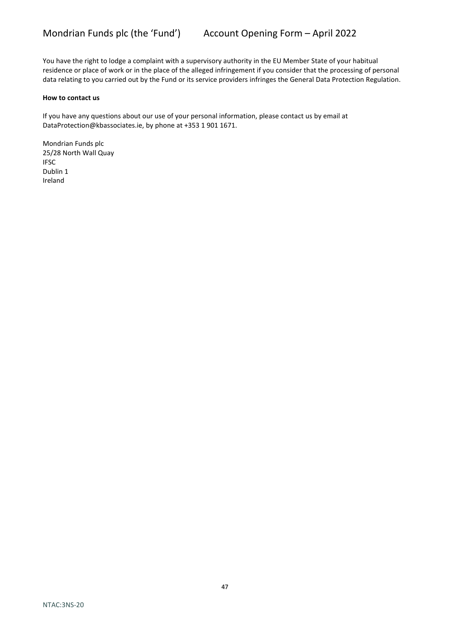You have the right to lodge a complaint with a supervisory authority in the EU Member State of your habitual residence or place of work or in the place of the alleged infringement if you consider that the processing of personal data relating to you carried out by the Fund or its service providers infringes the General Data Protection Regulation.

#### **How to contact us**

If you have any questions about our use of your personal information, please contact us by email at DataProtection@kbassociates.ie, by phone at +353 1 901 1671.

Mondrian Funds plc 25/28 North Wall Quay IFSC Dublin 1 Ireland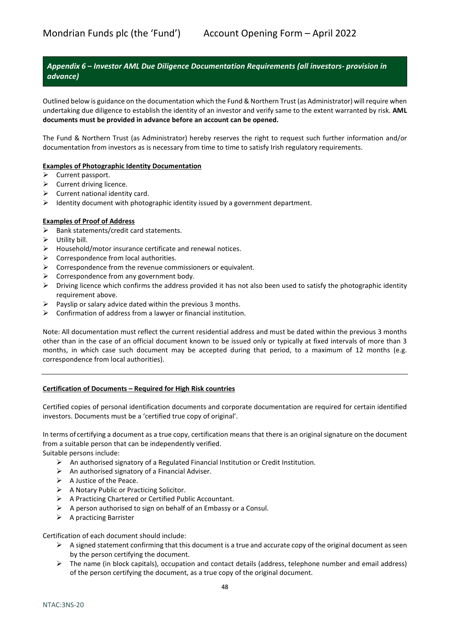# <span id="page-47-0"></span>*Appendix 6 – Investor AML Due Diligence Documentation Requirements (all investors- provision in advance)*

Outlined below is guidance on the documentation which the Fund & Northern Trust (as Administrator) will require when undertaking due diligence to establish the identity of an investor and verify same to the extent warranted by risk. **AML documents must be provided in advance before an account can be opened.**

The Fund & Northern Trust (as Administrator) hereby reserves the right to request such further information and/or documentation from investors as is necessary from time to time to satisfy Irish regulatory requirements.

#### **Examples of Photographic Identity Documentation**

- $\triangleright$  Current passport.
- $\triangleright$  Current driving licence.
- $\triangleright$  Current national identity card.
- $\triangleright$  Identity document with photographic identity issued by a government department.

#### **Examples of Proof of Address**

- $\triangleright$  Bank statements/credit card statements.
- $\triangleright$  Utility bill.
- $\triangleright$  Household/motor insurance certificate and renewal notices.
- $\triangleright$  Correspondence from local authorities.
- $\triangleright$  Correspondence from the revenue commissioners or equivalent.
- $\triangleright$  Correspondence from any government body.
- $\triangleright$  Driving licence which confirms the address provided it has not also been used to satisfy the photographic identity requirement above.
- $\triangleright$  Payslip or salary advice dated within the previous 3 months.
- $\triangleright$  Confirmation of address from a lawyer or financial institution.

Note: All documentation must reflect the current residential address and must be dated within the previous 3 months other than in the case of an official document known to be issued only or typically at fixed intervals of more than 3 months, in which case such document may be accepted during that period, to a maximum of 12 months (e.g. correspondence from local authorities).

#### **Certification of Documents – Required for High Risk countries**

Certified copies of personal identification documents and corporate documentation are required for certain identified investors. Documents must be a 'certified true copy of original'.

In terms of certifying a document as a true copy, certification means that there is an original signature on the document from a suitable person that can be independently verified.

Suitable persons include:

- $\triangleright$  An authorised signatory of a Regulated Financial Institution or Credit Institution.
- $\triangleright$  An authorised signatory of a Financial Adviser.
- $\triangleright$  A Justice of the Peace.
- A Notary Public or Practicing Solicitor.
- A Practicing Chartered or Certified Public Accountant.
- $\triangleright$  A person authorised to sign on behalf of an Embassy or a Consul.
- $\triangleright$  A practicing Barrister

Certification of each document should include:

- $\triangleright$  A signed statement confirming that this document is a true and accurate copy of the original document as seen by the person certifying the document.
- $\triangleright$  The name (in block capitals), occupation and contact details (address, telephone number and email address) of the person certifying the document, as a true copy of the original document.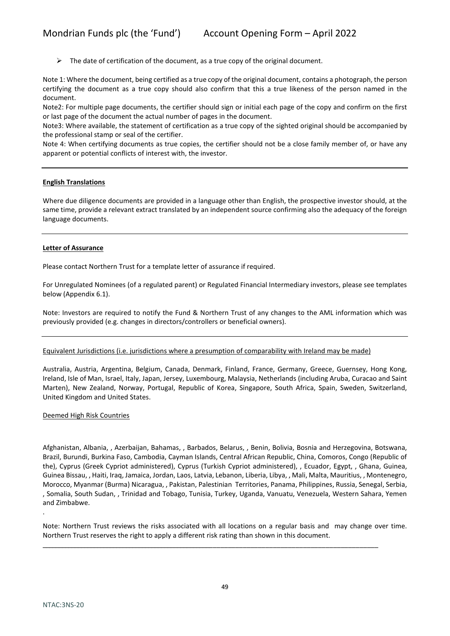$\triangleright$  The date of certification of the document, as a true copy of the original document.

Note 1: Where the document, being certified as a true copy of the original document, contains a photograph, the person certifying the document as a true copy should also confirm that this a true likeness of the person named in the document.

Note2: For multiple page documents, the certifier should sign or initial each page of the copy and confirm on the first or last page of the document the actual number of pages in the document.

Note3: Where available, the statement of certification as a true copy of the sighted original should be accompanied by the professional stamp or seal of the certifier.

Note 4: When certifying documents as true copies, the certifier should not be a close family member of, or have any apparent or potential conflicts of interest with, the investor.

#### **English Translations**

Where due diligence documents are provided in a language other than English, the prospective investor should, at the same time, provide a relevant extract translated by an independent source confirming also the adequacy of the foreign language documents.

#### **Letter of Assurance**

Please contact Northern Trust for a template letter of assurance if required.

For Unregulated Nominees (of a regulated parent) or Regulated Financial Intermediary investors, please see templates below (Appendix 6.1).

Note: Investors are required to notify the Fund & Northern Trust of any changes to the AML information which was previously provided (e.g. changes in directors/controllers or beneficial owners).

#### Equivalent Jurisdictions (i.e. jurisdictions where a presumption of comparability with Ireland may be made)

Australia, Austria, Argentina, Belgium, Canada, Denmark, Finland, France, Germany, Greece, Guernsey, Hong Kong, Ireland, Isle of Man, Israel, Italy, Japan, Jersey, Luxembourg, Malaysia, Netherlands (including Aruba, Curacao and Saint Marten), New Zealand, Norway, Portugal, Republic of Korea, Singapore, South Africa, Spain, Sweden, Switzerland, United Kingdom and United States.

#### Deemed High Risk Countries

Afghanistan, Albania, , Azerbaijan, Bahamas, , Barbados, Belarus, , Benin, Bolivia, Bosnia and Herzegovina, Botswana, Brazil, Burundi, Burkina Faso, Cambodia, Cayman Islands, Central African Republic, China, Comoros, Congo (Republic of the), Cyprus (Greek Cypriot administered), Cyprus (Turkish Cypriot administered), , Ecuador, Egypt, , Ghana, Guinea, Guinea Bissau, , Haiti, Iraq, Jamaica, Jordan, Laos, Latvia, Lebanon, Liberia, Libya, , Mali, Malta, Mauritius, , Montenegro, Morocco, Myanmar (Burma) Nicaragua, , Pakistan, Palestinian Territories, Panama, Philippines, Russia, Senegal, Serbia, , Somalia, South Sudan, , Trinidad and Tobago, Tunisia, Turkey, Uganda, Vanuatu, Venezuela, Western Sahara, Yemen and Zimbabwe.

Note: Northern Trust reviews the risks associated with all locations on a regular basis and may change over time. Northern Trust reserves the right to apply a different risk rating than shown in this document.

\_\_\_\_\_\_\_\_\_\_\_\_\_\_\_\_\_\_\_\_\_\_\_\_\_\_\_\_\_\_\_\_\_\_\_\_\_\_\_\_\_\_\_\_\_\_\_\_\_\_\_\_\_\_\_\_\_\_\_\_\_\_\_\_\_\_\_\_\_\_\_\_\_\_\_\_\_\_\_\_\_\_\_\_\_\_\_\_\_\_\_\_\_\_\_\_\_

.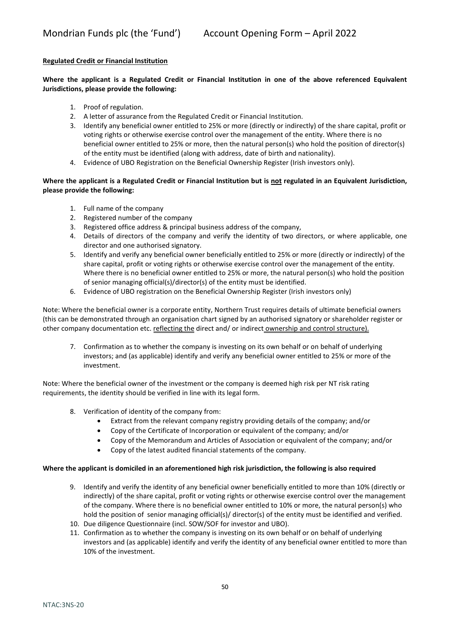### **Regulated Credit or Financial Institution**

**Where the applicant is a Regulated Credit or Financial Institution in one of the above referenced Equivalent Jurisdictions, please provide the following:**

- 1. Proof of regulation.
- 2. A letter of assurance from the Regulated Credit or Financial Institution.
- 3. Identify any beneficial owner entitled to 25% or more (directly or indirectly) of the share capital, profit or voting rights or otherwise exercise control over the management of the entity. Where there is no beneficial owner entitled to 25% or more, then the natural person(s) who hold the position of director(s) of the entity must be identified (along with address, date of birth and nationality).
- 4. Evidence of UBO Registration on the Beneficial Ownership Register (Irish investors only).

### **Where the applicant is a Regulated Credit or Financial Institution but is not regulated in an Equivalent Jurisdiction, please provide the following:**

- 1. Full name of the company
- 2. Registered number of the company
- 3. Registered office address & principal business address of the company,
- 4. Details of directors of the company and verify the identity of two directors, or where applicable, one director and one authorised signatory.
- 5. Identify and verify any beneficial owner beneficially entitled to 25% or more (directly or indirectly) of the share capital, profit or voting rights or otherwise exercise control over the management of the entity. Where there is no beneficial owner entitled to 25% or more, the natural person(s) who hold the position of senior managing official(s)/director(s) of the entity must be identified.
- 6. Evidence of UBO registration on the Beneficial Ownership Register (Irish investors only)

Note: Where the beneficial owner is a corporate entity, Northern Trust requires details of ultimate beneficial owners (this can be demonstrated through an organisation chart signed by an authorised signatory or shareholder register or other company documentation etc. reflecting the direct and/ or indirect ownership and control structure).

7. Confirmation as to whether the company is investing on its own behalf or on behalf of underlying investors; and (as applicable) identify and verify any beneficial owner entitled to 25% or more of the investment.

Note: Where the beneficial owner of the investment or the company is deemed high risk per NT risk rating requirements, the identity should be verified in line with its legal form.

- 8. Verification of identity of the company from:
	- Extract from the relevant company registry providing details of the company; and/or
	- Copy of the Certificate of Incorporation or equivalent of the company; and/or
	- Copy of the Memorandum and Articles of Association or equivalent of the company; and/or
	- Copy of the latest audited financial statements of the company.

#### **Where the applicant is domiciled in an aforementioned high risk jurisdiction, the following is also required**

- 9. Identify and verify the identity of any beneficial owner beneficially entitled to more than 10% (directly or indirectly) of the share capital, profit or voting rights or otherwise exercise control over the management of the company. Where there is no beneficial owner entitled to 10% or more, the natural person(s) who hold the position of senior managing official(s)/ director(s) of the entity must be identified and verified.
- 10. Due diligence Questionnaire (incl. SOW/SOF for investor and UBO).
- 11. Confirmation as to whether the company is investing on its own behalf or on behalf of underlying investors and (as applicable) identify and verify the identity of any beneficial owner entitled to more than 10% of the investment.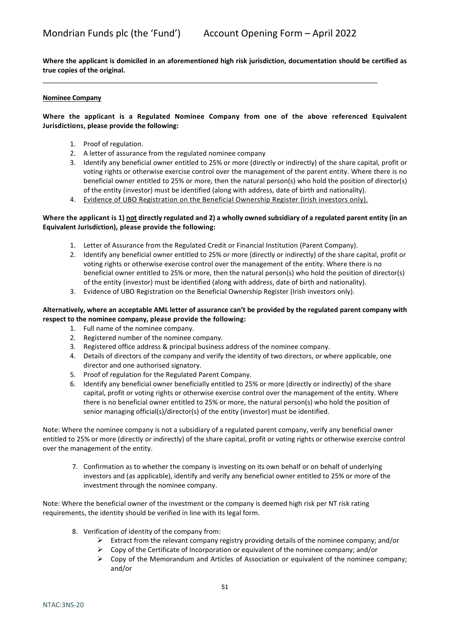**Where the applicant is domiciled in an aforementioned high risk jurisdiction, documentation should be certified as true copies of the original.**

\_\_\_\_\_\_\_\_\_\_\_\_\_\_\_\_\_\_\_\_\_\_\_\_\_\_\_\_\_\_\_\_\_\_\_\_\_\_\_\_\_\_\_\_\_\_\_\_\_\_\_\_\_\_\_\_\_\_\_\_\_\_\_\_\_\_\_\_\_\_\_\_\_\_\_\_\_\_\_\_\_\_\_\_\_\_\_\_\_

#### **Nominee Company**

#### **Where the applicant is a Regulated Nominee Company from one of the above referenced Equivalent Jurisdictions, please provide the following:**

- 1. Proof of regulation.
- 2. A letter of assurance from the regulated nominee company
- 3. Identify any beneficial owner entitled to 25% or more (directly or indirectly) of the share capital, profit or voting rights or otherwise exercise control over the management of the parent entity. Where there is no beneficial owner entitled to 25% or more, then the natural person(s) who hold the position of director(s) of the entity (investor) must be identified (along with address, date of birth and nationality).
- 4. Evidence of UBO Registration on the Beneficial Ownership Register (Irish investors only).

#### **Where the applicant is 1) not directly regulated and 2) a wholly owned subsidiary of a regulated parent entity (in an Equivalent Jurisdiction), please provide the following:**

- 1. Letter of Assurance from the Regulated Credit or Financial Institution (Parent Company).
- 2. Identify any beneficial owner entitled to 25% or more (directly or indirectly) of the share capital, profit or voting rights or otherwise exercise control over the management of the entity. Where there is no beneficial owner entitled to 25% or more, then the natural person(s) who hold the position of director(s) of the entity (investor) must be identified (along with address, date of birth and nationality).
- 3. Evidence of UBO Registration on the Beneficial Ownership Register (Irish investors only).

#### **Alternatively, where an acceptable AML letter of assurance can't be provided by the regulated parent company with respect to the nominee company, please provide the following:**

- 1. Full name of the nominee company.
- 2. Registered number of the nominee company.
- 3. Registered office address & principal business address of the nominee company.
- 4. Details of directors of the company and verify the identity of two directors, or where applicable, one director and one authorised signatory.
- 5. Proof of regulation for the Regulated Parent Company.
- 6. Identify any beneficial owner beneficially entitled to 25% or more (directly or indirectly) of the share capital, profit or voting rights or otherwise exercise control over the management of the entity. Where there is no beneficial owner entitled to 25% or more, the natural person(s) who hold the position of senior managing official(s)/director(s) of the entity (investor) must be identified.

Note: Where the nominee company is not a subsidiary of a regulated parent company, verify any beneficial owner entitled to 25% or more (directly or indirectly) of the share capital, profit or voting rights or otherwise exercise control over the management of the entity.

7. Confirmation as to whether the company is investing on its own behalf or on behalf of underlying investors and (as applicable), identify and verify any beneficial owner entitled to 25% or more of the investment through the nominee company.

Note: Where the beneficial owner of the investment or the company is deemed high risk per NT risk rating requirements, the identity should be verified in line with its legal form.

- 8. Verification of identity of the company from:
	- Extract from the relevant company registry providing details of the nominee company; and/or
	- $\triangleright$  Copy of the Certificate of Incorporation or equivalent of the nominee company; and/or
	- $\triangleright$  Copy of the Memorandum and Articles of Association or equivalent of the nominee company; and/or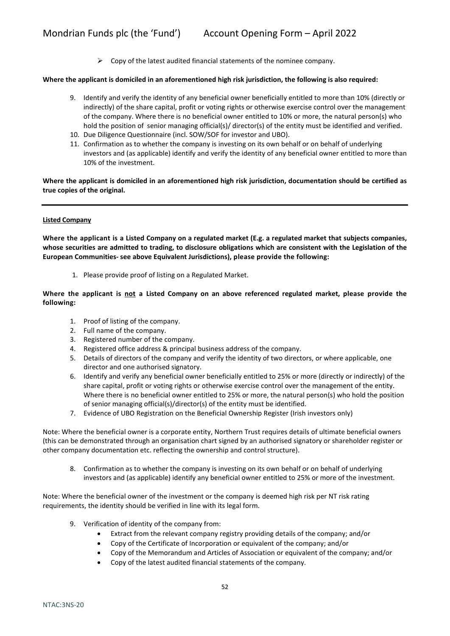$\triangleright$  Copy of the latest audited financial statements of the nominee company.

#### **Where the applicant is domiciled in an aforementioned high risk jurisdiction, the following is also required:**

- 9. Identify and verify the identity of any beneficial owner beneficially entitled to more than 10% (directly or indirectly) of the share capital, profit or voting rights or otherwise exercise control over the management of the company. Where there is no beneficial owner entitled to 10% or more, the natural person(s) who hold the position of senior managing official(s)/ director(s) of the entity must be identified and verified.
- 10. Due Diligence Questionnaire (incl. SOW/SOF for investor and UBO).
- 11. Confirmation as to whether the company is investing on its own behalf or on behalf of underlying investors and (as applicable) identify and verify the identity of any beneficial owner entitled to more than 10% of the investment.

**Where the applicant is domiciled in an aforementioned high risk jurisdiction, documentation should be certified as true copies of the original.**

#### **Listed Company**

**Where the applicant is a Listed Company on a regulated market (E.g. a regulated market that subjects companies, whose securities are admitted to trading, to disclosure obligations which are consistent with the Legislation of the European Communities- see above Equivalent Jurisdictions), please provide the following:**

1. Please provide proof of listing on a Regulated Market.

**Where the applicant is not a Listed Company on an above referenced regulated market, please provide the following:**

- 1. Proof of listing of the company.
- 2. Full name of the company.
- 3. Registered number of the company.
- 4. Registered office address & principal business address of the company.
- 5. Details of directors of the company and verify the identity of two directors, or where applicable, one director and one authorised signatory.
- 6. Identify and verify any beneficial owner beneficially entitled to 25% or more (directly or indirectly) of the share capital, profit or voting rights or otherwise exercise control over the management of the entity. Where there is no beneficial owner entitled to 25% or more, the natural person(s) who hold the position of senior managing official(s)/director(s) of the entity must be identified.
- 7. Evidence of UBO Registration on the Beneficial Ownership Register (Irish investors only)

Note: Where the beneficial owner is a corporate entity, Northern Trust requires details of ultimate beneficial owners (this can be demonstrated through an organisation chart signed by an authorised signatory or shareholder register or other company documentation etc. reflecting the ownership and control structure).

8. Confirmation as to whether the company is investing on its own behalf or on behalf of underlying investors and (as applicable) identify any beneficial owner entitled to 25% or more of the investment.

Note: Where the beneficial owner of the investment or the company is deemed high risk per NT risk rating requirements, the identity should be verified in line with its legal form.

- 9. Verification of identity of the company from:
	- Extract from the relevant company registry providing details of the company; and/or
	- Copy of the Certificate of Incorporation or equivalent of the company; and/or
	- Copy of the Memorandum and Articles of Association or equivalent of the company; and/or
	- Copy of the latest audited financial statements of the company.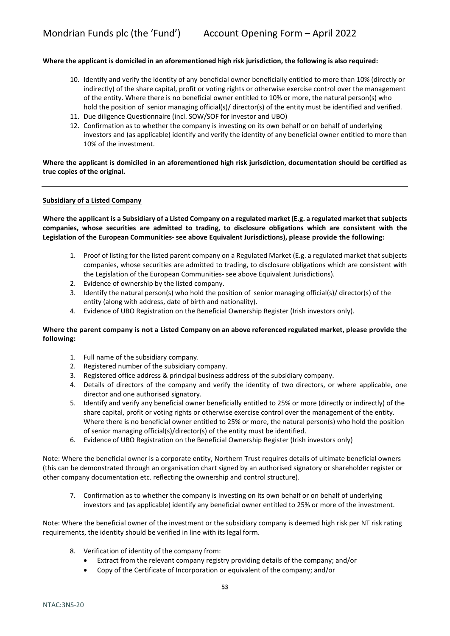#### **Where the applicant is domiciled in an aforementioned high risk jurisdiction, the following is also required:**

- 10. Identify and verify the identity of any beneficial owner beneficially entitled to more than 10% (directly or indirectly) of the share capital, profit or voting rights or otherwise exercise control over the management of the entity. Where there is no beneficial owner entitled to 10% or more, the natural person(s) who hold the position of senior managing official(s)/ director(s) of the entity must be identified and verified.
- 11. Due diligence Questionnaire (incl. SOW/SOF for investor and UBO)
- 12. Confirmation as to whether the company is investing on its own behalf or on behalf of underlying investors and (as applicable) identify and verify the identity of any beneficial owner entitled to more than 10% of the investment.

#### **Where the applicant is domiciled in an aforementioned high risk jurisdiction, documentation should be certified as true copies of the original.**

#### **Subsidiary of a Listed Company**

**Where the applicant is a Subsidiary of a Listed Company on a regulated market (E.g. a regulated market that subjects companies, whose securities are admitted to trading, to disclosure obligations which are consistent with the Legislation of the European Communities- see above Equivalent Jurisdictions), please provide the following:**

- 1. Proof of listing for the listed parent company on a Regulated Market (E.g. a regulated market that subjects companies, whose securities are admitted to trading, to disclosure obligations which are consistent with the Legislation of the European Communities- see above Equivalent Jurisdictions).
- 2. Evidence of ownership by the listed company.
- 3. Identify the natural person(s) who hold the position of senior managing official(s)/ director(s) of the entity (along with address, date of birth and nationality).
- 4. Evidence of UBO Registration on the Beneficial Ownership Register (Irish investors only).

#### **Where the parent company is not a Listed Company on an above referenced regulated market, please provide the following:**

- 1. Full name of the subsidiary company.
- 2. Registered number of the subsidiary company.
- 3. Registered office address & principal business address of the subsidiary company.
- 4. Details of directors of the company and verify the identity of two directors, or where applicable, one director and one authorised signatory.
- 5. Identify and verify any beneficial owner beneficially entitled to 25% or more (directly or indirectly) of the share capital, profit or voting rights or otherwise exercise control over the management of the entity. Where there is no beneficial owner entitled to 25% or more, the natural person(s) who hold the position of senior managing official(s)/director(s) of the entity must be identified.
- 6. Evidence of UBO Registration on the Beneficial Ownership Register (Irish investors only)

Note: Where the beneficial owner is a corporate entity, Northern Trust requires details of ultimate beneficial owners (this can be demonstrated through an organisation chart signed by an authorised signatory or shareholder register or other company documentation etc. reflecting the ownership and control structure).

7. Confirmation as to whether the company is investing on its own behalf or on behalf of underlying investors and (as applicable) identify any beneficial owner entitled to 25% or more of the investment.

Note: Where the beneficial owner of the investment or the subsidiary company is deemed high risk per NT risk rating requirements, the identity should be verified in line with its legal form.

- 8. Verification of identity of the company from:
	- Extract from the relevant company registry providing details of the company; and/or
	- Copy of the Certificate of Incorporation or equivalent of the company; and/or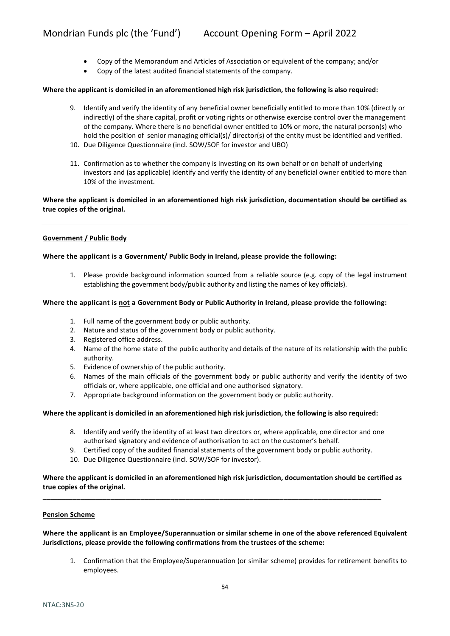- Copy of the Memorandum and Articles of Association or equivalent of the company; and/or
- Copy of the latest audited financial statements of the company.

#### **Where the applicant is domiciled in an aforementioned high risk jurisdiction, the following is also required:**

- 9. Identify and verify the identity of any beneficial owner beneficially entitled to more than 10% (directly or indirectly) of the share capital, profit or voting rights or otherwise exercise control over the management of the company. Where there is no beneficial owner entitled to 10% or more, the natural person(s) who hold the position of senior managing official(s)/ director(s) of the entity must be identified and verified.
- 10. Due Diligence Questionnaire (incl. SOW/SOF for investor and UBO)
- 11. Confirmation as to whether the company is investing on its own behalf or on behalf of underlying investors and (as applicable) identify and verify the identity of any beneficial owner entitled to more than 10% of the investment.

#### **Where the applicant is domiciled in an aforementioned high risk jurisdiction, documentation should be certified as true copies of the original.**

#### **Government / Public Body**

#### **Where the applicant is a Government/ Public Body in Ireland, please provide the following:**

1. Please provide background information sourced from a reliable source (e.g. copy of the legal instrument establishing the government body/public authority and listing the names of key officials).

#### **Where the applicant is not a Government Body or Public Authority in Ireland, please provide the following:**

- 1. Full name of the government body or public authority.
- 2. Nature and status of the government body or public authority.
- 3. Registered office address.
- 4. Name of the home state of the public authority and details of the nature of its relationship with the public authority.
- 5. Evidence of ownership of the public authority.
- 6. Names of the main officials of the government body or public authority and verify the identity of two officials or, where applicable, one official and one authorised signatory.
- 7. Appropriate background information on the government body or public authority.

#### **Where the applicant is domiciled in an aforementioned high risk jurisdiction, the following is also required:**

- 8. Identify and verify the identity of at least two directors or, where applicable, one director and one authorised signatory and evidence of authorisation to act on the customer's behalf.
- 9. Certified copy of the audited financial statements of the government body or public authority.
- 10. Due Diligence Questionnaire (incl. SOW/SOF for investor).

#### **Where the applicant is domiciled in an aforementioned high risk jurisdiction, documentation should be certified as true copies of the original.**

**\_\_\_\_\_\_\_\_\_\_\_\_\_\_\_\_\_\_\_\_\_\_\_\_\_\_\_\_\_\_\_\_\_\_\_\_\_\_\_\_\_\_\_\_\_\_\_\_\_\_\_\_\_\_\_\_\_\_\_\_\_\_\_\_\_\_\_\_\_\_\_\_\_\_\_\_\_\_\_\_\_\_\_\_\_\_\_\_\_\_**

#### **Pension Scheme**

**Where the applicant is an Employee/Superannuation or similar scheme in one of the above referenced Equivalent Jurisdictions, please provide the following confirmations from the trustees of the scheme:**

1. Confirmation that the Employee/Superannuation (or similar scheme) provides for retirement benefits to employees.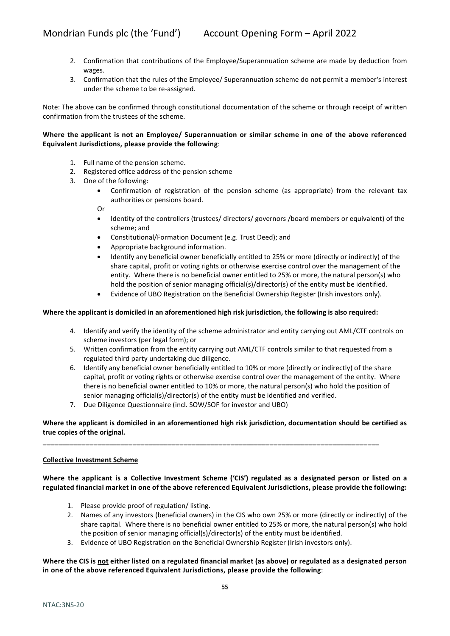- 2. Confirmation that contributions of the Employee/Superannuation scheme are made by deduction from wages.
- 3. Confirmation that the rules of the Employee/ Superannuation scheme do not permit a member's interest under the scheme to be re-assigned.

Note: The above can be confirmed through constitutional documentation of the scheme or through receipt of written confirmation from the trustees of the scheme.

### **Where the applicant is not an Employee/ Superannuation or similar scheme in one of the above referenced Equivalent Jurisdictions, please provide the following**:

- 1. Full name of the pension scheme.
- 2. Registered office address of the pension scheme
- 3. One of the following:
	- Confirmation of registration of the pension scheme (as appropriate) from the relevant tax authorities or pensions board.

Or

- Identity of the controllers (trustees/ directors/ governors /board members or equivalent) of the scheme; and
- Constitutional/Formation Document (e.g. Trust Deed); and
- Appropriate background information.
- Identify any beneficial owner beneficially entitled to 25% or more (directly or indirectly) of the share capital, profit or voting rights or otherwise exercise control over the management of the entity. Where there is no beneficial owner entitled to 25% or more, the natural person(s) who hold the position of senior managing official(s)/director(s) of the entity must be identified.
- Evidence of UBO Registration on the Beneficial Ownership Register (Irish investors only).

#### **Where the applicant is domiciled in an aforementioned high risk jurisdiction, the following is also required:**

- 4. Identify and verify the identity of the scheme administrator and entity carrying out AML/CTF controls on scheme investors (per legal form); or
- 5. Written confirmation from the entity carrying out AML/CTF controls similar to that requested from a regulated third party undertaking due diligence.
- 6. Identify any beneficial owner beneficially entitled to 10% or more (directly or indirectly) of the share capital, profit or voting rights or otherwise exercise control over the management of the entity. Where there is no beneficial owner entitled to 10% or more, the natural person(s) who hold the position of senior managing official(s)/director(s) of the entity must be identified and verified.
- 7. Due Diligence Questionnaire (incl. SOW/SOF for investor and UBO)

### **Where the applicant is domiciled in an aforementioned high risk jurisdiction, documentation should be certified as true copies of the original.**

**\_\_\_\_\_\_\_\_\_\_\_\_\_\_\_\_\_\_\_\_\_\_\_\_\_\_\_\_\_\_\_\_\_\_\_\_\_\_\_\_\_\_\_\_\_\_\_\_\_\_\_\_\_\_\_\_\_\_\_\_\_\_\_\_\_\_\_\_\_\_\_\_\_\_\_\_\_\_\_\_\_\_\_\_\_\_**

#### **Collective Investment Scheme**

#### **Where the applicant is a Collective Investment Scheme ('CIS') regulated as a designated person or listed on a regulated financial market in one of the above referenced Equivalent Jurisdictions, please provide the following:**

- 1. Please provide proof of regulation/ listing.
- 2. Names of any investors (beneficial owners) in the CIS who own 25% or more (directly or indirectly) of the share capital. Where there is no beneficial owner entitled to 25% or more, the natural person(s) who hold the position of senior managing official(s)/director(s) of the entity must be identified.
- 3. Evidence of UBO Registration on the Beneficial Ownership Register (Irish investors only).

#### **Where the CIS is not either listed on a regulated financial market (as above) or regulated as a designated person in one of the above referenced Equivalent Jurisdictions, please provide the following**: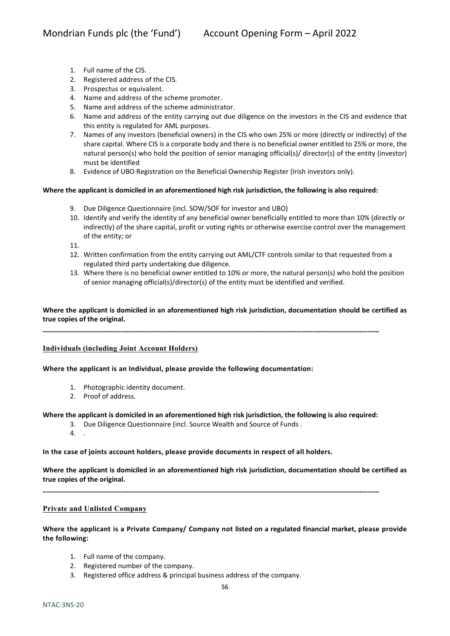- 1. Full name of the CIS.
- 2. Registered address of the CIS.
- 3. Prospectus or equivalent.
- 4. Name and address of the scheme promoter.
- 5. Name and address of the scheme administrator.
- 6. Name and address of the entity carrying out due diligence on the investors in the CIS and evidence that this entity is regulated for AML purposes.
- 7. Names of any investors (beneficial owners) in the CIS who own 25% or more (directly or indirectly) of the share capital. Where CIS is a corporate body and there is no beneficial owner entitled to 25% or more, the natural person(s) who hold the position of senior managing official(s)/ director(s) of the entity (investor) must be identified
- 8. Evidence of UBO Registration on the Beneficial Ownership Register (Irish investors only).

#### **Where the applicant is domiciled in an aforementioned high risk jurisdiction, the following is also required:**

- 9. Due Diligence Questionnaire (incl. SOW/SOF for investor and UBO)
- 10. Identify and verify the identity of any beneficial owner beneficially entitled to more than 10% (directly or indirectly) of the share capital, profit or voting rights or otherwise exercise control over the management of the entity; or

11.

- 12. Written confirmation from the entity carrying out AML/CTF controls similar to that requested from a regulated third party undertaking due diligence.
- 13. Where there is no beneficial owner entitled to 10% or more, the natural person(s) who hold the position of senior managing official(s)/director(s) of the entity must be identified and verified.

#### **Where the applicant is domiciled in an aforementioned high risk jurisdiction, documentation should be certified as true copies of the original.**

**\_\_\_\_\_\_\_\_\_\_\_\_\_\_\_\_\_\_\_\_\_\_\_\_\_\_\_\_\_\_\_\_\_\_\_\_\_\_\_\_\_\_\_\_\_\_\_\_\_\_\_\_\_\_\_\_\_\_\_\_\_\_\_\_\_\_\_\_\_\_\_\_\_\_\_\_\_\_\_\_\_\_\_\_\_\_**

#### **Individuals (including Joint Account Holders)**

**Where the applicant is an Individual, please provide the following documentation:**

- 1. Photographic identity document.
- 2. Proof of address.

#### **Where the applicant is domiciled in an aforementioned high risk jurisdiction, the following is also required:**

**\_\_\_\_\_\_\_\_\_\_\_\_\_\_\_\_\_\_\_\_\_\_\_\_\_\_\_\_\_\_\_\_\_\_\_\_\_\_\_\_\_\_\_\_\_\_\_\_\_\_\_\_\_\_\_\_\_\_\_\_\_\_\_\_\_\_\_\_\_\_\_\_\_\_\_\_\_\_\_\_\_\_\_\_\_\_**

- 3. Due Diligence Questionnaire (incl. Source Wealth and Source of Funds .
- 4. .

**In the case of joints account holders, please provide documents in respect of all holders.**

**Where the applicant is domiciled in an aforementioned high risk jurisdiction, documentation should be certified as true copies of the original.**

#### **Private and Unlisted Company**

**Where the applicant is a Private Company/ Company not listed on a regulated financial market, please provide the following:**

- 1. Full name of the company.
- 2. Registered number of the company.
- 3. Registered office address & principal business address of the company.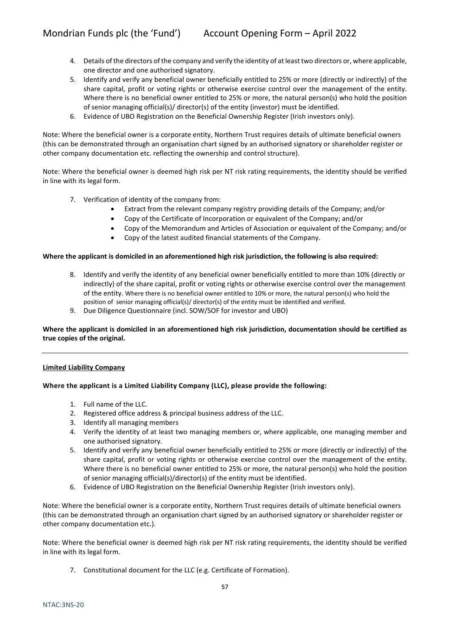- 4. Details of the directors of the company and verify the identity of at least two directors or, where applicable, one director and one authorised signatory.
- 5. Identify and verify any beneficial owner beneficially entitled to 25% or more (directly or indirectly) of the share capital, profit or voting rights or otherwise exercise control over the management of the entity. Where there is no beneficial owner entitled to 25% or more, the natural person(s) who hold the position of senior managing official(s)/ director(s) of the entity (investor) must be identified.
- 6. Evidence of UBO Registration on the Beneficial Ownership Register (Irish investors only).

Note: Where the beneficial owner is a corporate entity, Northern Trust requires details of ultimate beneficial owners (this can be demonstrated through an organisation chart signed by an authorised signatory or shareholder register or other company documentation etc. reflecting the ownership and control structure).

Note: Where the beneficial owner is deemed high risk per NT risk rating requirements, the identity should be verified in line with its legal form.

- 7. Verification of identity of the company from:
	- Extract from the relevant company registry providing details of the Company; and/or
	- Copy of the Certificate of Incorporation or equivalent of the Company; and/or
	- Copy of the Memorandum and Articles of Association or equivalent of the Company; and/or
	- Copy of the latest audited financial statements of the Company.

#### **Where the applicant is domiciled in an aforementioned high risk jurisdiction, the following is also required:**

- 8. Identify and verify the identity of any beneficial owner beneficially entitled to more than 10% (directly or indirectly) of the share capital, profit or voting rights or otherwise exercise control over the management of the entity. Where there is no beneficial owner entitled to 10% or more, the natural person(s) who hold the position of senior managing official(s)/ director(s) of the entity must be identified and verified.
- 9. Due Diligence Questionnaire (incl. SOW/SOF for investor and UBO)

### **Where the applicant is domiciled in an aforementioned high risk jurisdiction, documentation should be certified as true copies of the original.**

#### **Limited Liability Company**

#### **Where the applicant is a Limited Liability Company (LLC), please provide the following:**

- 1. Full name of the LLC.
- 2. Registered office address & principal business address of the LLC.
- 3. Identify all managing members
- 4. Verify the identity of at least two managing members or, where applicable, one managing member and one authorised signatory.
- 5. Identify and verify any beneficial owner beneficially entitled to 25% or more (directly or indirectly) of the share capital, profit or voting rights or otherwise exercise control over the management of the entity. Where there is no beneficial owner entitled to 25% or more, the natural person(s) who hold the position of senior managing official(s)/director(s) of the entity must be identified.
- 6. Evidence of UBO Registration on the Beneficial Ownership Register (Irish investors only).

Note: Where the beneficial owner is a corporate entity, Northern Trust requires details of ultimate beneficial owners (this can be demonstrated through an organisation chart signed by an authorised signatory or shareholder register or other company documentation etc.).

Note: Where the beneficial owner is deemed high risk per NT risk rating requirements, the identity should be verified in line with its legal form.

7. Constitutional document for the LLC (e.g. Certificate of Formation).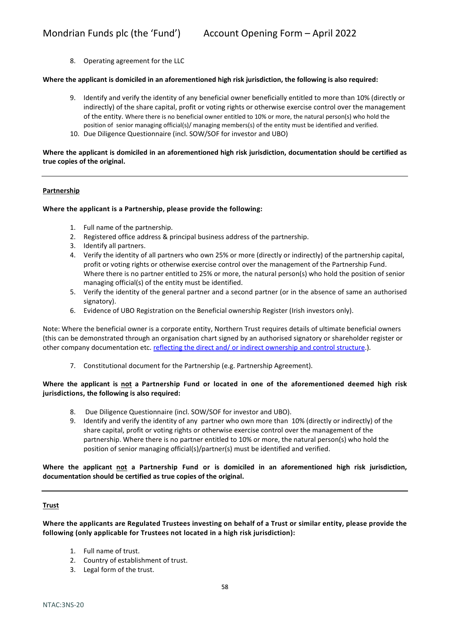8. Operating agreement for the LLC

#### **Where the applicant is domiciled in an aforementioned high risk jurisdiction, the following is also required:**

- 9. Identify and verify the identity of any beneficial owner beneficially entitled to more than 10% (directly or indirectly) of the share capital, profit or voting rights or otherwise exercise control over the management of the entity. Where there is no beneficial owner entitled to 10% or more, the natural person(s) who hold the position of senior managing official(s)/ managing members(s) of the entity must be identified and verified.
- 10. Due Diligence Questionnaire (incl. SOW/SOF for investor and UBO)

**Where the applicant is domiciled in an aforementioned high risk jurisdiction, documentation should be certified as true copies of the original.**

#### **Partnership**

#### **Where the applicant is a Partnership, please provide the following:**

- 1. Full name of the partnership.
- 2. Registered office address & principal business address of the partnership.
- 3. Identify all partners.
- 4. Verify the identity of all partners who own 25% or more (directly or indirectly) of the partnership capital, profit or voting rights or otherwise exercise control over the management of the Partnership Fund. Where there is no partner entitled to 25% or more, the natural person(s) who hold the position of senior managing official(s) of the entity must be identified.
- 5. Verify the identity of the general partner and a second partner (or in the absence of same an authorised signatory).
- 6. Evidence of UBO Registration on the Beneficial ownership Register (Irish investors only).

Note: Where the beneficial owner is a corporate entity, Northern Trust requires details of ultimate beneficial owners (this can be demonstrated through an organisation chart signed by an authorised signatory or shareholder register or other company documentation etc. reflecting the direct and/ or indirect ownership and control structure.).

7. Constitutional document for the Partnership (e.g. Partnership Agreement).

#### **Where the applicant is not a Partnership Fund or located in one of the aforementioned deemed high risk jurisdictions, the following is also required:**

- 8. Due Diligence Questionnaire (incl. SOW/SOF for investor and UBO).
- 9. Identify and verify the identity of any partner who own more than 10% (directly or indirectly) of the share capital, profit or voting rights or otherwise exercise control over the management of the partnership. Where there is no partner entitled to 10% or more, the natural person(s) who hold the position of senior managing official(s)/partner(s) must be identified and verified.

**Where the applicant not a Partnership Fund or is domiciled in an aforementioned high risk jurisdiction, documentation should be certified as true copies of the original.**

#### **Trust**

**Where the applicants are Regulated Trustees investing on behalf of a Trust or similar entity, please provide the following (only applicable for Trustees not located in a high risk jurisdiction):**

- 1. Full name of trust.
- 2. Country of establishment of trust.
- 3. Legal form of the trust.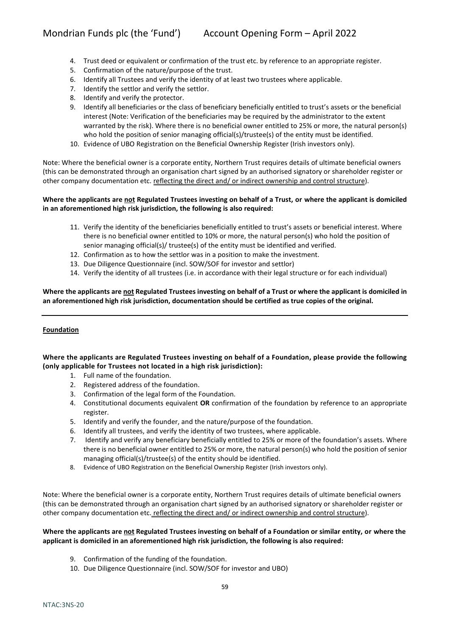- 4. Trust deed or equivalent or confirmation of the trust etc. by reference to an appropriate register.
- 5. Confirmation of the nature/purpose of the trust.
- 6. Identify all Trustees and verify the identity of at least two trustees where applicable.
- 7. Identify the settlor and verify the settlor.
- 8. Identify and verify the protector.
- 9. Identify all beneficiaries or the class of beneficiary beneficially entitled to trust's assets or the beneficial interest (Note: Verification of the beneficiaries may be required by the administrator to the extent warranted by the risk). Where there is no beneficial owner entitled to 25% or more, the natural person(s) who hold the position of senior managing official(s)/trustee(s) of the entity must be identified.
- 10. Evidence of UBO Registration on the Beneficial Ownership Register (Irish investors only).

Note: Where the beneficial owner is a corporate entity, Northern Trust requires details of ultimate beneficial owners (this can be demonstrated through an organisation chart signed by an authorised signatory or shareholder register or other company documentation etc. reflecting the direct and/ or indirect ownership and control structure).

#### **Where the applicants are not Regulated Trustees investing on behalf of a Trust, or where the applicant is domiciled in an aforementioned high risk jurisdiction, the following is also required:**

- 11. Verify the identity of the beneficiaries beneficially entitled to trust's assets or beneficial interest. Where there is no beneficial owner entitled to 10% or more, the natural person(s) who hold the position of senior managing official(s)/ trustee(s) of the entity must be identified and verified.
- 12. Confirmation as to how the settlor was in a position to make the investment.
- 13. Due Diligence Questionnaire (incl. SOW/SOF for investor and settlor)
- 14. Verify the identity of all trustees (i.e. in accordance with their legal structure or for each individual)

#### **Where the applicants are not Regulated Trustees investing on behalf of a Trust or where the applicant is domiciled in an aforementioned high risk jurisdiction, documentation should be certified as true copies of the original.**

#### **Foundation**

### **Where the applicants are Regulated Trustees investing on behalf of a Foundation, please provide the following (only applicable for Trustees not located in a high risk jurisdiction):**

- 1. Full name of the foundation.
- 2. Registered address of the foundation.
- 3. Confirmation of the legal form of the Foundation.
- 4. Constitutional documents equivalent **OR** confirmation of the foundation by reference to an appropriate register.
- 5. Identify and verify the founder, and the nature/purpose of the foundation.
- 6. Identify all trustees, and verify the identity of two trustees, where applicable.
- 7. Identify and verify any beneficiary beneficially entitled to 25% or more of the foundation's assets. Where there is no beneficial owner entitled to 25% or more, the natural person(s) who hold the position of senior managing official(s)/trustee(s) of the entity should be identified.
- 8. Evidence of UBO Registration on the Beneficial Ownership Register (Irish investors only).

Note: Where the beneficial owner is a corporate entity, Northern Trust requires details of ultimate beneficial owners (this can be demonstrated through an organisation chart signed by an authorised signatory or shareholder register or other company documentation etc. reflecting the direct and/ or indirect ownership and control structure).

#### **Where the applicants are not Regulated Trustees investing on behalf of a Foundation or similar entity, or where the applicant is domiciled in an aforementioned high risk jurisdiction, the following is also required:**

- 9. Confirmation of the funding of the foundation.
- 10. Due Diligence Questionnaire (incl. SOW/SOF for investor and UBO)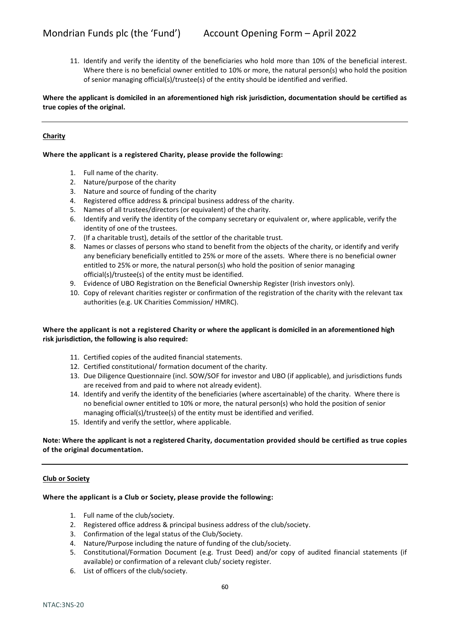11. Identify and verify the identity of the beneficiaries who hold more than 10% of the beneficial interest. Where there is no beneficial owner entitled to 10% or more, the natural person(s) who hold the position of senior managing official(s)/trustee(s) of the entity should be identified and verified.

**Where the applicant is domiciled in an aforementioned high risk jurisdiction, documentation should be certified as true copies of the original.**

#### **Charity**

#### **Where the applicant is a registered Charity, please provide the following:**

- 1. Full name of the charity.
- 2. Nature/purpose of the charity
- 3. Nature and source of funding of the charity
- 4. Registered office address & principal business address of the charity.
- 5. Names of all trustees/directors (or equivalent) of the charity.
- 6. Identify and verify the identity of the company secretary or equivalent or, where applicable, verify the identity of one of the trustees.
- 7. (If a charitable trust), details of the settlor of the charitable trust.
- 8. Names or classes of persons who stand to benefit from the objects of the charity, or identify and verify any beneficiary beneficially entitled to 25% or more of the assets. Where there is no beneficial owner entitled to 25% or more, the natural person(s) who hold the position of senior managing official(s)/trustee(s) of the entity must be identified.
- 9. Evidence of UBO Registration on the Beneficial Ownership Register (Irish investors only).
- 10. Copy of relevant charities register or confirmation of the registration of the charity with the relevant tax authorities (e.g. UK Charities Commission/ HMRC).

#### **Where the applicant is not a registered Charity or where the applicant is domiciled in an aforementioned high risk jurisdiction, the following is also required:**

- 11. Certified copies of the audited financial statements.
- 12. Certified constitutional/ formation document of the charity.
- 13. Due Diligence Questionnaire (incl. SOW/SOF for investor and UBO (if applicable), and jurisdictions funds are received from and paid to where not already evident).
- 14. Identify and verify the identity of the beneficiaries (where ascertainable) of the charity. Where there is no beneficial owner entitled to 10% or more, the natural person(s) who hold the position of senior managing official(s)/trustee(s) of the entity must be identified and verified.
- 15. Identify and verify the settlor, where applicable.

#### **Note: Where the applicant is not a registered Charity, documentation provided should be certified as true copies of the original documentation.**

#### **Club or Society**

#### **Where the applicant is a Club or Society, please provide the following:**

- 1. Full name of the club/society.
- 2. Registered office address & principal business address of the club/society.
- 3. Confirmation of the legal status of the Club/Society.
- 4. Nature/Purpose including the nature of funding of the club/society.
- 5. Constitutional/Formation Document (e.g. Trust Deed) and/or copy of audited financial statements (if available) or confirmation of a relevant club/ society register.
- 6. List of officers of the club/society.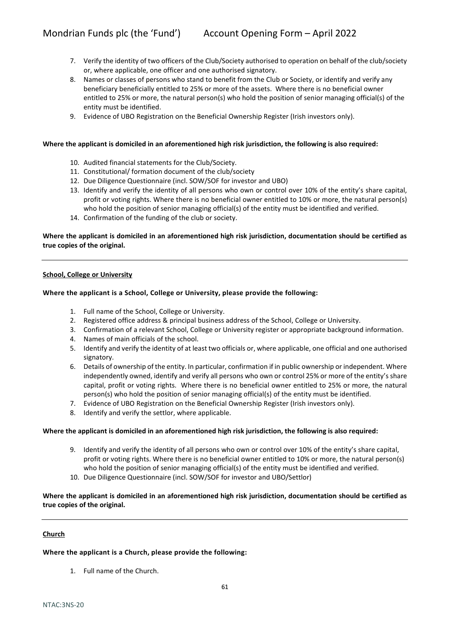- 7. Verify the identity of two officers of the Club/Society authorised to operation on behalf of the club/society or, where applicable, one officer and one authorised signatory.
- 8. Names or classes of persons who stand to benefit from the Club or Society, or identify and verify any beneficiary beneficially entitled to 25% or more of the assets. Where there is no beneficial owner entitled to 25% or more, the natural person(s) who hold the position of senior managing official(s) of the entity must be identified.
- 9. Evidence of UBO Registration on the Beneficial Ownership Register (Irish investors only).

#### **Where the applicant is domiciled in an aforementioned high risk jurisdiction, the following is also required:**

- 10. Audited financial statements for the Club/Society.
- 11. Constitutional/ formation document of the club/society
- 12. Due Diligence Questionnaire (incl. SOW/SOF for investor and UBO)
- 13. Identify and verify the identity of all persons who own or control over 10% of the entity's share capital, profit or voting rights. Where there is no beneficial owner entitled to 10% or more, the natural person(s) who hold the position of senior managing official(s) of the entity must be identified and verified.
- 14. Confirmation of the funding of the club or society.

#### **Where the applicant is domiciled in an aforementioned high risk jurisdiction, documentation should be certified as true copies of the original.**

#### **School, College or University**

#### **Where the applicant is a School, College or University, please provide the following:**

- 1. Full name of the School, College or University.
- 2. Registered office address & principal business address of the School, College or University.
- 3. Confirmation of a relevant School, College or University register or appropriate background information.
- 4. Names of main officials of the school.
- 5. Identify and verify the identity of at least two officials or, where applicable, one official and one authorised signatory.
- 6. Details of ownership of the entity. In particular, confirmation if in public ownership or independent. Where independently owned, identify and verify all persons who own or control 25% or more of the entity's share capital, profit or voting rights. Where there is no beneficial owner entitled to 25% or more, the natural person(s) who hold the position of senior managing official(s) of the entity must be identified.
- 7. Evidence of UBO Registration on the Beneficial Ownership Register (Irish investors only).
- 8. Identify and verify the settlor, where applicable.

#### **Where the applicant is domiciled in an aforementioned high risk jurisdiction, the following is also required:**

- 9. Identify and verify the identity of all persons who own or control over 10% of the entity's share capital, profit or voting rights. Where there is no beneficial owner entitled to 10% or more, the natural person(s) who hold the position of senior managing official(s) of the entity must be identified and verified.
- 10. Due Diligence Questionnaire (incl. SOW/SOF for investor and UBO/Settlor)

#### **Where the applicant is domiciled in an aforementioned high risk jurisdiction, documentation should be certified as true copies of the original.**

#### **Church**

**Where the applicant is a Church, please provide the following:**

1. Full name of the Church.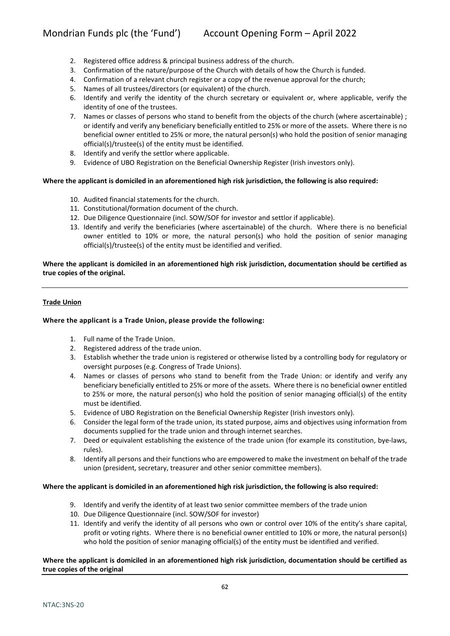- 2. Registered office address & principal business address of the church.
- 3. Confirmation of the nature/purpose of the Church with details of how the Church is funded.
- 4. Confirmation of a relevant church register or a copy of the revenue approval for the church;
- 5. Names of all trustees/directors (or equivalent) of the church.
- 6. Identify and verify the identity of the church secretary or equivalent or, where applicable, verify the identity of one of the trustees.
- 7. Names or classes of persons who stand to benefit from the objects of the church (where ascertainable) ; or identify and verify any beneficiary beneficially entitled to 25% or more of the assets. Where there is no beneficial owner entitled to 25% or more, the natural person(s) who hold the position of senior managing official(s)/trustee(s) of the entity must be identified.
- 8. Identify and verify the settlor where applicable.
- 9. Evidence of UBO Registration on the Beneficial Ownership Register (Irish investors only).

#### **Where the applicant is domiciled in an aforementioned high risk jurisdiction, the following is also required:**

- 10. Audited financial statements for the church.
- 11. Constitutional/formation document of the church.
- 12. Due Diligence Questionnaire (incl. SOW/SOF for investor and settlor if applicable).
- 13. Identify and verify the beneficiaries (where ascertainable) of the church. Where there is no beneficial owner entitled to 10% or more, the natural person(s) who hold the position of senior managing official(s)/trustee(s) of the entity must be identified and verified.

**Where the applicant is domiciled in an aforementioned high risk jurisdiction, documentation should be certified as true copies of the original.**

#### **Trade Union**

#### **Where the applicant is a Trade Union, please provide the following:**

- 1. Full name of the Trade Union.
- 2. Registered address of the trade union.
- 3. Establish whether the trade union is registered or otherwise listed by a controlling body for regulatory or oversight purposes (e.g. Congress of Trade Unions).
- 4. Names or classes of persons who stand to benefit from the Trade Union: or identify and verify any beneficiary beneficially entitled to 25% or more of the assets. Where there is no beneficial owner entitled to 25% or more, the natural person(s) who hold the position of senior managing official(s) of the entity must be identified.
- 5. Evidence of UBO Registration on the Beneficial Ownership Register (Irish investors only).
- 6. Consider the legal form of the trade union, its stated purpose, aims and objectives using information from documents supplied for the trade union and through internet searches.
- 7. Deed or equivalent establishing the existence of the trade union (for example its constitution, bye-laws, rules).
- 8. Identify all persons and their functions who are empowered to make the investment on behalf of the trade union (president, secretary, treasurer and other senior committee members).

#### **Where the applicant is domiciled in an aforementioned high risk jurisdiction, the following is also required:**

- 9. Identify and verify the identity of at least two senior committee members of the trade union
- 10. Due Diligence Questionnaire (incl. SOW/SOF for investor)
- 11. Identify and verify the identity of all persons who own or control over 10% of the entity's share capital, profit or voting rights. Where there is no beneficial owner entitled to 10% or more, the natural person(s) who hold the position of senior managing official(s) of the entity must be identified and verified.

#### **Where the applicant is domiciled in an aforementioned high risk jurisdiction, documentation should be certified as true copies of the original**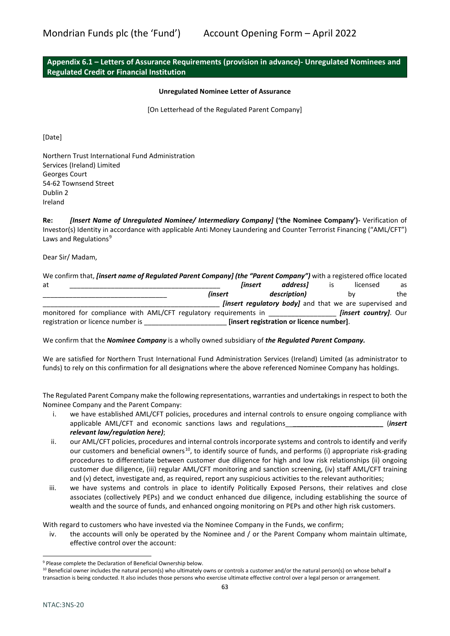# **Appendix 6.1 – Letters of Assurance Requirements (provision in advance)- Unregulated Nominees and Regulated Credit or Financial Institution**

#### **Unregulated Nominee Letter of Assurance**

[On Letterhead of the Regulated Parent Company]

[Date]

Northern Trust International Fund Administration Services (Ireland) Limited Georges Court 54-62 Townsend Street Dublin 2 Ireland

**Re:** *[Insert Name of Unregulated Nominee/ Intermediary Company]* **('the Nominee Company')-** Verification of Investor(s) Identity in accordance with applicable Anti Money Laundering and Counter Terrorist Financing ("AML/CFT") Laws and Regulations<sup>[9](#page-62-0)</sup>

Dear Sir/ Madam,

| We confirm that, <i>[insert name of Regulated Parent Company] (the "Parent Company")</i> with a registered office located |                |         |                                                                |                              |     |
|---------------------------------------------------------------------------------------------------------------------------|----------------|---------|----------------------------------------------------------------|------------------------------|-----|
| at                                                                                                                        |                | linsert | addressl                                                       | licensed                     | as  |
|                                                                                                                           | <i>linsert</i> |         | description)                                                   | bν                           | the |
|                                                                                                                           |                |         | <i>linsert requiatory bodyl</i> and that we are supervised and |                              |     |
| monitored for compliance with AML/CFT regulatory requirements in                                                          |                |         |                                                                | <i>linsert countryl.</i> Our |     |
| registration or licence number is                                                                                         |                |         | [insert registration or licence number].                       |                              |     |

We confirm that the *Nominee Company* is a wholly owned subsidiary of *the Regulated Parent Company.*

We are satisfied for Northern Trust International Fund Administration Services (Ireland) Limited (as administrator to funds) to rely on this confirmation for all designations where the above referenced Nominee Company has holdings.

The Regulated Parent Company make the following representations, warranties and undertakings in respect to both the Nominee Company and the Parent Company:

- i. we have established AML/CFT policies, procedures and internal controls to ensure ongoing compliance with applicable AML/CFT and economic sanctions laws and regulations\_\_**\_\_\_\_\_\_\_\_\_\_\_\_\_\_\_\_\_\_\_\_\_\_\_\_** (*insert relevant law/regulation here)*;
- ii. our AML/CFT policies, procedures and internal controls incorporate systems and controls to identify and verify our customers and beneficial owners<sup>10</sup>, to identify source of funds, and performs (i) appropriate risk-grading procedures to differentiate between customer due diligence for high and low risk relationships (ii) ongoing customer due diligence, (iii) regular AML/CFT monitoring and sanction screening, (iv) staff AML/CFT training and (v) detect, investigate and, as required, report any suspicious activities to the relevant authorities;
- iii. we have systems and controls in place to identify Politically Exposed Persons, their relatives and close associates (collectively PEPs) and we conduct enhanced due diligence, including establishing the source of wealth and the source of funds, and enhanced ongoing monitoring on PEPs and other high risk customers.

With regard to customers who have invested via the Nominee Company in the Funds, we confirm;

iv. the accounts will only be operated by the Nominee and / or the Parent Company whom maintain ultimate, effective control over the account:

<span id="page-62-0"></span><sup>9</sup> Please complete the Declaration of Beneficial Ownership below.

<span id="page-62-1"></span> $10$  Beneficial owner includes the natural person(s) who ultimately owns or controls a customer and/or the natural person(s) on whose behalf a transaction is being conducted. It also includes those persons who exercise ultimate effective control over a legal person or arrangement.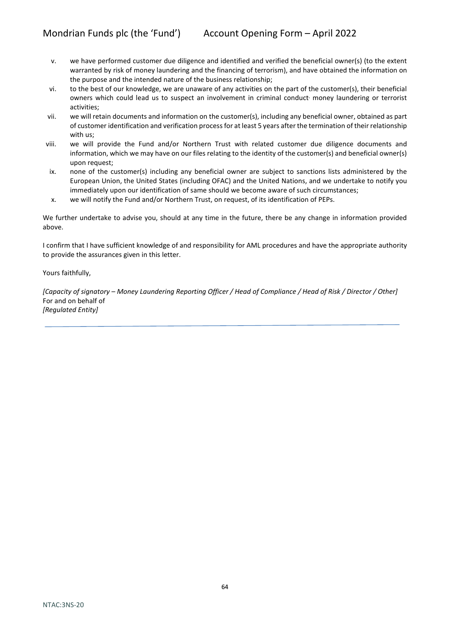- v. we have performed customer due diligence and identified and verified the beneficial owner(s) (to the extent warranted by risk of money laundering and the financing of terrorism), and have obtained the information on the purpose and the intended nature of the business relationship;
- vi. to the best of our knowledge, we are unaware of any activities on the part of the customer(s), their beneficial owners which could lead us to suspect an involvement in criminal conduct' money laundering or terrorist activities;
- vii. we will retain documents and information on the customer(s), including any beneficial owner, obtained as part of customer identification and verification process for at least 5 years after the termination of their relationship with us;
- viii. we will provide the Fund and/or Northern Trust with related customer due diligence documents and information, which we may have on our files relating to the identity of the customer(s) and beneficial owner(s) upon request;
- ix. none of the customer(s) including any beneficial owner are subject to sanctions lists administered by the European Union, the United States (including OFAC) and the United Nations, and we undertake to notify you immediately upon our identification of same should we become aware of such circumstances;
- x. we will notify the Fund and/or Northern Trust, on request, of its identification of PEPs.

We further undertake to advise you, should at any time in the future, there be any change in information provided above.

I confirm that I have sufficient knowledge of and responsibility for AML procedures and have the appropriate authority to provide the assurances given in this letter.

Yours faithfully,

*[Capacity of signatory – Money Laundering Reporting Officer / Head of Compliance / Head of Risk / Director / Other]* For and on behalf of *[Regulated Entity]*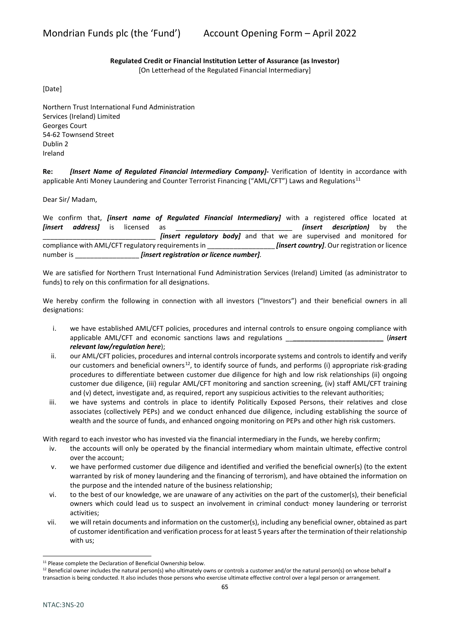# **Regulated Credit or Financial Institution Letter of Assurance (as Investor)**

[On Letterhead of the Regulated Financial Intermediary]

[Date]

Northern Trust International Fund Administration Services (Ireland) Limited Georges Court 54-62 Townsend Street Dublin 2 Ireland

**Re:** *[Insert Name of Regulated Financial Intermediary Company]-* Verification of Identity in accordance with applicable Anti Money Laundering and Counter Terrorist Financing ("AML/CFT") Laws and Regulations<sup>[11](#page-64-0)</sup>

Dear Sir/ Madam,

We confirm that, *[insert name of Regulated Financial Intermediary]* with a registered office located at **[insert address]** is licensed as **the set of all insert description)** by the *linsert regulatory body]* and that we are supervised and monitored for compliance with AML/CFT regulatory requirements in \_\_\_\_\_\_\_\_\_\_\_\_\_\_\_\_\_\_\_\_\_\_\_\_\_\_\_\_\_\_<br>[insert country]. Our registration or licence number is \_\_\_\_\_\_\_\_\_\_\_\_\_\_\_\_\_ *[insert registration or licence number].* 

We are satisfied for Northern Trust International Fund Administration Services (Ireland) Limited (as administrator to funds) to rely on this confirmation for all designations.

We hereby confirm the following in connection with all investors ("Investors") and their beneficial owners in all designations:

- i. we have established AML/CFT policies, procedures and internal controls to ensure ongoing compliance with applicable AML/CFT and economic sanctions laws and regulations \_\_**\_\_\_\_\_\_\_\_\_\_\_\_\_\_\_\_\_\_\_\_\_\_\_\_** (*insert relevant law/regulation here*);
- ii. our AML/CFT policies, procedures and internal controls incorporate systems and controls to identify and verify our customers and beneficial owners<sup>12</sup>, to identify source of funds, and performs (i) appropriate risk-grading procedures to differentiate between customer due diligence for high and low risk relationships (ii) ongoing customer due diligence, (iii) regular AML/CFT monitoring and sanction screening, (iv) staff AML/CFT training and (v) detect, investigate and, as required, report any suspicious activities to the relevant authorities;
- iii. we have systems and controls in place to identify Politically Exposed Persons, their relatives and close associates (collectively PEPs) and we conduct enhanced due diligence, including establishing the source of wealth and the source of funds, and enhanced ongoing monitoring on PEPs and other high risk customers.

With regard to each investor who has invested via the financial intermediary in the Funds, we hereby confirm;

- iv. the accounts will only be operated by the financial intermediary whom maintain ultimate, effective control over the account;
- v. we have performed customer due diligence and identified and verified the beneficial owner(s) (to the extent warranted by risk of money laundering and the financing of terrorism), and have obtained the information on the purpose and the intended nature of the business relationship;
- vi. to the best of our knowledge, we are unaware of any activities on the part of the customer(s), their beneficial owners which could lead us to suspect an involvement in criminal conduct' money laundering or terrorist activities;
- vii. we will retain documents and information on the customer(s), including any beneficial owner, obtained as part of customer identification and verification process for at least 5 years after the termination of their relationship with us;

<span id="page-64-0"></span><sup>&</sup>lt;sup>11</sup> Please complete the Declaration of Beneficial Ownership below.

<span id="page-64-1"></span> $12$  Beneficial owner includes the natural person(s) who ultimately owns or controls a customer and/or the natural person(s) on whose behalf a transaction is being conducted. It also includes those persons who exercise ultimate effective control over a legal person or arrangement.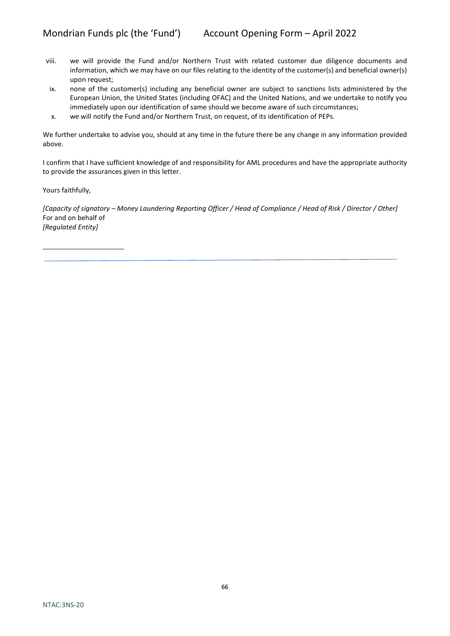- viii. we will provide the Fund and/or Northern Trust with related customer due diligence documents and information, which we may have on our files relating to the identity of the customer(s) and beneficial owner(s) upon request;
- ix. none of the customer(s) including any beneficial owner are subject to sanctions lists administered by the European Union, the United States (including OFAC) and the United Nations, and we undertake to notify you immediately upon our identification of same should we become aware of such circumstances;
- x. we will notify the Fund and/or Northern Trust, on request, of its identification of PEPs.

We further undertake to advise you, should at any time in the future there be any change in any information provided above.

I confirm that I have sufficient knowledge of and responsibility for AML procedures and have the appropriate authority to provide the assurances given in this letter.

Yours faithfully,

*[Capacity of signatory – Money Laundering Reporting Officer / Head of Compliance / Head of Risk / Director / Other]* For and on behalf of *[Regulated Entity]*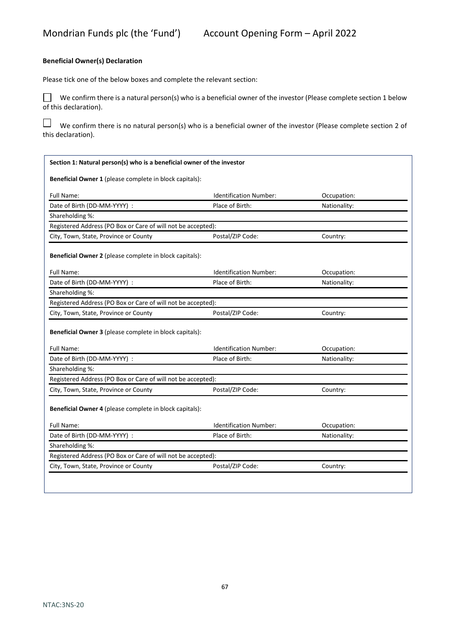#### **Beneficial Owner(s) Declaration**

Please tick one of the below boxes and complete the relevant section:

We confirm there is a natural person(s) who is a beneficial owner of the investor (Please complete section 1 below of this declaration).

 $\Box$  We confirm there is no natural person(s) who is a beneficial owner of the investor (Please complete section 2 of this declaration).

| Section 1: Natural person(s) who is a beneficial owner of the investor |                               |              |  |  |
|------------------------------------------------------------------------|-------------------------------|--------------|--|--|
| Beneficial Owner 1 (please complete in block capitals):                |                               |              |  |  |
| Full Name:                                                             | <b>Identification Number:</b> | Occupation:  |  |  |
| Date of Birth (DD-MM-YYYY) :                                           | Place of Birth:               | Nationality: |  |  |
| Shareholding %:                                                        |                               |              |  |  |
| Registered Address (PO Box or Care of will not be accepted):           |                               |              |  |  |
| City, Town, State, Province or County                                  | Postal/ZIP Code:              | Country:     |  |  |
| Beneficial Owner 2 (please complete in block capitals):                |                               |              |  |  |
| Full Name:                                                             | <b>Identification Number:</b> | Occupation:  |  |  |
| Date of Birth (DD-MM-YYYY) :                                           | Place of Birth:               | Nationality: |  |  |
| Shareholding %:                                                        |                               |              |  |  |
|                                                                        |                               |              |  |  |
| Registered Address (PO Box or Care of will not be accepted):           |                               |              |  |  |
| City, Town, State, Province or County                                  | Postal/ZIP Code:              | Country:     |  |  |
| <b>Beneficial Owner 3</b> (please complete in block capitals):         |                               |              |  |  |
| Full Name:                                                             | Identification Number:        | Occupation:  |  |  |
| Date of Birth (DD-MM-YYYY) :                                           | Place of Birth:               | Nationality: |  |  |
| Shareholding %:                                                        |                               |              |  |  |
| Registered Address (PO Box or Care of will not be accepted):           |                               |              |  |  |
| City, Town, State, Province or County                                  | Postal/ZIP Code:              | Country:     |  |  |
| Beneficial Owner 4 (please complete in block capitals):                |                               |              |  |  |
| Full Name:                                                             | <b>Identification Number:</b> | Occupation:  |  |  |
| Date of Birth (DD-MM-YYYY) :                                           | Place of Birth:               | Nationality: |  |  |
| Shareholding %:                                                        |                               |              |  |  |
| Registered Address (PO Box or Care of will not be accepted):           |                               |              |  |  |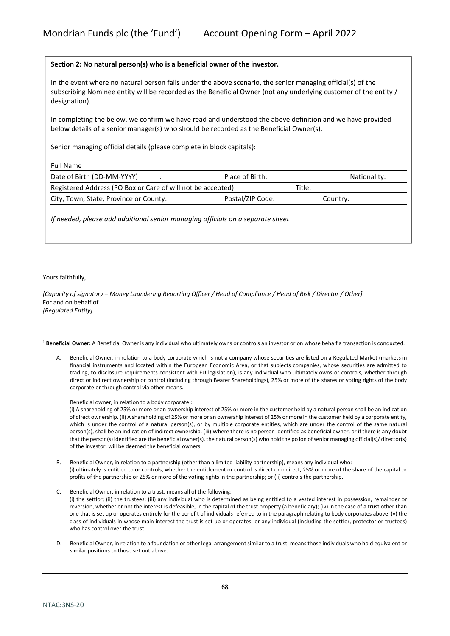#### **Section 2: No natural person(s) who is a beneficial owner of the investor.**

In the event where no natural person falls under the above scenario, the senior managing official(s) of the subscribing Nominee entity will be recorded as the Beneficial Owner (not any underlying customer of the entity / designation).

In completing the below, we confirm we have read and understood the above definition and we have provided below details of a senior manager(s) who should be recorded as the Beneficial Owner(s).

Senior managing official details (please complete in block capitals):

Full Name

| Registered Address (PO Box or Care of will not be accepted):<br>Title:<br>Postal/ZIP Code:<br>City, Town, State, Province or County:<br>Country: | Nationality: |
|--------------------------------------------------------------------------------------------------------------------------------------------------|--------------|
|                                                                                                                                                  |              |
|                                                                                                                                                  |              |

*If needed, please add additional senior managing officials on a separate sheet*

Yours faithfully,

*[Capacity of signatory – Money Laundering Reporting Officer / Head of Compliance / Head of Risk / Director / Other]* For and on behalf of *[Regulated Entity]*

<sup>1</sup> **Beneficial Owner:** A Beneficial Owner is any individual who ultimately owns or controls an investor or on whose behalf a transaction is conducted.

A. Beneficial Owner, in relation to a body corporate which is not a company whose securities are listed on a Regulated Market (markets in financial instruments and located within the European Economic Area, or that subjects companies, whose securities are admitted to trading, to disclosure requirements consistent with EU legislation), is any individual who ultimately owns or controls, whether through direct or indirect ownership or control (including through Bearer Shareholdings), 25% or more of the shares or voting rights of the body corporate or through control via other means.

Beneficial owner, in relation to a body corporate::

(i) A shareholding of 25% or more or an ownership interest of 25% or more in the customer held by a natural person shall be an indication of direct ownership. (ii) A shareholding of 25% or more or an ownership interest of 25% or more in the customer held by a corporate entity, which is under the control of a natural person(s), or by multiple corporate entities, which are under the control of the same natural person(s), shall be an indication of indirect ownership. (iii) Where there is no person identified as beneficial owner, or if there is any doubt that the person(s) identified are the beneficial owner(s), the natural person(s) who hold the po ion of senior managing official(s)/ director(s) of the investor, will be deemed the beneficial owners.

- B. Beneficial Owner, in relation to a partnership (other than a limited liability partnership), means any individual who: (i) ultimately is entitled to or controls, whether the entitlement or control is direct or indirect, 25% or more of the share of the capital or profits of the partnership or 25% or more of the voting rights in the partnership; or (ii) controls the partnership.
- C. Beneficial Owner, in relation to a trust, means all of the following: (i) the settlor; (ii) the trustees; (iii) any individual who is determined as being entitled to a vested interest in possession, remainder or reversion, whether or not the interest is defeasible, in the capital of the trust property (a beneficiary); (iv) in the case of a trust other than one that is set up or operates entirely for the benefit of individuals referred to in the paragraph relating to body corporates above, (v) the class of individuals in whose main interest the trust is set up or operates; or any individual (including the settlor, protector or trustees) who has control over the trust.
- D. Beneficial Owner, in relation to a foundation or other legal arrangement similar to a trust, means those individuals who hold equivalent or similar positions to those set out above.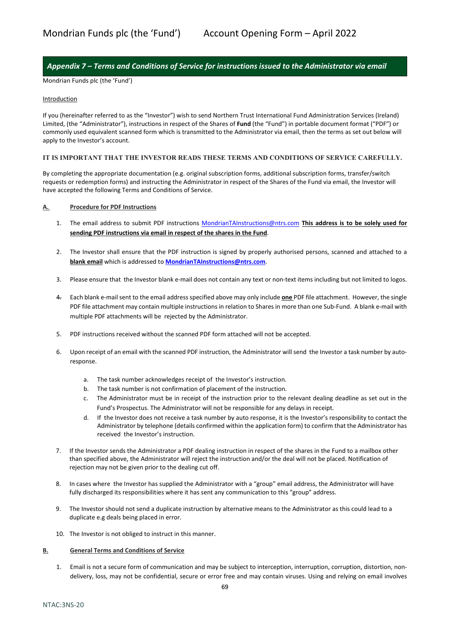# <span id="page-68-0"></span>*Appendix 7 – Terms and Conditions of Service for instructions issued to the Administrator via email*

Mondrian Funds plc (the 'Fund')

#### **Introduction**

If you (hereinafter referred to as the "Investor") wish to send Northern Trust International Fund Administration Services (Ireland) Limited, (the "Administrator"), instructions in respect of the Shares of **Fund** (the "Fund") in portable document format ("PDF") or commonly used equivalent scanned form which is transmitted to the Administrator via email, then the terms as set out below will apply to the Investor's account.

#### **IT IS IMPORTANT THAT THE INVESTOR READS THESE TERMS AND CONDITIONS OF SERVICE CAREFULLY.**

By completing the appropriate documentation (e.g. original subscription forms, additional subscription forms, transfer/switch requests or redemption forms) and instructing the Administrator in respect of the Shares of the Fund via email, the Investor will have accepted the following Terms and Conditions of Service.

#### **A. Procedure for PDF Instructions**

- 1. The email address to submit PDF instructions MondrianTAInstructions@ntrs.com **This address is to be solely used for sending PDF instructions via email in respect of the shares in the Fund**.
- 2. The Investor shall ensure that the PDF instruction is signed by properly authorised persons, scanned and attached to a **blank email** which is addressed to **MondrianTAInstructions@ntrs.com**.
- 3. Please ensure that the Investor blank e-mail does not contain any text or non-text items including but not limited to logos.
- 4. Each blank e-mail sent to the email address specified above may only include **one** PDF file attachment. However, the single PDF file attachment may contain multiple instructions in relation to Shares in more than one Sub-Fund. A blank e-mail with multiple PDF attachments will be rejected by the Administrator.
- 5. PDF instructions received without the scanned PDF form attached will not be accepted.
- 6. Upon receipt of an email with the scanned PDF instruction, the Administrator will send the Investor a task number by autoresponse.
	- a. The task number acknowledges receipt of the Investor's instruction.
	- b. The task number is not confirmation of placement of the instruction.
	- c. The Administrator must be in receipt of the instruction prior to the relevant dealing deadline as set out in the Fund's Prospectus. The Administrator will not be responsible for any delays in receipt.
	- d. If the Investor does not receive a task number by auto response, it is the Investor's responsibility to contact the Administrator by telephone (details confirmed within the application form) to confirm that the Administrator has received the Investor's instruction.
- 7. If the Investor sends the Administrator a PDF dealing instruction in respect of the shares in the Fund to a mailbox other than specified above, the Administrator will reject the instruction and/or the deal will not be placed. Notification of rejection may not be given prior to the dealing cut off.
- 8. In cases where the Investor has supplied the Administrator with a "group" email address, the Administrator will have fully discharged its responsibilities where it has sent any communication to this "group" address.
- 9. The Investor should not send a duplicate instruction by alternative means to the Administrator as this could lead to a duplicate e.g deals being placed in error.
- 10. The Investor is not obliged to instruct in this manner.

#### **B. General Terms and Conditions of Service**

1. Email is not a secure form of communication and may be subject to interception, interruption, corruption, distortion, nondelivery, loss, may not be confidential, secure or error free and may contain viruses. Using and relying on email involves